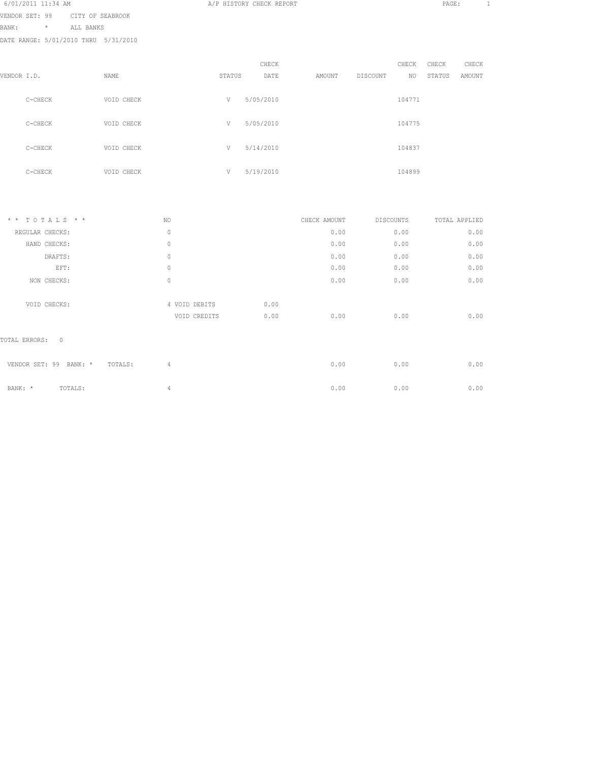| BANK:       | $\star$   | ALL BANKS |                                      |        |           |        |          |        |        |        |
|-------------|-----------|-----------|--------------------------------------|--------|-----------|--------|----------|--------|--------|--------|
|             |           |           | DATE RANGE: 5/01/2010 THRU 5/31/2010 |        |           |        |          |        |        |        |
|             |           |           |                                      |        |           |        |          |        |        |        |
|             |           |           |                                      |        | CHECK     |        |          | CHECK  | CHECK  | CHECK  |
| VENDOR I.D. |           |           | NAME                                 | STATUS | DATE      | AMOUNT | DISCOUNT | NO     | STATUS | AMOUNT |
|             |           |           |                                      |        |           |        |          |        |        |        |
|             | $C-CHECK$ |           | VOID CHECK                           | V      | 5/05/2010 |        |          | 104771 |        |        |
|             |           |           |                                      |        |           |        |          |        |        |        |
|             | $C-CHECK$ |           | VOID CHECK                           | V      | 5/05/2010 |        |          | 104775 |        |        |
|             |           |           |                                      |        |           |        |          |        |        |        |
|             | $C-CHECK$ |           | VOID CHECK                           | V      | 5/14/2010 |        |          | 104837 |        |        |
|             |           |           |                                      |        |           |        |          |        |        |        |
|             | $C-CHECK$ |           | VOID CHECK                           | V      | 5/19/2010 |        |          | 104899 |        |        |
|             |           |           |                                      |        |           |        |          |        |        |        |
|             |           |           |                                      |        |           |        |          |        |        |        |

VENDOR SET: 99 CITY OF SEABROOK

| * * TOTALS * *                       | NO.                           | CHECK AMOUNT |      | DISCOUNTS | TOTAL APPLIED |
|--------------------------------------|-------------------------------|--------------|------|-----------|---------------|
| REGULAR CHECKS:                      | $\circ$                       |              | 0.00 | 0.00      | 0.00          |
| HAND CHECKS:                         | $\circ$                       |              | 0.00 | 0.00      | 0.00          |
| DRAFTS:                              | $\circ$                       |              | 0.00 | 0.00      | 0.00          |
| EFT:                                 | $\circ$                       |              | 0.00 | 0.00      | 0.00          |
| NON CHECKS:                          | $\circ$                       |              | 0.00 | 0.00      | 0.00          |
| VOID CHECKS:                         | 4 VOID DEBITS<br>VOID CREDITS | 0.00<br>0.00 | 0.00 | 0.00      | 0.00          |
| TOTAL ERRORS: 0                      |                               |              |      |           |               |
| VENDOR SET: 99<br>BANK: *<br>TOTALS: | $\overline{4}$                |              | 0.00 | 0.00      | 0.00          |
| BANK: *<br>TOTALS:                   | $\overline{4}$                |              | 0.00 | 0.00      | 0.00          |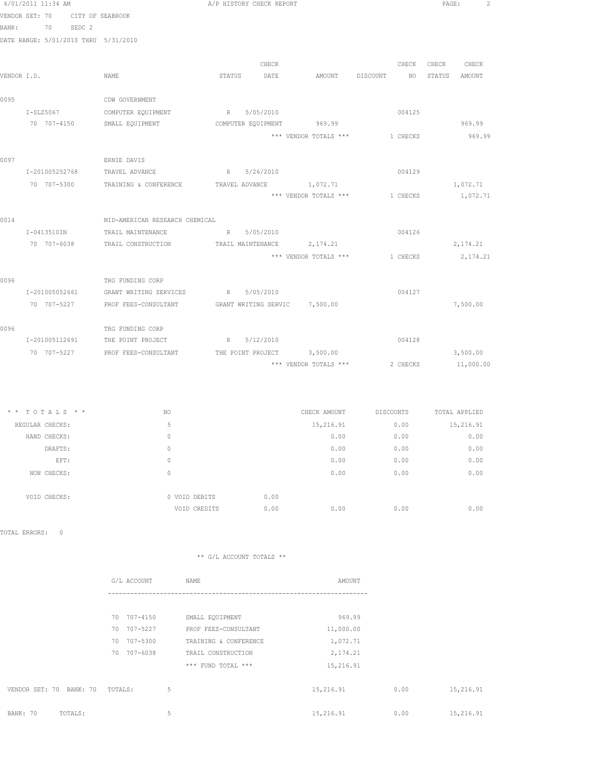|               | 6/01/2011 11:34 AM                   |                                                    |              | A/P HISTORY CHECK REPORT |                                      |             | PAGE: | $\overline{c}$ |
|---------------|--------------------------------------|----------------------------------------------------|--------------|--------------------------|--------------------------------------|-------------|-------|----------------|
|               | VENDOR SET: 70                       | CITY OF SEABROOK                                   |              |                          |                                      |             |       |                |
|               | BANK: 70 SEDC 2                      |                                                    |              |                          |                                      |             |       |                |
|               | DATE RANGE: 5/01/2010 THRU 5/31/2010 |                                                    |              |                          |                                      |             |       |                |
|               |                                      |                                                    |              | CHECK                    |                                      | CHECK CHECK |       | CHECK          |
| VENDOR I.D.   |                                      | NAME                                               |              | STATUS DATE              | AMOUNT DISCOUNT NO STATUS AMOUNT     |             |       |                |
| 0095          |                                      | CDW GOVERNMENT                                     |              |                          |                                      |             |       |                |
|               | $I-SLZ5067$                          | COMPUTER EQUIPMENT                                 |              | R 5/05/2010              |                                      | 004125      |       |                |
|               | 70 707-4150                          | SMALL EQUIPMENT                                    |              |                          | COMPUTER EQUIPMENT 969.99            |             |       | 969.99         |
|               |                                      |                                                    |              |                          | *** VENDOR TOTALS *** 1 CHECKS       |             |       | 969.99         |
| 0097          |                                      | ERNIE DAVIS                                        |              |                          |                                      |             |       |                |
|               | I-201005252768                       | TRAVEL ADVANCE                                     |              | R 5/26/2010              |                                      | 004129      |       |                |
|               | 70 707-5300                          | TRAINING & CONFERENCE                              |              |                          | TRAVEL ADVANCE 1,072.71              |             |       | 1,072.71       |
|               |                                      |                                                    |              |                          | *** VENDOR TOTALS ***                | 1 CHECKS    |       | 1,072.71       |
| 0014          |                                      | MID-AMERICAN RESEARCH CHEMICAL                     |              |                          |                                      |             |       |                |
|               | I-0413510IN                          | TRAIL MAINTENANCE                                  |              | R 5/05/2010              |                                      | 004126      |       |                |
|               |                                      | 70 707-6038 TRAIL CONSTRUCTION                     |              |                          | TRAIL MAINTENANCE 2, 174.21          |             |       | 2,174.21       |
|               |                                      |                                                    |              |                          | *** VENDOR TOTALS ***                | 1 CHECKS    |       | 2, 174.21      |
| 0096          |                                      | TRG FUNDING CORP                                   |              |                          |                                      |             |       |                |
|               | I-201005052661                       | GRANT WRITING SERVICES                             |              | R 5/05/2010              |                                      | 004127      |       |                |
|               | 70 707-5227                          | PROF FEES-CONSULTANT GRANT WRITING SERVIC 7,500.00 |              |                          |                                      |             |       | 7,500.00       |
| 0096          |                                      | TRG FUNDING CORP                                   |              |                          |                                      |             |       |                |
|               | I-201005112691                       | THE POINT PROJECT                                  |              | R 5/12/2010              |                                      | 004128      |       |                |
|               | 70 707-5227                          | PROF FEES-CONSULTANT                               |              |                          | THE POINT PROJECT 3,500.00           |             |       | 3,500.00       |
|               |                                      |                                                    |              |                          | *** VENDOR TOTALS ***                | 2 CHECKS    |       | 11,000.00      |
|               | $*$ * TOTALS * *                     | NO                                                 |              |                          | CHECK AMOUNT DISCOUNTS TOTAL APPLIED |             |       |                |
|               | REGULAR CHECKS:                      | 5                                                  |              |                          | $15,216.91$ 0.00 $15,216.91$         |             |       |                |
|               | HAND CHECKS:                         | $\mathbb O$                                        |              |                          | 0.00                                 | 0.00        |       | 0.00           |
|               | DRAFTS:                              | 0                                                  |              |                          | 0.00                                 | 0.00        |       | 0.00           |
|               | EFT:                                 | $\mathbb O$                                        |              |                          | 0.00                                 | 0.00        |       | 0.00           |
|               | NON CHECKS:                          | $\mathbb O$                                        |              |                          | 0.00                                 | 0.00        |       | 0.00           |
|               | VOID CHECKS:                         | 0 VOID DEBITS                                      |              | 0.00                     |                                      |             |       |                |
|               |                                      |                                                    | VOID CREDITS | 0.00                     | 0.00                                 | 0.00        |       | 0.00           |
| TOTAL ERRORS: | $\circ$                              |                                                    |              |                          |                                      |             |       |                |

|                         | G/L ACCOUNT    | NAME                  | AMOUNT    |      |           |
|-------------------------|----------------|-----------------------|-----------|------|-----------|
|                         |                |                       |           |      |           |
|                         | 707-4150<br>70 | SMALL EQUIPMENT       | 969.99    |      |           |
|                         | 707-5227<br>70 | PROF FEES-CONSULTANT  | 11,000.00 |      |           |
|                         | 707-5300<br>70 | TRAINING & CONFERENCE | 1,072.71  |      |           |
|                         | 707-6038<br>70 | TRAIL CONSTRUCTION    | 2, 174.21 |      |           |
|                         |                | *** FUND TOTAL ***    | 15,216.91 |      |           |
|                         |                |                       |           |      |           |
| VENDOR SET: 70 BANK: 70 | TOTALS:        | 5                     | 15,216.91 | 0.00 | 15,216.91 |
|                         |                |                       |           |      |           |
| BANK: 70<br>TOTALS:     |                | 5                     | 15,216.91 | 0.00 | 15,216.91 |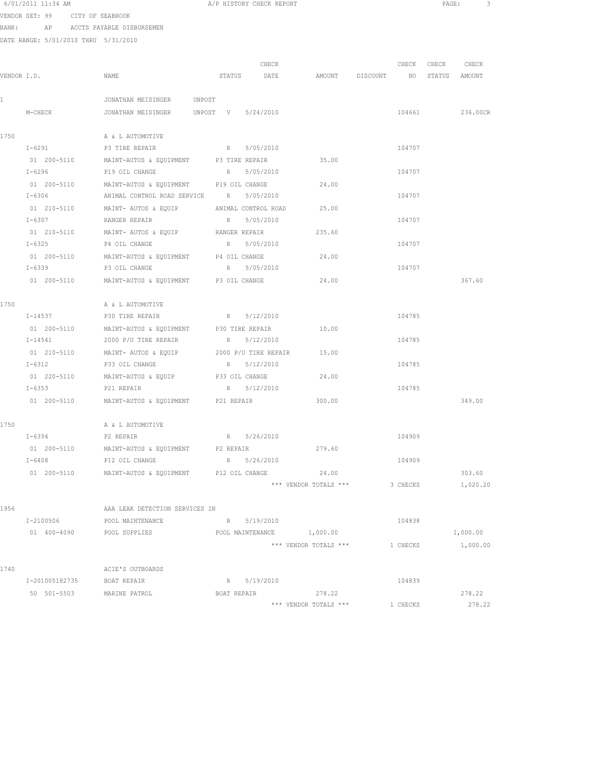|      | 6/01/2011 11:34 AM                   |                                                                    | A/P HISTORY CHECK REPORT                     |                       |          |                   | PAGE:<br>-3 |
|------|--------------------------------------|--------------------------------------------------------------------|----------------------------------------------|-----------------------|----------|-------------------|-------------|
|      | VENDOR SET: 99 CITY OF SEABROOK      |                                                                    |                                              |                       |          |                   |             |
|      | BANK: AP ACCTS PAYABLE DISBURSEMEN   |                                                                    |                                              |                       |          |                   |             |
|      | DATE RANGE: 5/01/2010 THRU 5/31/2010 |                                                                    |                                              |                       |          |                   |             |
|      |                                      |                                                                    |                                              |                       |          |                   |             |
|      |                                      |                                                                    | CHECK                                        |                       |          | CHECK CHECK CHECK |             |
|      | VENDOR I.D.                          | NAME                                                               | STATUS DATE AMOUNT DISCOUNT NO STATUS AMOUNT |                       |          |                   |             |
|      |                                      |                                                                    |                                              |                       |          |                   |             |
|      |                                      | JONATHAN MEISINGER UNPOST                                          |                                              |                       |          |                   |             |
|      | M-CHECK                              | JONATHAN MEISINGER UNPOST V 5/24/2010                              |                                              |                       |          | 104661            | 236.00CR    |
| 1750 |                                      | A & L AUTOMOTIVE                                                   |                                              |                       |          |                   |             |
|      | I-6291                               | P3 TIRE REPAIR                                                     | R 5/05/2010                                  |                       | 104707   |                   |             |
|      | 01 200-5110                          | MAINT-AUTOS & EQUIPMENT P3 TIRE REPAIR                             |                                              | 35.00                 |          |                   |             |
|      | I-6296                               | P19 OIL CHANGE                                                     | R 5/05/2010                                  |                       | 104707   |                   |             |
|      | 01 200-5110                          | MAINT-AUTOS & EQUIPMENT P19 OIL CHANGE                             |                                              | 24.00                 |          |                   |             |
|      | $I - 6306$                           | ANIMAL CONTROL ROAD SERVICE R 5/05/2010                            |                                              |                       | 104707   |                   |             |
|      |                                      | 01 210-5110 MAINT-AUTOS & EQUIP ANIMAL CONTROL ROAD 25.00          |                                              |                       |          |                   |             |
|      | $I - 6307$                           | RANGER REPAIR                                                      | R 5/05/2010                                  |                       | 104707   |                   |             |
|      |                                      | 01  210-5110   MAINT- AUTOS & EQUIP   RANGER REPAIR                |                                              | 235.60                |          |                   |             |
|      | $I - 6325$                           | P4 OIL CHANGE R 5/05/2010                                          |                                              |                       | 104707   |                   |             |
|      |                                      | 01 200-5110 MAINT-AUTOS & EQUIPMENT P4 OIL CHANGE                  |                                              | 24.00                 |          |                   |             |
|      | $I - 6339$                           | P3 OIL CHANGE                                                      | R 5/05/2010                                  |                       | 104707   |                   |             |
|      | 01 200-5110                          | MAINT-AUTOS & EQUIPMENT P3 OIL CHANGE                              |                                              | 24.00                 |          |                   | 367.60      |
| 1750 |                                      |                                                                    |                                              |                       |          |                   |             |
|      | I-14537                              | A & L AUTOMOTIVE<br>P30 TIRE REPAIR                                | R 5/12/2010                                  |                       | 104785   |                   |             |
|      | 01 200-5110                          | MAINT-AUTOS & EQUIPMENT P30 TIRE REPAIR                            |                                              | 10.00                 |          |                   |             |
|      | I-14541                              | 2000 P/U TIRE REPAIR                                               | R 5/12/2010                                  |                       | 104785   |                   |             |
|      |                                      | 01  210-5110   MAINT- AUTOS & EQUIP   2000 P/U TIRE REPAIR   15.00 |                                              |                       |          |                   |             |
|      | $I-6312$                             | P33 OIL CHANGE                                                     | R 5/12/2010                                  |                       | 104785   |                   |             |
|      |                                      | 01 220-5110 MAINT-AUTOS & EQUIP P33 OIL CHANGE 24.00               |                                              |                       |          |                   |             |
|      |                                      | I-6353 P21 REPAIR                                                  | R 5/12/2010                                  |                       | 104785   |                   |             |
|      |                                      | 01 200-5110 MAINT-AUTOS & EQUIPMENT P21 REPAIR                     |                                              | 300.00                |          |                   | 349.00      |
|      |                                      |                                                                    |                                              |                       |          |                   |             |
| 1750 |                                      | A & L AUTOMOTIVE                                                   |                                              |                       |          |                   |             |
|      | $I-6394$                             | P2 REPAIR                                                          | R 5/26/2010                                  |                       | 104909   |                   |             |
|      | 01 200-5110                          | MAINT-AUTOS & EQUIPMENT                                            | P2 REPAIR                                    | 279.60                |          |                   |             |
|      | I-6408                               | P12 OIL CHANGE                                                     | R 5/26/2010                                  |                       | 104909   |                   |             |
|      | 01 200-5110                          | MAINT-AUTOS & EQUIPMENT                                            | P12 OIL CHANGE                               | 24.00                 |          |                   | 303.60      |
|      |                                      |                                                                    |                                              | *** VENDOR TOTALS *** | 3 CHECKS |                   | 1,020.20    |
| 1956 |                                      | AAA LEAK DETECTION SERVICES IN                                     |                                              |                       |          |                   |             |
|      | I-2100506                            | POOL MAINTENANCE                                                   | R 5/19/2010                                  |                       | 104838   |                   |             |
|      | 01 400-4090                          | POOL SUPPLIES                                                      | POOL MAINTENANCE 1,000.00                    |                       |          |                   | 1,000.00    |
|      |                                      |                                                                    |                                              | *** VENDOR TOTALS *** | 1 CHECKS |                   | 1,000.00    |
| 1740 |                                      | ACIE'S OUTBOARDS                                                   |                                              |                       |          |                   |             |
|      | I-201005182735                       | BOAT REPAIR                                                        | R 5/19/2010                                  |                       | 104839   |                   |             |
|      |                                      |                                                                    |                                              |                       |          |                   |             |

50 501-5503 MARINE PATROL BOAT REPAIR 278.22 278.22 278.22 278.22 278.22

\*\*\* VENDOR TOTALS \*\*\* 1 CHECKS 278.22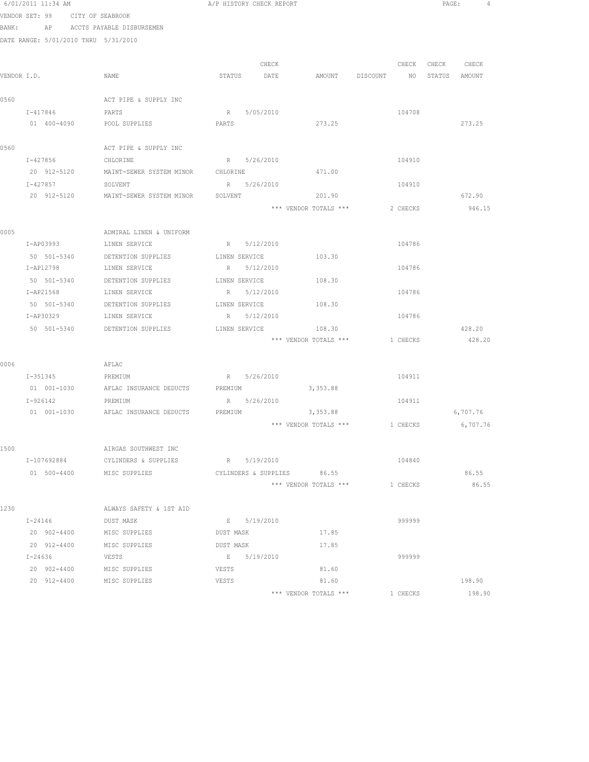|      | 6/01/2011 11:34 AM                   |                                             | A/P HISTORY CHECK REPORT |           |                                |                 | PAGE:         |          |
|------|--------------------------------------|---------------------------------------------|--------------------------|-----------|--------------------------------|-----------------|---------------|----------|
|      | VENDOR SET: 99 CITY OF SEABROOK      |                                             |                          |           |                                |                 |               |          |
|      | BANK: AP ACCTS PAYABLE DISBURSEMEN   |                                             |                          |           |                                |                 |               |          |
|      | DATE RANGE: 5/01/2010 THRU 5/31/2010 |                                             |                          |           |                                |                 |               |          |
|      |                                      |                                             |                          |           |                                |                 |               |          |
|      |                                      |                                             |                          | CHECK     |                                | CHECK           | CHECK CHECK   |          |
|      | VENDOR I.D.                          | NAME                                        | STATUS DATE              |           | AMOUNT DISCOUNT                | NO <sub>1</sub> | STATUS AMOUNT |          |
|      |                                      |                                             |                          |           |                                |                 |               |          |
| 0560 |                                      | ACT PIPE & SUPPLY INC                       |                          |           |                                |                 |               |          |
|      | I-417846                             | PARTS                                       | R 5/05/2010              |           |                                | 104708          |               |          |
|      | 01 400-4090                          | POOL SUPPLIES                               | PARTS                    |           | 273.25                         |                 |               | 273.25   |
|      |                                      |                                             |                          |           |                                |                 |               |          |
| 0560 |                                      | ACT PIPE & SUPPLY INC                       |                          |           |                                |                 |               |          |
|      | I-427856                             | CHLORINE                                    | R 5/26/2010              |           |                                | 104910          |               |          |
|      | 20 912-5120                          | MAINT-SEWER SYSTEM MINOR CHLORINE           |                          |           | 471.00                         |                 |               |          |
|      | I-427857                             | SOLVENT                                     | R 5/26/2010              |           |                                | 104910          |               |          |
|      |                                      | 20 912-5120 MAINT-SEWER SYSTEM MINOR        | SOLVENT                  |           | 201.90                         |                 |               | 672.90   |
|      |                                      |                                             |                          |           | *** VENDOR TOTALS ***          | 2 CHECKS        |               | 946.15   |
|      |                                      |                                             |                          |           |                                |                 |               |          |
| 0005 |                                      | ADMIRAL LINEN & UNIFORM                     |                          |           |                                |                 |               |          |
|      | I-AP03993                            | LINEN SERVICE                               | R 5/12/2010              |           |                                | 104786          |               |          |
|      | 50 501-5340                          | DETENTION SUPPLIES                          | LINEN SERVICE            |           | 103.30                         |                 |               |          |
|      | I-AP12798                            | LINEN SERVICE                               | R 5/12/2010              |           |                                | 104786          |               |          |
|      | 50 501-5340                          | DETENTION SUPPLIES                          | LINEN SERVICE            |           | 108.30                         |                 |               |          |
|      | I-AP21568                            | LINEN SERVICE                               | R 5/12/2010              |           |                                | 104786          |               |          |
|      | 50 501-5340                          | DETENTION SUPPLIES                          | LINEN SERVICE            |           | 108.30                         |                 |               |          |
|      | I-AP30329                            | LINEN SERVICE                               | $R_{\perp}$              | 5/12/2010 |                                | 104786          |               |          |
|      | 50 501-5340                          | DETENTION SUPPLIES                          | LINEN SERVICE            |           | 108.30                         |                 |               | 428.20   |
|      |                                      |                                             |                          |           | *** VENDOR TOTALS *** 1 CHECKS |                 |               | 428.20   |
| 0006 |                                      | AFLAC                                       |                          |           |                                |                 |               |          |
|      | I-351345 PREMIUM                     |                                             | R 5/26/2010              |           |                                | 104911          |               |          |
|      |                                      | 01 001-1030 AFLAC INSURANCE DEDUCTS PREMIUM |                          |           | 3,353.88                       |                 |               |          |
|      | I-926142                             | PREMIUM                                     | R 5/26/2010              |           |                                | 104911          |               |          |
|      |                                      | 01 001-1030 AFLAC INSURANCE DEDUCTS PREMIUM |                          |           | 3,353.88                       |                 |               | 6,707.76 |
|      |                                      |                                             |                          |           | *** VENDOR TOTALS *** 1 CHECKS |                 |               | 6,707.76 |
|      |                                      |                                             |                          |           |                                |                 |               |          |
| 1500 |                                      | AIRGAS SOUTHWEST INC                        |                          |           |                                |                 |               |          |
|      | I-107692884                          | CYLINDERS & SUPPLIES                        | R 5/19/2010              |           |                                | 104840          |               |          |
|      | 01 500-4400 MISC SUPPLIES            |                                             |                          |           | CYLINDERS & SUPPLIES 86.55     |                 |               | 86.55    |
|      |                                      |                                             |                          |           | *** VENDOR TOTALS ***          | 1 CHECKS        |               | 86.55    |
|      |                                      |                                             |                          |           |                                |                 |               |          |
| 1230 |                                      | ALWAYS SAFETY & 1ST AID                     |                          |           |                                |                 |               |          |
|      | $I - 24146$                          | DUST MASK                                   | E 5/19/2010              |           |                                | 999999          |               |          |
|      | 20 902-4400 MISC SUPPLIES            |                                             | DUST MASK                |           | 17.85                          |                 |               |          |
|      | 20 912-4400                          | MISC SUPPLIES                               | DUST MASK                |           | 17.85                          |                 |               |          |
|      | I-24636                              | VESTS                                       | E 5/19/2010              |           |                                | 999999          |               |          |
|      | 20 902-4400                          | MISC SUPPLIES                               | VESTS                    |           | 81.60                          |                 |               |          |
|      | 20 912-4400                          | MISC SUPPLIES                               | VESTS                    |           | 81.60                          |                 |               | 198.90   |
|      |                                      |                                             |                          |           | *** VENDOR TOTALS ***          | 1 CHECKS        |               | 198.90   |
|      |                                      |                                             |                          |           |                                |                 |               |          |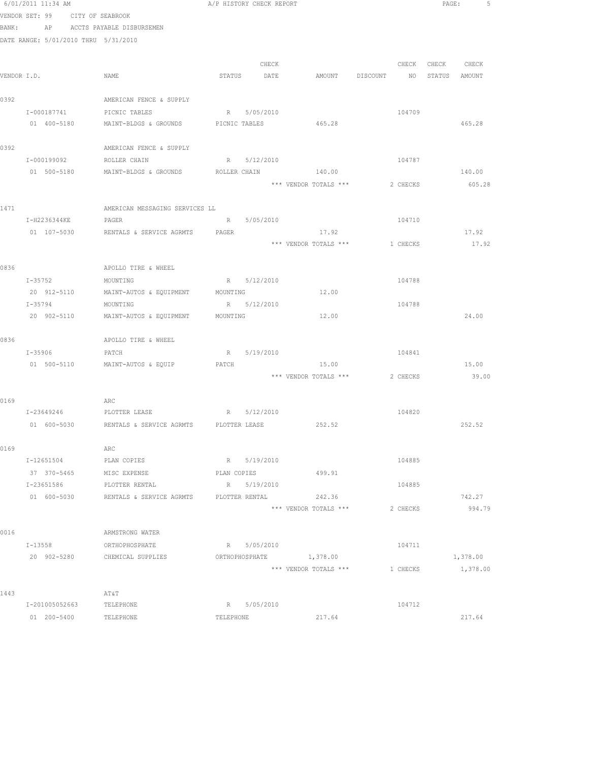|      | 6/01/2011 11:34 AM                   | A/P HISTORY CHECK REPORT                                  |                |             |                                  |          |                   | PAGE: 5  |
|------|--------------------------------------|-----------------------------------------------------------|----------------|-------------|----------------------------------|----------|-------------------|----------|
|      | VENDOR SET: 99 CITY OF SEABROOK      |                                                           |                |             |                                  |          |                   |          |
|      | BANK: AP ACCTS PAYABLE DISBURSEMEN   |                                                           |                |             |                                  |          |                   |          |
|      | DATE RANGE: 5/01/2010 THRU 5/31/2010 |                                                           |                |             |                                  |          |                   |          |
|      |                                      |                                                           |                | CHECK       |                                  |          | CHECK CHECK CHECK |          |
|      | VENDOR I.D.                          | NAME                                                      |                | STATUS DATE | AMOUNT DISCOUNT NO STATUS AMOUNT |          |                   |          |
| 0392 |                                      | AMERICAN FENCE & SUPPLY                                   |                |             |                                  |          |                   |          |
|      | I-000187741                          | PICNIC TABLES                                             |                | R 5/05/2010 |                                  | 104709   |                   |          |
|      | 01 400-5180                          | MAINT-BLDGS & GROUNDS                                     | PICNIC TABLES  |             | 465.28                           |          |                   | 465.28   |
| 0392 |                                      | AMERICAN FENCE & SUPPLY                                   |                |             |                                  |          |                   |          |
|      | I-000199092                          | ROLLER CHAIN                                              |                | R 5/12/2010 |                                  | 104787   |                   |          |
|      | 01 500-5180                          | MAINT-BLDGS & GROUNDS ROLLER CHAIN 140.00                 |                |             |                                  |          |                   | 140.00   |
|      |                                      |                                                           |                |             | *** VENDOR TOTALS ***            | 2 CHECKS |                   | 605.28   |
| 1471 |                                      | AMERICAN MESSAGING SERVICES LL                            |                |             |                                  |          |                   |          |
|      | I-H2236344KE                         | PAGER                                                     |                | R 5/05/2010 |                                  | 104710   |                   |          |
|      | 01 107-5030                          | RENTALS & SERVICE AGRMTS PAGER                            |                |             | 17.92                            |          |                   | 17.92    |
|      |                                      |                                                           |                |             | *** VENDOR TOTALS ***            | 1 CHECKS |                   | 17.92    |
|      |                                      |                                                           |                |             |                                  |          |                   |          |
| 0836 |                                      | APOLLO TIRE & WHEEL                                       |                |             |                                  |          |                   |          |
|      | $I - 35752$                          | MOUNTING                                                  |                | R 5/12/2010 |                                  | 104788   |                   |          |
|      | 20 912-5110                          | MAINT-AUTOS & EQUIPMENT                                   | MOUNTING       |             | 12.00                            |          |                   |          |
|      | I-35794                              | MOUNTING                                                  |                | R 5/12/2010 |                                  | 104788   |                   |          |
|      | 20 902-5110                          | MAINT-AUTOS & EQUIPMENT MOUNTING                          |                |             | 12.00                            |          |                   | 24.00    |
| 0836 |                                      | APOLLO TIRE & WHEEL                                       |                |             |                                  |          |                   |          |
|      | I-35906                              | PATCH                                                     |                | R 5/19/2010 |                                  | 104841   |                   |          |
|      |                                      | 01 500-5110 MAINT-AUTOS & EQUIP                           | PATCH          |             | 15.00                            |          |                   | 15.00    |
|      |                                      |                                                           |                |             | *** VENDOR TOTALS ***            | 2 CHECKS |                   | 39.00    |
| 0169 |                                      | ARC                                                       |                |             |                                  |          |                   |          |
|      | I-23649246                           | PLOTTER LEASE                                             | R 5/12/2010    |             |                                  | 104820   |                   |          |
|      |                                      | 01 600-5030 RENTALS & SERVICE AGRMTS PLOTTER LEASE 252.52 |                |             |                                  |          |                   | 252.52   |
| 0169 |                                      | ARC                                                       |                |             |                                  |          |                   |          |
|      | I-12651504                           | PLAN COPIES                                               |                | R 5/19/2010 |                                  | 104885   |                   |          |
|      | 37 370-5465 MISC EXPENSE             |                                                           | PLAN COPIES    |             | 499.91                           |          |                   |          |
|      | I-23651586                           | PLOTTER RENTAL                                            | R 5/19/2010    |             |                                  | 104885   |                   |          |
|      |                                      | 01 600-5030 RENTALS & SERVICE AGRMTS                      | PLOTTER RENTAL |             | 242.36                           |          |                   | 742.27   |
|      |                                      |                                                           |                |             | *** VENDOR TOTALS ***            | 2 CHECKS |                   | 994.79   |
| 0016 |                                      | ARMSTRONG WATER                                           |                |             |                                  |          |                   |          |
|      | I-13558                              | ORTHOPHOSPHATE                                            |                | R 5/05/2010 |                                  | 104711   |                   |          |
|      | 20 902-5280                          | CHEMICAL SUPPLIES                                         |                |             | ORTHOPHOSPHATE 1,378.00          |          |                   | 1,378.00 |
|      |                                      |                                                           |                |             | *** VENDOR TOTALS ***            | 1 CHECKS |                   | 1,378.00 |
| 1443 |                                      | AT&T                                                      |                |             |                                  |          |                   |          |
|      | I-201005052663                       | TELEPHONE                                                 |                | R 5/05/2010 |                                  | 104712   |                   |          |
|      | 01 200-5400                          | TELEPHONE                                                 | TELEPHONE      |             | 217.64                           |          |                   | 217.64   |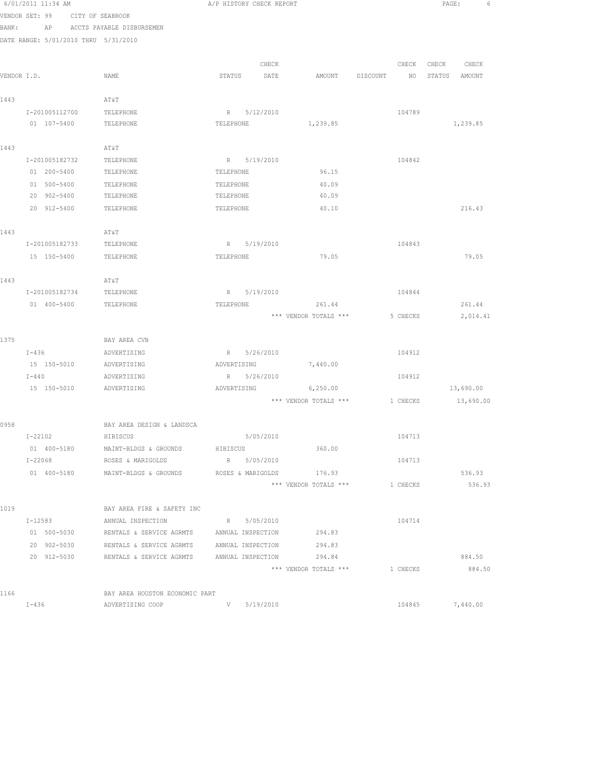|             | 6/01/2011 11:34 AM                   |                                                   | A/P HISTORY CHECK REPORT |                   |                       |          |          | PAGE:  |           | 6 |
|-------------|--------------------------------------|---------------------------------------------------|--------------------------|-------------------|-----------------------|----------|----------|--------|-----------|---|
|             | VENDOR SET: 99<br>CITY OF SEABROOK   |                                                   |                          |                   |                       |          |          |        |           |   |
| BANK:       | AP                                   | ACCTS PAYABLE DISBURSEMEN                         |                          |                   |                       |          |          |        |           |   |
|             | DATE RANGE: 5/01/2010 THRU 5/31/2010 |                                                   |                          |                   |                       |          |          |        |           |   |
|             |                                      |                                                   |                          |                   |                       |          |          |        |           |   |
|             |                                      |                                                   |                          | CHECK             |                       |          | CHECK    | CHECK  | CHECK     |   |
| VENDOR I.D. |                                      | NAME                                              | STATUS                   | DATE              | AMOUNT                | DISCOUNT | NO       | STATUS | AMOUNT    |   |
|             |                                      |                                                   |                          |                   |                       |          |          |        |           |   |
| 1443        |                                      | AT&T                                              |                          |                   |                       |          |          |        |           |   |
|             | I-201005112700                       | TELEPHONE                                         |                          | R 5/12/2010       |                       |          | 104789   |        |           |   |
|             | 01 107-5400                          | TELEPHONE                                         | TELEPHONE                |                   | 1,239.85              |          |          |        | 1,239.85  |   |
|             |                                      |                                                   |                          |                   |                       |          |          |        |           |   |
| 1443        |                                      | AT&T                                              |                          |                   |                       |          |          |        |           |   |
|             | I-201005182732                       | TELEPHONE                                         |                          | R 5/19/2010       |                       |          | 104842   |        |           |   |
|             | 01 200-5400                          | TELEPHONE                                         | TELEPHONE                |                   | 96.15                 |          |          |        |           |   |
|             | 01 500-5400                          | TELEPHONE                                         | TELEPHONE                |                   | 40.09                 |          |          |        |           |   |
|             | 20 902-5400                          | TELEPHONE                                         | TELEPHONE                |                   | 40.09                 |          |          |        |           |   |
|             | 20 912-5400                          | TELEPHONE                                         | TELEPHONE                |                   | 40.10                 |          |          |        | 216.43    |   |
|             |                                      |                                                   |                          |                   |                       |          |          |        |           |   |
| 1443        |                                      | AT&T                                              |                          |                   |                       |          |          |        |           |   |
|             | I-201005182733                       | TELEPHONE                                         | $R_{\perp}$              | 5/19/2010         |                       |          | 104843   |        |           |   |
|             | 15 150-5400                          | TELEPHONE                                         | TELEPHONE                |                   | 79.05                 |          |          |        | 79.05     |   |
|             |                                      |                                                   |                          |                   |                       |          |          |        |           |   |
| 1443        |                                      | AT&T                                              |                          |                   |                       |          |          |        |           |   |
|             | I-201005182734                       | TELEPHONE                                         |                          | R 5/19/2010       |                       |          | 104844   |        |           |   |
|             | 01 400-5400                          | TELEPHONE                                         | TELEPHONE                |                   | 261.44                |          |          |        | 261.44    |   |
|             |                                      |                                                   |                          |                   | *** VENDOR TOTALS *** |          | 5 CHECKS |        | 2,014.41  |   |
| 1375        |                                      | BAY AREA CVB                                      |                          |                   |                       |          |          |        |           |   |
|             | $I-436$                              | ADVERTISING                                       |                          | R 5/26/2010       |                       |          | 104912   |        |           |   |
|             | 15 150-5010                          | ADVERTISING                                       | ADVERTISING              |                   | 7,440.00              |          |          |        |           |   |
|             | $I-440$                              | ADVERTISING                                       | R                        | 5/26/2010         |                       |          | 104912   |        |           |   |
|             | 15 150-5010                          | ADVERTISING                                       | ADVERTISING              |                   | 6,250.00              |          |          |        | 13,690.00 |   |
|             |                                      |                                                   |                          |                   | *** VENDOR TOTALS *** |          | 1 CHECKS |        | 13,690.00 |   |
|             |                                      |                                                   |                          |                   |                       |          |          |        |           |   |
| 0958        |                                      | BAY AREA DESIGN & LANDSCA                         |                          |                   |                       |          |          |        |           |   |
|             | I-22102                              | HIBISCUS                                          |                          | 5/05/2010         |                       |          | 104713   |        |           |   |
|             | 01 400-5180                          | MAINT-BLDGS & GROUNDS                             | HIBISCUS                 |                   | 360.00                |          |          |        |           |   |
|             | I-22068                              | ROSES & MARIGOLDS                                 |                          | R 5/05/2010       |                       |          | 104713   |        |           |   |
|             | 01 400-5180                          | MAINT-BLDGS & GROUNDS                             |                          | ROSES & MARIGOLDS | 176.93                |          |          |        | 536.93    |   |
|             |                                      |                                                   |                          |                   | *** VENDOR TOTALS *** |          | 1 CHECKS |        | 536.93    |   |
|             |                                      |                                                   |                          |                   |                       |          |          |        |           |   |
| 1019        |                                      | BAY AREA FIRE & SAFETY INC                        |                          |                   |                       |          |          |        |           |   |
|             | I-12583                              | ANNUAL INSPECTION                                 |                          | R 5/05/2010       |                       |          | 104714   |        |           |   |
|             | 01 500-5030                          | RENTALS & SERVICE AGRMTS ANNUAL INSPECTION        |                          |                   | 294.83                |          |          |        |           |   |
|             | 20 902-5030                          | RENTALS & SERVICE AGRMTS ANNUAL INSPECTION        |                          |                   | 294.83                |          |          |        |           |   |
|             | 20 912-5030                          | RENTALS & SERVICE AGRMTS ANNUAL INSPECTION 294.84 |                          |                   |                       |          |          |        | 884.50    |   |
|             |                                      |                                                   |                          |                   | *** VENDOR TOTALS *** |          | 1 CHECKS |        | 884.50    |   |
|             |                                      |                                                   |                          |                   |                       |          |          |        |           |   |
| 1166        |                                      | BAY AREA HOUSTON ECONOMIC PART                    |                          |                   |                       |          |          |        |           |   |

I-436 ADVERTISING COOP V 5/19/2010 104845 7,440.00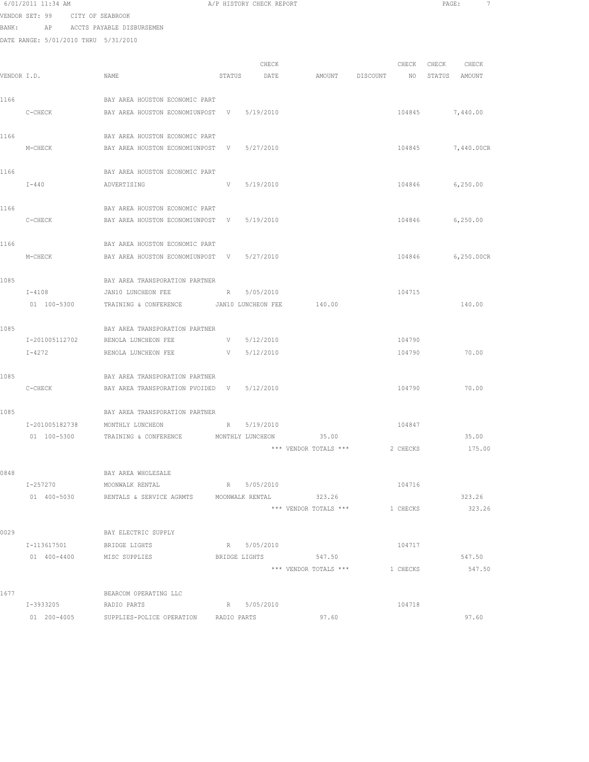# 6/01/2011 11:34 AM **A**/P HISTORY CHECK REPORT **PAGE:** 7 VENDOR SET: 99 CITY OF SEABROOK

BANK: AP ACCTS PAYABLE DISBURSEMEN

DATE RANGE: 5/01/2010 THRU 5/31/2010

| VENDOR I.D. |                       | NAME                                                        | STATUS        | CHECK<br>DATE   | AMOUNT DISCOUNT                |        | CHECK<br>NO | CHECK | CHECK<br>STATUS AMOUNT |
|-------------|-----------------------|-------------------------------------------------------------|---------------|-----------------|--------------------------------|--------|-------------|-------|------------------------|
| 1166        |                       | BAY AREA HOUSTON ECONOMIC PART                              |               |                 |                                |        |             |       |                        |
|             | C-CHECK               | BAY AREA HOUSTON ECONOMIUNPOST V 5/19/2010                  |               |                 |                                |        |             |       | 104845 7,440.00        |
| 1166        |                       | BAY AREA HOUSTON ECONOMIC PART                              |               |                 |                                |        |             |       |                        |
|             | M-CHECK               | BAY AREA HOUSTON ECONOMIUNPOST V 5/27/2010                  |               |                 |                                |        |             |       | 104845 7,440.00CR      |
| 1166        |                       | BAY AREA HOUSTON ECONOMIC PART                              |               |                 |                                |        |             |       |                        |
|             | $I-440$               | ADVERTISING                                                 | V             | 5/19/2010       |                                |        |             |       | 104846 6,250.00        |
| 1166        |                       | BAY AREA HOUSTON ECONOMIC PART                              |               |                 |                                |        |             |       |                        |
|             | C-CHECK               | BAY AREA HOUSTON ECONOMIUNPOST V 5/19/2010                  |               |                 |                                |        |             |       | 104846 6,250.00        |
| 1166        |                       | BAY AREA HOUSTON ECONOMIC PART                              |               |                 |                                |        |             |       |                        |
|             | M-CHECK               | BAY AREA HOUSTON ECONOMIUNPOST V 5/27/2010                  |               |                 |                                |        | 104846      |       | 6,250.00CR             |
| 1085        |                       | BAY AREA TRANSPORATION PARTNER                              |               |                 |                                |        |             |       |                        |
|             | I-4108                | JAN10 LUNCHEON FEE                                          |               | R 5/05/2010     |                                |        | 104715      |       |                        |
|             | 01 100-5300           | TRAINING & CONFERENCE<br>JAN10 LUNCHEON FEE                 |               |                 | 140.00                         |        |             |       | 140.00                 |
| 1085        |                       | BAY AREA TRANSPORATION PARTNER                              |               |                 |                                |        |             |       |                        |
|             |                       | I-201005112702 RENOLA LUNCHEON FEE                          | <b>V</b>      | 5/12/2010       |                                |        | 104790      |       |                        |
|             | $I-4272$              | RENOLA LUNCHEON FEE                                         |               | $V = 5/12/2010$ |                                |        | 104790      |       | 70.00                  |
| 1085        |                       | BAY AREA TRANSPORATION PARTNER                              |               |                 |                                |        |             |       |                        |
|             | $C-CHECK$             | BAY AREA TRANSPORATION PVOIDED V 5/12/2010                  |               |                 |                                |        | 104790      |       | 70.00                  |
| 1085        |                       | BAY AREA TRANSPORATION PARTNER                              |               |                 |                                |        |             |       |                        |
|             | I-201005182738        | MONTHLY LUNCHEON                                            | $R_{\rm max}$ | 5/19/2010       |                                |        | 104847      |       |                        |
|             |                       | 01 100-5300 TRAINING & CONFERENCE MONTHLY LUNCHEON 35.00    |               |                 |                                |        |             |       | 35.00                  |
|             |                       |                                                             |               |                 | *** VENDOR TOTALS ***          |        | 2 CHECKS    |       | 175.00                 |
| 0848        |                       | BAY AREA WHOLESALE                                          |               |                 |                                |        |             |       |                        |
|             |                       |                                                             |               |                 |                                | 104716 |             |       |                        |
|             |                       | 01 400-5030 RENTALS & SERVICE AGRMTS MOONWALK RENTAL 323.26 |               |                 |                                |        |             |       | 323.26                 |
|             |                       |                                                             |               |                 | *** VENDOR TOTALS *** 1 CHECKS |        |             |       | 323.26                 |
| 0029        |                       | BAY ELECTRIC SUPPLY                                         |               |                 |                                |        |             |       |                        |
|             | I-113617501           | BRIDGE LIGHTS                                               |               | R 5/05/2010     |                                |        | 104717      |       |                        |
|             | 01 400-4400           | MISC SUPPLIES                                               |               | BRIDGE LIGHTS   | 547.50                         |        |             |       | 547.50                 |
|             |                       |                                                             |               |                 | *** VENDOR TOTALS *** 1 CHECKS |        |             |       | 547.50                 |
| 1677        |                       | BEARCOM OPERATING LLC                                       |               |                 |                                |        |             |       |                        |
|             | I-3933205 RADIO PARTS |                                                             |               | R 5/05/2010     |                                |        | 104718      |       |                        |
|             |                       | 01  200-4005  SUPPLIES-POLICE OPERATION  RADIO PARTS        |               |                 | 97.60                          |        |             |       | 97.60                  |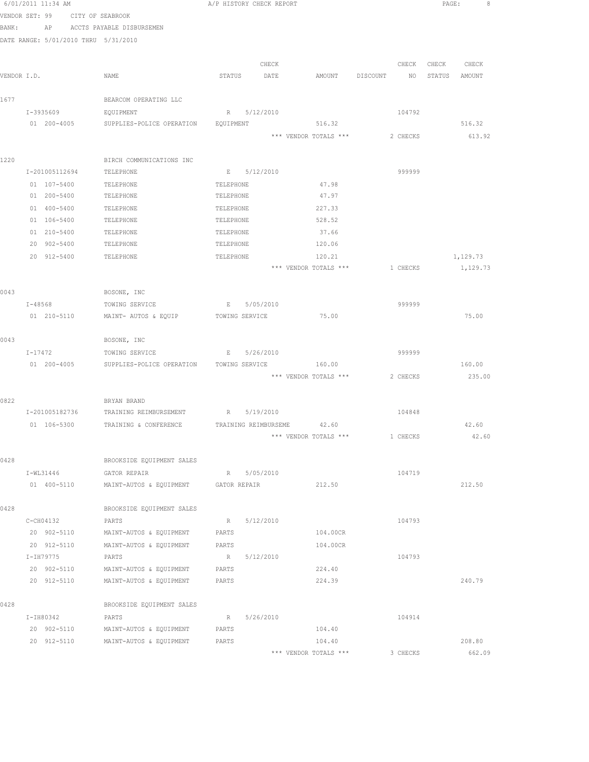|             | 6/01/2011 11:34 AM                   |                                                 | A/P HISTORY CHECK REPORT |           |                                                         |          |          | PAGE:  |                      |  |
|-------------|--------------------------------------|-------------------------------------------------|--------------------------|-----------|---------------------------------------------------------|----------|----------|--------|----------------------|--|
|             | VENDOR SET: 99<br>CITY OF SEABROOK   |                                                 |                          |           |                                                         |          |          |        |                      |  |
| BANK:       |                                      | AP ACCTS PAYABLE DISBURSEMEN                    |                          |           |                                                         |          |          |        |                      |  |
|             | DATE RANGE: 5/01/2010 THRU 5/31/2010 |                                                 |                          |           |                                                         |          |          |        |                      |  |
|             |                                      |                                                 |                          |           |                                                         |          |          |        |                      |  |
|             |                                      |                                                 |                          | CHECK     |                                                         |          | CHECK    | CHECK  | CHECK                |  |
| VENDOR I.D. |                                      | NAME                                            | STATUS                   | DATE      | AMOUNT                                                  | DISCOUNT | NO       | STATUS | AMOUNT               |  |
| 1677        |                                      | BEARCOM OPERATING LLC                           |                          |           |                                                         |          |          |        |                      |  |
|             | I-3935609                            | EQUIPMENT                                       | R 5/12/2010              |           |                                                         |          | 104792   |        |                      |  |
|             | 01 200-4005                          | SUPPLIES-POLICE OPERATION                       | EQUIPMENT                |           | 516.32                                                  |          |          |        | 516.32               |  |
|             |                                      |                                                 |                          |           | *** VENDOR TOTALS ***                                   |          | 2 CHECKS |        | 613.92               |  |
|             |                                      |                                                 |                          |           |                                                         |          |          |        |                      |  |
| 1220        |                                      | BIRCH COMMUNICATIONS INC                        |                          |           |                                                         |          |          |        |                      |  |
|             | I-201005112694                       | TELEPHONE                                       | E 5/12/2010              |           |                                                         |          | 999999   |        |                      |  |
|             | 01 107-5400                          | TELEPHONE                                       | TELEPHONE                |           | 47.98                                                   |          |          |        |                      |  |
|             | 01 200-5400                          | TELEPHONE                                       | TELEPHONE                |           | 47.97                                                   |          |          |        |                      |  |
|             | 01 400-5400                          | TELEPHONE                                       | TELEPHONE                |           | 227.33                                                  |          |          |        |                      |  |
|             | 01 106-5400                          | TELEPHONE                                       | TELEPHONE                |           | 528.52                                                  |          |          |        |                      |  |
|             | 01 210-5400                          | TELEPHONE                                       | TELEPHONE                |           | 37.66                                                   |          |          |        |                      |  |
|             | 20 902-5400                          | TELEPHONE                                       | TELEPHONE                |           | 120.06                                                  |          |          |        |                      |  |
|             | 20 912-5400                          | TELEPHONE                                       | TELEPHONE                |           | 120.21<br>*** VENDOR TOTALS ***                         |          | 1 CHECKS |        | 1,129.73<br>1,129.73 |  |
|             |                                      |                                                 |                          |           |                                                         |          |          |        |                      |  |
| 0043        |                                      | BOSONE, INC                                     |                          |           |                                                         |          |          |        |                      |  |
|             | $I - 48568$                          | TOWING SERVICE                                  | E                        | 5/05/2010 |                                                         |          | 999999   |        |                      |  |
|             | 01 210-5110                          | MAINT- AUTOS & EQUIP                            | TOWING SERVICE           |           | 75.00                                                   |          |          |        | 75.00                |  |
|             |                                      |                                                 |                          |           |                                                         |          |          |        |                      |  |
| 0043        |                                      | BOSONE, INC                                     |                          |           |                                                         |          |          |        |                      |  |
|             | I-17472                              | TOWING SERVICE                                  | $\mathbf{E}$             | 5/26/2010 |                                                         |          | 999999   |        |                      |  |
|             | 01 200-4005                          | SUPPLIES-POLICE OPERATION                       | TOWING SERVICE           |           | 160.00                                                  |          |          |        | 160.00               |  |
|             |                                      |                                                 |                          |           | *** VENDOR TOTALS ***                                   |          | 2 CHECKS |        | 235.00               |  |
|             |                                      |                                                 |                          |           |                                                         |          |          |        |                      |  |
| 0822        | I-201005182736                       | BRYAN BRAND                                     | R 5/19/2010              |           |                                                         |          |          |        |                      |  |
|             | 01 106-5300                          | TRAINING REIMBURSEMENT<br>TRAINING & CONFERENCE | TRAINING REIMBURSEME     |           | 42.60                                                   |          | 104848   |        | 42.60                |  |
|             |                                      |                                                 |                          |           | $^{\star\star\star}$ VENDOR TOTALS $^{\star\star\star}$ |          | 1 CHECKS |        | 42.60                |  |
|             |                                      |                                                 |                          |           |                                                         |          |          |        |                      |  |
| 0428        |                                      | BROOKSIDE EQUIPMENT SALES                       |                          |           |                                                         |          |          |        |                      |  |
|             | I-WL31446                            | GATOR REPAIR                                    | R 5/05/2010              |           |                                                         |          | 104719   |        |                      |  |
|             | 01 400-5110                          | MAINT-AUTOS & EQUIPMENT                         | GATOR REPAIR             |           | 212.50                                                  |          |          |        | 212.50               |  |
|             |                                      |                                                 |                          |           |                                                         |          |          |        |                      |  |
| 0428        |                                      | BROOKSIDE EQUIPMENT SALES                       |                          |           |                                                         |          |          |        |                      |  |
|             | C-CH04132                            | PARTS                                           | R                        | 5/12/2010 |                                                         |          | 104793   |        |                      |  |
|             | 20 902-5110                          | MAINT-AUTOS & EQUIPMENT                         | PARTS                    |           | 104.00CR                                                |          |          |        |                      |  |
|             | 20 912-5110                          | MAINT-AUTOS & EQUIPMENT                         | PARTS                    |           | 104.00CR                                                |          |          |        |                      |  |
|             | I-IH79775                            | PARTS                                           | R                        | 5/12/2010 |                                                         |          | 104793   |        |                      |  |
|             | 20 902-5110                          | MAINT-AUTOS & EQUIPMENT                         | PARTS                    |           | 224.40                                                  |          |          |        |                      |  |
|             | 20 912-5110                          | MAINT-AUTOS & EQUIPMENT                         | PARTS                    |           | 224.39                                                  |          |          |        | 240.79               |  |
| 0428        |                                      | BROOKSIDE EQUIPMENT SALES                       |                          |           |                                                         |          |          |        |                      |  |
|             | I-IH80342                            | PARTS                                           | R                        | 5/26/2010 |                                                         |          | 104914   |        |                      |  |
|             | 20 902-5110                          | MAINT-AUTOS & EQUIPMENT                         | PARTS                    |           | 104.40                                                  |          |          |        |                      |  |
|             | 20 912-5110                          | MAINT-AUTOS & EQUIPMENT                         | PARTS                    |           | 104.40                                                  |          |          |        | 208.80               |  |
|             |                                      |                                                 |                          |           | *** VENDOR TOTALS ***                                   |          | 3 CHECKS |        | 662.09               |  |
|             |                                      |                                                 |                          |           |                                                         |          |          |        |                      |  |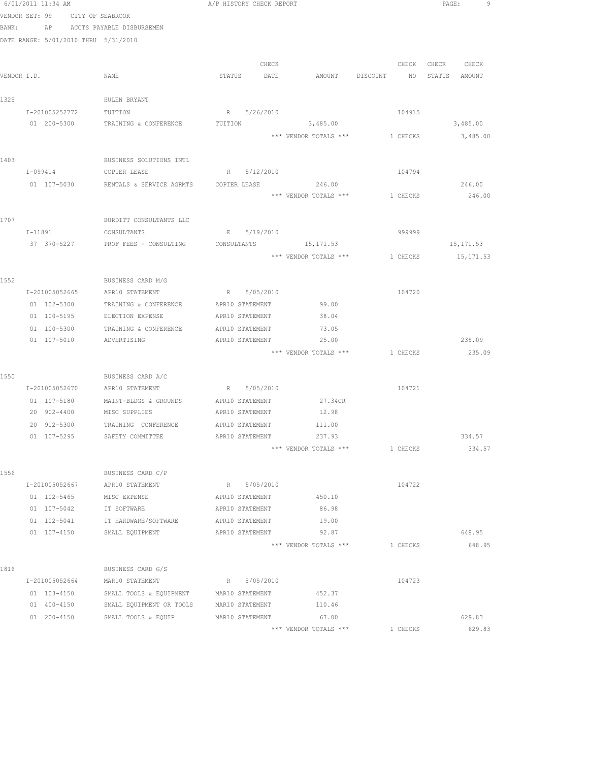|       | 6/01/2011 11:34 AM                   |                                         | A/P HISTORY CHECK REPORT |                                |                    | PAGE:<br>9        |
|-------|--------------------------------------|-----------------------------------------|--------------------------|--------------------------------|--------------------|-------------------|
|       | VENDOR SET: 99 CITY OF SEABROOK      |                                         |                          |                                |                    |                   |
| BANK: |                                      | AP ACCTS PAYABLE DISBURSEMEN            |                          |                                |                    |                   |
|       | DATE RANGE: 5/01/2010 THRU 5/31/2010 |                                         |                          |                                |                    |                   |
|       |                                      |                                         |                          |                                |                    |                   |
|       |                                      |                                         | CHECK                    |                                |                    | CHECK CHECK CHECK |
|       | VENDOR I.D.                          | NAME                                    | STATUS DATE              |                                | AMOUNT DISCOUNT NO | STATUS AMOUNT     |
|       |                                      |                                         |                          |                                |                    |                   |
| 1325  |                                      | HULEN BRYANT                            |                          |                                |                    |                   |
|       | I-201005252772                       | TUITION                                 | R 5/26/2010              |                                | 104915             |                   |
|       | 01 200-5300                          | TRAINING & CONFERENCE                   | TUITION                  | 3,485.00                       |                    | 3,485.00          |
|       |                                      |                                         |                          | *** VENDOR TOTALS *** 1 CHECKS |                    | 3,485.00          |
|       |                                      |                                         |                          |                                |                    |                   |
| 1403  |                                      | BUSINESS SOLUTIONS INTL                 |                          |                                |                    |                   |
|       | I-099414                             | COPIER LEASE                            | R 5/12/2010              |                                | 104794             |                   |
|       | 01 107-5030                          | RENTALS & SERVICE AGRMTS                | COPIER LEASE             | 246.00                         |                    | 246.00            |
|       |                                      |                                         |                          | *** VENDOR TOTALS ***          | 1 CHECKS           | 246.00            |
|       |                                      |                                         |                          |                                |                    |                   |
| 1707  |                                      | BURDITT CONSULTANTS LLC                 |                          |                                |                    |                   |
|       | I-11891                              | CONSULTANTS                             | E 5/19/2010              |                                | 999999             |                   |
|       |                                      | 37 370-5227 PROF FEES - CONSULTING      | CONSULTANTS              | 15, 171.53                     |                    | 15, 171.53        |
|       |                                      |                                         |                          | *** VENDOR TOTALS *** 1 CHECKS |                    | 15, 171.53        |
|       |                                      |                                         |                          |                                |                    |                   |
| 1552  |                                      | BUSINESS CARD M/G                       |                          |                                |                    |                   |
|       | I-201005052665                       | APR10 STATEMENT                         | R 5/05/2010              |                                | 104720             |                   |
|       | 01 102-5300                          | TRAINING & CONFERENCE                   | APR10 STATEMENT          | 99.00                          |                    |                   |
|       | 01 100-5195                          | ELECTION EXPENSE                        | APR10 STATEMENT          | 38.04                          |                    |                   |
|       | 01 100-5300                          | TRAINING & CONFERENCE                   | APR10 STATEMENT          | 73.05                          |                    |                   |
|       | 01 107-5010                          | ADVERTISING                             | APR10 STATEMENT          | 25.00                          |                    | 235.09            |
|       |                                      |                                         |                          | *** VENDOR TOTALS ***          | 1 CHECKS           | 235.09            |
|       |                                      |                                         |                          |                                |                    |                   |
| 1550  | I-201005052670                       | BUSINESS CARD A/C<br>APR10 STATEMENT    | R 5/05/2010              |                                | 104721             |                   |
|       | 01 107-5180                          | MAINT-BLDGS & GROUNDS                   | APR10 STATEMENT          | 27.34CR                        |                    |                   |
|       | 20 902-4400                          | MISC SUPPLIES                           | APR10 STATEMENT          | 12.98                          |                    |                   |
|       | 20 912-5300                          | TRAINING CONFERENCE                     | APR10 STATEMENT          | 111.00                         |                    |                   |
|       | 01 107-5295                          | SAFETY COMMITTEE                        | APR10 STATEMENT          | 237.93                         |                    | 334.57            |
|       |                                      |                                         |                          | *** VENDOR TOTALS ***          | 1 CHECKS           | 334.57            |
|       |                                      |                                         |                          |                                |                    |                   |
| 1556  |                                      | BUSINESS CARD C/P                       |                          |                                |                    |                   |
|       | I-201005052667                       | APR10 STATEMENT                         | R 5/05/2010              |                                | 104722             |                   |
|       | 01 102-5465                          | MISC EXPENSE                            | APR10 STATEMENT          | 450.10                         |                    |                   |
|       | 01 107-5042                          | IT SOFTWARE                             | APR10 STATEMENT          | 86.98                          |                    |                   |
|       | 01 102-5041                          | IT HARDWARE/SOFTWARE                    | APR10 STATEMENT          | 19.00                          |                    |                   |
|       | 01 107-4150                          | SMALL EQUIPMENT                         | APR10 STATEMENT          | 92.87                          |                    | 648.95            |
|       |                                      |                                         |                          | *** VENDOR TOTALS ***          | 1 CHECKS           | 648.95            |
|       |                                      |                                         |                          |                                |                    |                   |
| 1816  |                                      | BUSINESS CARD G/S                       |                          |                                |                    |                   |
|       | I-201005052664                       | MAR10 STATEMENT                         | R 5/05/2010              |                                | 104723             |                   |
|       | 01 103-4150                          | SMALL TOOLS & EQUIPMENT MAR10 STATEMENT |                          | 452.37                         |                    |                   |
|       | 01 400-4150                          | SMALL EQUIPMENT OR TOOLS                | MAR10 STATEMENT          | 110.46                         |                    |                   |
|       | 01 200-4150                          | SMALL TOOLS & EQUIP                     | MAR10 STATEMENT          | 67.00                          |                    | 629.83            |
|       |                                      |                                         |                          | *** VENDOR TOTALS ***          | 1 CHECKS           | 629.83            |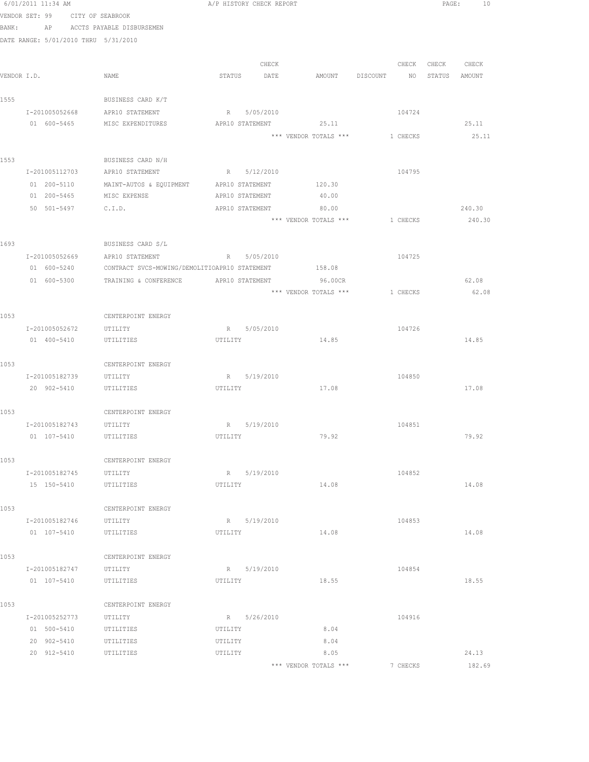|      | 6/01/2011 11:34 AM                   |                                                                  |         | A/P HISTORY CHECK REPORT |                                |          |          |               | PAGE:<br>10 |  |
|------|--------------------------------------|------------------------------------------------------------------|---------|--------------------------|--------------------------------|----------|----------|---------------|-------------|--|
|      | VENDOR SET: 99 CITY OF SEABROOK      |                                                                  |         |                          |                                |          |          |               |             |  |
|      |                                      | BANK: AP ACCTS PAYABLE DISBURSEMEN                               |         |                          |                                |          |          |               |             |  |
|      | DATE RANGE: 5/01/2010 THRU 5/31/2010 |                                                                  |         |                          |                                |          |          |               |             |  |
|      |                                      |                                                                  |         |                          |                                |          |          |               |             |  |
|      |                                      |                                                                  |         | CHECK                    |                                |          |          | CHECK CHECK   | CHECK       |  |
|      | VENDOR I.D.                          | NAME                                                             |         | STATUS DATE              | AMOUNT DISCOUNT                |          | NO       | STATUS AMOUNT |             |  |
| 1555 |                                      | BUSINESS CARD K/T                                                |         |                          |                                |          |          |               |             |  |
|      |                                      | I-201005052668 APR10 STATEMENT                                   |         | R 5/05/2010              |                                |          | 104724   |               |             |  |
|      |                                      | 01 600-5465 MISC EXPENDITURES                                    |         |                          | APR10 STATEMENT 25.11          |          |          |               | 25.11       |  |
|      |                                      |                                                                  |         |                          | *** VENDOR TOTALS ***          | 1 CHECKS |          |               | 25.11       |  |
| 1553 |                                      | BUSINESS CARD N/H                                                |         |                          |                                |          |          |               |             |  |
|      | I-201005112703                       | APR10 STATEMENT                                                  |         | R 5/12/2010              |                                |          | 104795   |               |             |  |
|      | 01 200-5110                          | MAINT-AUTOS & EQUIPMENT                                          |         | APR10 STATEMENT          | 120.30                         |          |          |               |             |  |
|      | 01 200-5465                          | MISC EXPENSE                                                     |         | APR10 STATEMENT          | 40.00                          |          |          |               |             |  |
|      | 50 501-5497 C.I.D.                   |                                                                  |         | APR10 STATEMENT          | 80.00                          |          |          |               | 240.30      |  |
|      |                                      |                                                                  |         |                          | *** VENDOR TOTALS *** 1 CHECKS |          |          |               | 240.30      |  |
| 1693 |                                      | BUSINESS CARD S/L                                                |         |                          |                                |          |          |               |             |  |
|      |                                      | I-201005052669 APR10 STATEMENT R 5/05/2010                       |         |                          |                                |          | 104725   |               |             |  |
|      |                                      | 01 600-5240 CONTRACT SVCS-MOWING/DEMOLITIOAPR10 STATEMENT 158.08 |         |                          |                                |          |          |               |             |  |
|      |                                      | 01 600-5300 TRAINING & CONFERENCE APR10 STATEMENT 96.00CR        |         |                          |                                |          |          |               | 62.08       |  |
|      |                                      |                                                                  |         |                          | *** VENDOR TOTALS ***          | 1 CHECKS |          |               | 62.08       |  |
|      |                                      |                                                                  |         |                          |                                |          |          |               |             |  |
| 1053 |                                      | CENTERPOINT ENERGY                                               |         |                          |                                |          |          |               |             |  |
|      | I-201005052672                       | UTILITY                                                          |         | R 5/05/2010              |                                |          | 104726   |               |             |  |
|      | 01 400-5410                          | UTILITIES                                                        | UTILITY |                          | 14.85                          |          |          |               | 14.85       |  |
| 1053 |                                      | CENTERPOINT ENERGY                                               |         |                          |                                |          |          |               |             |  |
|      | I-201005182739                       | UTILITY                                                          |         | R 5/19/2010              |                                |          | 104850   |               |             |  |
|      | 20 902-5410                          | UTILITIES                                                        | UTILITY |                          | 17.08                          |          |          |               | 17.08       |  |
|      |                                      |                                                                  |         |                          |                                |          |          |               |             |  |
| 1053 |                                      | CENTERPOINT ENERGY                                               |         |                          |                                |          |          |               |             |  |
|      | I-201005182743 UTILITY               |                                                                  |         | R 5/19/2010              |                                |          | 104851   |               |             |  |
|      | 01 107-5410                          | UTILITIES                                                        | UTILITY |                          | 79.92                          |          |          |               | 79.92       |  |
| 1053 |                                      | CENTERPOINT ENERGY                                               |         |                          |                                |          |          |               |             |  |
|      | I-201005182745                       | UTILITY                                                          |         | R 5/19/2010              |                                |          | 104852   |               |             |  |
|      | 15 150-5410                          | UTILITIES                                                        | UTILITY |                          | 14.08                          |          |          |               | 14.08       |  |
|      |                                      |                                                                  |         |                          |                                |          |          |               |             |  |
| 1053 |                                      | CENTERPOINT ENERGY                                               |         |                          |                                |          |          |               |             |  |
|      | I-201005182746<br>01 107-5410        | UTILITY<br>UTILITIES                                             | UTILITY | R 5/19/2010              | 14.08                          |          | 104853   |               | 14.08       |  |
|      |                                      |                                                                  |         |                          |                                |          |          |               |             |  |
| 1053 |                                      | CENTERPOINT ENERGY                                               |         |                          |                                |          |          |               |             |  |
|      | I-201005182747                       | UTILITY                                                          |         | R 5/19/2010              |                                |          | 104854   |               |             |  |
|      | 01 107-5410                          | UTILITIES                                                        | UTILITY |                          | 18.55                          |          |          |               | 18.55       |  |
| 1053 |                                      | CENTERPOINT ENERGY                                               |         |                          |                                |          |          |               |             |  |
|      | I-201005252773                       | UTILITY                                                          |         | R 5/26/2010              |                                |          | 104916   |               |             |  |
|      | 01 500-5410                          | UTILITIES                                                        | UTILITY |                          | 8.04                           |          |          |               |             |  |
|      | 20 902-5410                          | UTILITIES                                                        | UTILITY |                          | 8.04                           |          |          |               |             |  |
|      | 20 912-5410                          | UTILITIES                                                        | UTILITY |                          | 8.05                           |          |          |               | 24.13       |  |
|      |                                      |                                                                  |         |                          | *** VENDOR TOTALS ***          |          | 7 CHECKS |               | 182.69      |  |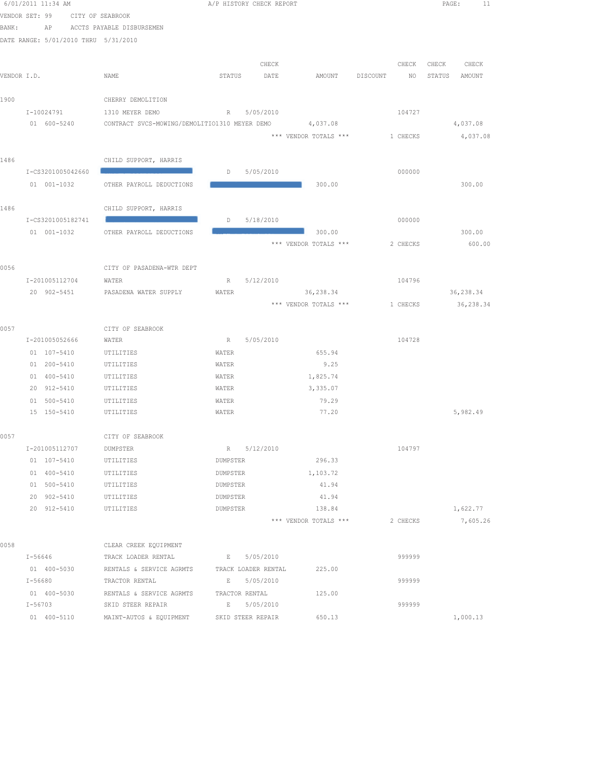|             | 6/01/2011 11:34 AM                   |                                                          | A/P HISTORY CHECK REPORT |             |                       |                 | PAGE:<br>11      |
|-------------|--------------------------------------|----------------------------------------------------------|--------------------------|-------------|-----------------------|-----------------|------------------|
|             | VENDOR SET: 99                       | CITY OF SEABROOK                                         |                          |             |                       |                 |                  |
| BANK:       | AP                                   | ACCTS PAYABLE DISBURSEMEN                                |                          |             |                       |                 |                  |
|             | DATE RANGE: 5/01/2010 THRU 5/31/2010 |                                                          |                          |             |                       |                 |                  |
|             |                                      |                                                          |                          | CHECK       |                       | CHECK           | CHECK<br>CHECK   |
| VENDOR I.D. |                                      | NAME                                                     | STATUS                   | DATE        | AMOUNT DISCOUNT       | NO <sub>1</sub> | STATUS<br>AMOUNT |
|             |                                      |                                                          |                          |             |                       |                 |                  |
| 1900        |                                      | CHERRY DEMOLITION                                        |                          |             |                       |                 |                  |
|             | I-10024791                           | 1310 MEYER DEMO                                          | R 5/05/2010              |             |                       | 104727          |                  |
|             | 01 600-5240                          | CONTRACT SVCS-MOWING/DEMOLITIO1310 MEYER DEMO 4,037.08   |                          |             |                       |                 | 4,037.08         |
|             |                                      |                                                          |                          |             | *** VENDOR TOTALS *** | 1 CHECKS        | 4,037.08         |
|             |                                      |                                                          |                          |             |                       |                 |                  |
| 1486        |                                      | CHILD SUPPORT, HARRIS                                    |                          |             |                       |                 |                  |
|             | I-CS3201005042660                    |                                                          | D                        | 5/05/2010   |                       | 000000          |                  |
|             | 01 001-1032                          | OTHER PAYROLL DEDUCTIONS                                 |                          |             | 300.00                |                 | 300.00           |
| 1486        |                                      | CHILD SUPPORT, HARRIS                                    |                          |             |                       |                 |                  |
|             | I-CS3201005182741                    |                                                          | $D = 5/18/2010$          |             |                       | 000000          |                  |
|             | $01 001 - 1032$                      | OTHER PAYROLL DEDUCTIONS                                 |                          |             | 300.00                |                 | 300.00           |
|             |                                      |                                                          |                          |             | *** VENDOR TOTALS *** | 2 CHECKS        | 600.00           |
|             |                                      |                                                          |                          |             |                       |                 |                  |
| 0056        |                                      | CITY OF PASADENA-WTR DEPT                                |                          |             |                       |                 |                  |
|             | I-201005112704                       | WATER                                                    |                          | R 5/12/2010 |                       | 104796          |                  |
|             | 20 902-5451                          | PASADENA WATER SUPPLY                                    | WATER                    |             | 36,238.34             |                 | 36,238.34        |
|             |                                      |                                                          |                          |             | *** VENDOR TOTALS *** | 1 CHECKS        | 36,238.34        |
| 0057        |                                      | CITY OF SEABROOK                                         |                          |             |                       |                 |                  |
|             | I-201005052666                       | WATER                                                    | R 5/05/2010              |             |                       | 104728          |                  |
|             | 01 107-5410                          | UTILITIES                                                | WATER                    |             | 655.94                |                 |                  |
|             | 01 200-5410                          | UTILITIES                                                | WATER                    |             | 9.25                  |                 |                  |
|             | 01 400-5410                          | UTILITIES                                                | WATER                    |             | 1,825.74              |                 |                  |
|             | 20 912-5410                          | UTILITIES                                                | WATER                    |             | 3,335.07              |                 |                  |
|             | 01 500-5410                          | UTILITIES                                                | WATER                    |             | 79.29                 |                 |                  |
|             | 15 150-5410                          | UTILITIES                                                | WATER                    |             | 77.20                 |                 | 5,982.49         |
| 0057        |                                      |                                                          |                          |             |                       |                 |                  |
|             | I-201005112707                       | CITY OF SEABROOK<br>DUMPSTER                             |                          | R 5/12/2010 |                       | 104797          |                  |
|             | 01 107-5410                          | UTILITIES                                                | DUMPSTER                 |             | 296.33                |                 |                  |
|             | 01 400-5410                          | UTILITIES                                                | DUMPSTER                 |             | 1,103.72              |                 |                  |
|             | 01 500-5410                          | UTILITIES                                                | DUMPSTER                 |             | 41.94                 |                 |                  |
|             | 20 902-5410                          | UTILITIES                                                | DUMPSTER                 |             | 41.94                 |                 |                  |
|             | 20 912-5410                          | UTILITIES                                                | DUMPSTER                 |             | 138.84                |                 | 1,622.77         |
|             |                                      |                                                          |                          |             | *** VENDOR TOTALS *** | 2 CHECKS        | 7,605.26         |
|             |                                      |                                                          |                          |             |                       |                 |                  |
| 0058        |                                      | CLEAR CREEK EQUIPMENT                                    |                          |             |                       |                 |                  |
|             | $I - 56646$                          | TRACK LOADER RENTAL B 5/05/2010                          |                          |             |                       | 999999          |                  |
|             |                                      | 01 400-5030 RENTALS & SERVICE AGRMTS TRACK LOADER RENTAL |                          |             | 225.00                |                 |                  |
|             | I-56680                              | TRACTOR RENTAL                                           | E 5/05/2010              |             |                       | 999999          |                  |
|             | 01 400-5030                          | RENTALS & SERVICE AGRMTS                                 | TRACTOR RENTAL           |             | 125.00                |                 |                  |
|             | I-56703                              | SKID STEER REPAIR                                        | E 5/05/2010              |             |                       | 999999          |                  |
|             | 01 400-5110                          | MAINT-AUTOS & EQUIPMENT                                  | SKID STEER REPAIR        |             | 650.13                |                 | 1,000.13         |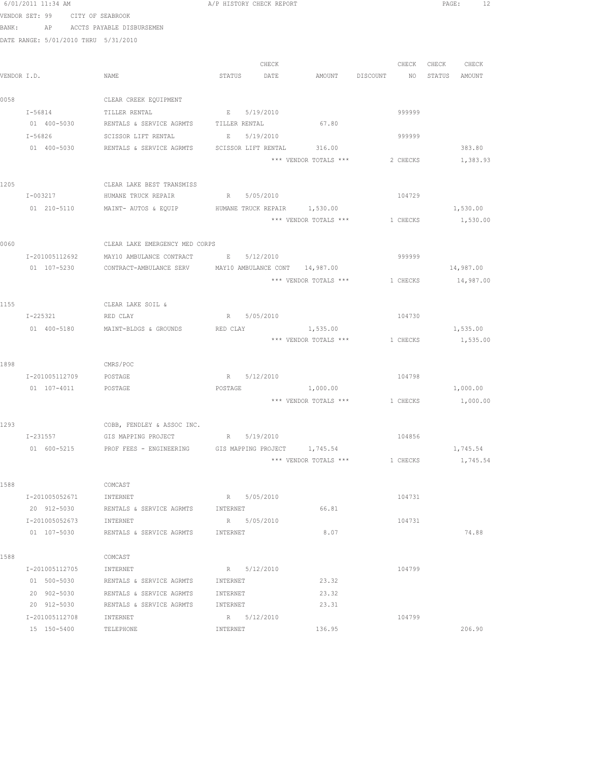|      | 6/01/2011 11:34 AM                   |                                                                    | A/P HISTORY CHECK REPORT |                     |                                                     |          |                   | PAGE: 12  |  |
|------|--------------------------------------|--------------------------------------------------------------------|--------------------------|---------------------|-----------------------------------------------------|----------|-------------------|-----------|--|
|      | VENDOR SET: 99 CITY OF SEABROOK      |                                                                    |                          |                     |                                                     |          |                   |           |  |
|      |                                      | BANK: AP ACCTS PAYABLE DISBURSEMEN                                 |                          |                     |                                                     |          |                   |           |  |
|      | DATE RANGE: 5/01/2010 THRU 5/31/2010 |                                                                    |                          |                     |                                                     |          |                   |           |  |
|      |                                      |                                                                    |                          |                     |                                                     |          |                   |           |  |
|      |                                      |                                                                    |                          | CHECK               |                                                     |          | CHECK CHECK CHECK |           |  |
|      | VENDOR I.D.                          | NAME                                                               | STATUS DATE              |                     | AMOUNT DISCOUNT NO STATUS AMOUNT                    |          |                   |           |  |
|      |                                      |                                                                    |                          |                     |                                                     |          |                   |           |  |
| 0058 |                                      | CLEAR CREEK EQUIPMENT                                              |                          |                     |                                                     |          |                   |           |  |
|      |                                      | I-56814 TILLER RENTAL                                              | E 5/19/2010              |                     |                                                     | 999999   |                   |           |  |
|      |                                      | 01 400-5030 RENTALS & SERVICE AGRMTS TILLER RENTAL 67.80           |                          |                     |                                                     |          |                   |           |  |
|      | $I - 56826$                          | SCISSOR LIFT RENTAL                                                | $E = 1$                  | 5/19/2010           |                                                     | 999999   |                   |           |  |
|      |                                      | 01 400-5030 RENTALS & SERVICE AGRMTS SCISSOR LIFT RENTAL 316.00    |                          |                     |                                                     |          |                   | 383.80    |  |
|      |                                      |                                                                    |                          |                     | *** VENDOR TOTALS ***                               | 2 CHECKS |                   | 1,383.93  |  |
|      |                                      |                                                                    |                          |                     |                                                     |          |                   |           |  |
| 1205 |                                      | CLEAR LAKE BEST TRANSMISS                                          |                          |                     |                                                     |          |                   |           |  |
|      | I-003217                             | HUMANE TRUCK REPAIR                                                | R 5/05/2010              |                     |                                                     | 104729   |                   |           |  |
|      |                                      | 01  210-5110  MAINT- AUTOS & EQUIP  HUMANE TRUCK REPAIR  1,530.00  |                          |                     |                                                     |          |                   | 1,530.00  |  |
|      |                                      |                                                                    |                          |                     | *** VENDOR TOTALS *** 1 CHECKS                      |          |                   | 1,530.00  |  |
|      |                                      |                                                                    |                          |                     |                                                     |          |                   |           |  |
| 0060 |                                      | CLEAR LAKE EMERGENCY MED CORPS                                     |                          |                     |                                                     |          |                   |           |  |
|      |                                      | I-201005112692 MAY10 AMBULANCE CONTRACT E 5/12/2010                |                          |                     |                                                     | 999999   |                   |           |  |
|      |                                      | 01 107-5230 CONTRACT-AMBULANCE SERV MAY10 AMBULANCE CONT 14,987.00 |                          |                     |                                                     |          |                   | 14,987.00 |  |
|      |                                      |                                                                    |                          |                     | *** VENDOR TOTALS ***                               | 1 CHECKS |                   | 14,987.00 |  |
|      |                                      |                                                                    |                          |                     |                                                     |          |                   |           |  |
| 1155 |                                      | CLEAR LAKE SOIL &                                                  |                          |                     |                                                     |          |                   |           |  |
|      | I-225321                             | RED CLAY                                                           |                          | R 5/05/2010         |                                                     | 104730   |                   |           |  |
|      |                                      | 01 400-5180 MAINT-BLDGS & GROUNDS                                  | RED CLAY                 |                     | 1,535.00                                            |          |                   | 1,535.00  |  |
|      |                                      |                                                                    |                          |                     | *** VENDOR TOTALS ***                               | 1 CHECKS |                   | 1,535.00  |  |
|      |                                      |                                                                    |                          |                     |                                                     |          |                   |           |  |
| 1898 |                                      | CMRS/POC                                                           |                          |                     |                                                     |          |                   |           |  |
|      | I-201005112709 POSTAGE               |                                                                    | POSTAGE                  | R 5/12/2010         |                                                     | 104798   |                   |           |  |
|      | 01  107-4011  POSTAGE                |                                                                    |                          |                     | 1,000.00<br>*** VENDOR TOTALS *** 1 CHECKS 1,000.00 |          |                   | 1,000.00  |  |
|      |                                      |                                                                    |                          |                     |                                                     |          |                   |           |  |
| 1293 |                                      | COBB, FENDLEY & ASSOC INC.                                         |                          |                     |                                                     |          |                   |           |  |
|      | I-231557                             | GIS MAPPING PROJECT                                                | R                        | 5/19/2010           |                                                     | 104856   |                   |           |  |
|      | 01 600-5215                          | PROF FEES - ENGINEERING                                            |                          | GIS MAPPING PROJECT | 1,745.54                                            |          |                   | 1,745.54  |  |
|      |                                      |                                                                    |                          |                     | *** VENDOR TOTALS ***                               | 1 CHECKS |                   | 1,745.54  |  |
|      |                                      |                                                                    |                          |                     |                                                     |          |                   |           |  |
| 1588 |                                      | COMCAST                                                            |                          |                     |                                                     |          |                   |           |  |
|      | I-201005052671                       | INTERNET                                                           | R 5/05/2010              |                     |                                                     | 104731   |                   |           |  |
|      | 20 912-5030                          | RENTALS & SERVICE AGRMTS                                           | INTERNET                 |                     | 66.81                                               |          |                   |           |  |
|      | I-201005052673                       | INTERNET                                                           | R 5/05/2010              |                     |                                                     | 104731   |                   |           |  |
|      | 01 107-5030                          | RENTALS & SERVICE AGRMTS                                           | INTERNET                 |                     | 8.07                                                |          |                   | 74.88     |  |
|      |                                      |                                                                    |                          |                     |                                                     |          |                   |           |  |
| 1588 |                                      | COMCAST                                                            |                          |                     |                                                     |          |                   |           |  |
|      | I-201005112705                       | INTERNET                                                           | R 5/12/2010              |                     |                                                     | 104799   |                   |           |  |
|      | 01 500-5030                          | RENTALS & SERVICE AGRMTS                                           | INTERNET                 |                     | 23.32                                               |          |                   |           |  |
|      | 20 902-5030                          | RENTALS & SERVICE AGRMTS                                           | INTERNET                 |                     | 23.32                                               |          |                   |           |  |
|      | 20 912-5030                          | RENTALS & SERVICE AGRMTS                                           | INTERNET                 |                     | 23.31                                               |          |                   |           |  |
|      | I-201005112708                       | INTERNET                                                           | R 5/12/2010              |                     |                                                     | 104799   |                   |           |  |
|      | 15 150-5400                          | TELEPHONE                                                          | INTERNET                 |                     | 136.95                                              |          |                   | 206.90    |  |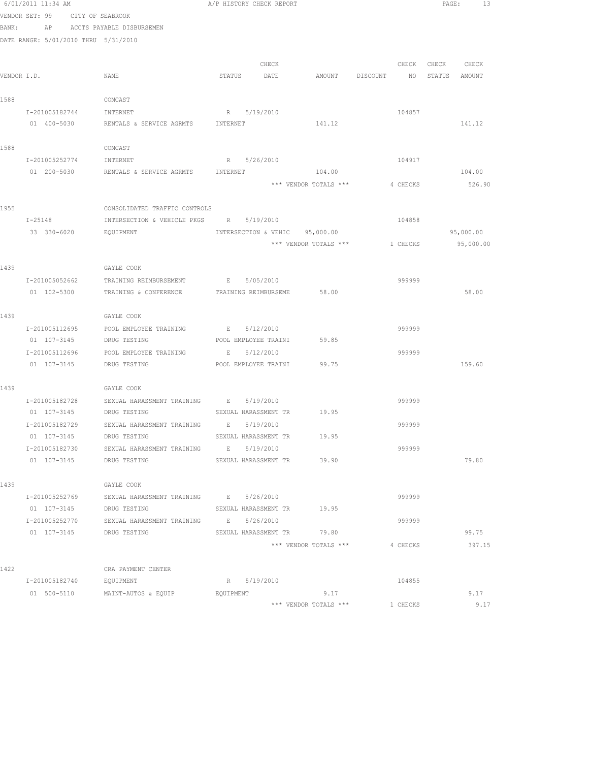|             | 6/01/2011 11:34 AM                   |                                            | A/P HISTORY CHECK REPORT                |                       |          | PAGE:<br>13    |
|-------------|--------------------------------------|--------------------------------------------|-----------------------------------------|-----------------------|----------|----------------|
|             | VENDOR SET: 99                       | CITY OF SEABROOK                           |                                         |                       |          |                |
| BANK:       | AP                                   | ACCTS PAYABLE DISBURSEMEN                  |                                         |                       |          |                |
|             | DATE RANGE: 5/01/2010 THRU 5/31/2010 |                                            |                                         |                       |          |                |
|             |                                      |                                            |                                         |                       |          |                |
|             |                                      |                                            | CHECK                                   |                       | CHECK    | CHECK<br>CHECK |
| VENDOR I.D. |                                      | NAME                                       | STATUS<br>DATE                          | AMOUNT DISCOUNT       | NO       | STATUS AMOUNT  |
| 1588        |                                      | COMCAST                                    |                                         |                       |          |                |
|             | I-201005182744                       | INTERNET                                   | R 5/19/2010                             |                       | 104857   |                |
|             | 01 400-5030                          | RENTALS & SERVICE AGRMTS INTERNET          |                                         | 141.12                |          | 141.12         |
|             |                                      |                                            |                                         |                       |          |                |
| 1588        |                                      | COMCAST                                    |                                         |                       |          |                |
|             | I-201005252774                       | INTERNET                                   | R 5/26/2010                             |                       | 104917   |                |
|             | 01 200-5030                          | RENTALS & SERVICE AGRMTS                   | INTERNET                                | 104.00                |          | 104.00         |
|             |                                      |                                            |                                         | *** VENDOR TOTALS *** | 4 CHECKS | 526.90         |
|             |                                      |                                            |                                         |                       |          |                |
| 1955        |                                      | CONSOLIDATED TRAFFIC CONTROLS              |                                         |                       |          |                |
|             | $I - 25148$                          | INTERSECTION & VEHICLE PKGS R 5/19/2010    |                                         |                       | 104858   |                |
|             | 33 330-6020                          | EQUIPMENT                                  | INTERSECTION & VEHIC 95,000.00          | *** VENDOR TOTALS *** |          | 95,000.00      |
|             |                                      |                                            |                                         |                       | 1 CHECKS | 95,000.00      |
| 1439        |                                      | GAYLE COOK                                 |                                         |                       |          |                |
|             | I-201005052662                       | TRAINING REIMBURSEMENT                     | E 5/05/2010                             |                       | 999999   |                |
|             | 01 102-5300                          | TRAINING & CONFERENCE                      | TRAINING REIMBURSEME                    | 58.00                 |          | 58.00          |
|             |                                      |                                            |                                         |                       |          |                |
| 1439        |                                      | GAYLE COOK                                 |                                         |                       |          |                |
|             | I-201005112695                       | POOL EMPLOYEE TRAINING                     | E 5/12/2010                             |                       | 999999   |                |
|             | 01 107-3145                          | DRUG TESTING                               | POOL EMPLOYEE TRAINI                    | 59.85                 |          |                |
|             | I-201005112696                       | POOL EMPLOYEE TRAINING                     | 5/12/2010<br>Е                          |                       | 999999   |                |
|             | 01 107-3145                          | DRUG TESTING                               | POOL EMPLOYEE TRAINI 99.75              |                       |          | 159.60         |
| 1439        |                                      | GAYLE COOK                                 |                                         |                       |          |                |
|             | I-201005182728                       | SEXUAL HARASSMENT TRAINING E 5/19/2010     |                                         |                       | 999999   |                |
|             | 01 107-3145 DRUG TESTING             |                                            | SEXUAL HARASSMENT TR 19.95              |                       |          |                |
|             | I-201005182729                       | SEXUAL HARASSMENT TRAINING                 | E 5/19/2010                             |                       | 999999   |                |
|             | 01 107-3145                          | DRUG TESTING                               | SEXUAL HARASSMENT TR                    | 19.95                 |          |                |
|             | I-201005182730                       | SEXUAL HARASSMENT TRAINING                 | 5/19/2010<br>E                          |                       | 999999   |                |
|             | 01 107-3145                          | DRUG TESTING                               | SEXUAL HARASSMENT TR                    | 39.90                 |          | 79.80          |
|             |                                      |                                            |                                         |                       |          |                |
| 1439        |                                      | GAYLE COOK                                 |                                         |                       |          |                |
|             | I-201005252769                       | SEXUAL HARASSMENT TRAINING                 | E 5/26/2010                             |                       | 999999   |                |
|             | 01 107-3145                          | DRUG TESTING<br>SEXUAL HARASSMENT TRAINING | SEXUAL HARASSMENT TR<br>E               | 19.95                 |          |                |
|             | I-201005252770<br>01 107-3145        | DRUG TESTING                               | 5/26/2010<br>SEXUAL HARASSMENT TR 79.80 |                       | 999999   | 99.75          |
|             |                                      |                                            |                                         | *** VENDOR TOTALS *** | 4 CHECKS | 397.15         |
|             |                                      |                                            |                                         |                       |          |                |
| 1422        |                                      | CRA PAYMENT CENTER                         |                                         |                       |          |                |
|             | I-201005182740                       | EQUIPMENT                                  | R 5/19/2010                             |                       | 104855   |                |
|             | 01 500-5110                          | MAINT-AUTOS & EQUIP                        | EQUIPMENT                               | 9.17                  |          | 9.17           |
|             |                                      |                                            |                                         | *** VENDOR TOTALS *** | 1 CHECKS | 9.17           |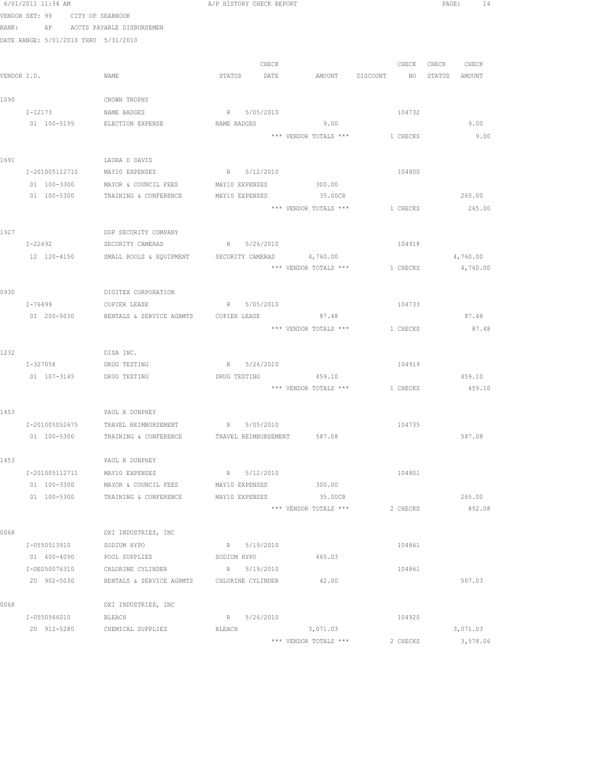|      | 6/01/2011 11:34 AM                   |                                                 | A/P HISTORY CHECK REPORT                                      |                 | PAGE: 14         |
|------|--------------------------------------|-------------------------------------------------|---------------------------------------------------------------|-----------------|------------------|
|      | VENDOR SET: 99 CITY OF SEABROOK      |                                                 |                                                               |                 |                  |
|      | BANK: AP ACCTS PAYABLE DISBURSEMEN   |                                                 |                                                               |                 |                  |
|      | DATE RANGE: 5/01/2010 THRU 5/31/2010 |                                                 |                                                               |                 |                  |
|      |                                      |                                                 |                                                               |                 |                  |
|      |                                      |                                                 | CHECK                                                         | CHECK           | CHECK<br>CHECK   |
|      | VENDOR I.D.                          | NAME                                            | STATUS DATE<br>AMOUNT DISCOUNT                                | NO <sub>1</sub> | STATUS<br>AMOUNT |
|      |                                      |                                                 |                                                               |                 |                  |
| 1090 |                                      | CROWN TROPHY                                    |                                                               |                 |                  |
|      | $I - 12173$                          | NAME BADGES                                     | R 5/05/2010                                                   | 104732          |                  |
|      | 01 100-5195 ELECTION EXPENSE         |                                                 | NAME BADGES 9.00                                              |                 | 9.00             |
|      |                                      |                                                 | *** VENDOR TOTALS ***                                         | 1 CHECKS        | 9.00             |
| 1691 |                                      | LAURA D DAVIS                                   |                                                               |                 |                  |
|      | I-201005112710                       | MAY10 EXPENSES                                  | R 5/12/2010                                                   | 104800          |                  |
|      | 01 100-3300                          | MAYOR & COUNCIL FEES                            | MAY10 EXPENSES 300.00                                         |                 |                  |
|      | 01 100-5300                          | TRAINING & CONFERENCE                           | MAY10 EXPENSES 35.00CR                                        |                 | 265.00           |
|      |                                      |                                                 | *** VENDOR TOTALS *** 1 CHECKS                                |                 | 265.00           |
|      |                                      |                                                 |                                                               |                 |                  |
| 1927 |                                      | DGP SECURITY COMPANY                            |                                                               |                 |                  |
|      |                                      | I-22692 SECURITY CAMERAS R 5/26/2010            |                                                               | 104918          |                  |
|      |                                      |                                                 | 12 120-4150 SMALL ROOLS & EQUIPMENT SECURITY CAMERAS 4,760.00 |                 | 4,760.00         |
|      |                                      |                                                 | *** VENDOR TOTALS ***                                         | 1 CHECKS        | 4,760.00         |
|      |                                      |                                                 |                                                               |                 |                  |
| 0930 |                                      | DIGITEX CORPORATION                             |                                                               |                 |                  |
|      | I-76499                              | COPIER LEASE                                    | R 5/05/2010                                                   | 104733          |                  |
|      | 01 200-5030                          | RENTALS & SERVICE AGRMTS COPIER LEASE           | 87.48                                                         |                 | 87.48            |
|      |                                      |                                                 | *** VENDOR TOTALS *** 1 CHECKS                                |                 | 87.48            |
|      |                                      |                                                 |                                                               |                 |                  |
| 1232 | I-327058 DRUG TESTING                | DISA INC.                                       | R 5/26/2010                                                   | 104919          |                  |
|      | 01  107-3145   DRUG TESTING          |                                                 | DRUG TESTING 459.10                                           |                 | 459.10           |
|      |                                      |                                                 | *** VENDOR TOTALS *** 1 CHECKS                                |                 | 459.10           |
|      |                                      |                                                 |                                                               |                 |                  |
| 1453 |                                      | PAUL R DUNPHEY                                  |                                                               |                 |                  |
|      |                                      | I-201005052675 TRAVEL REIMBURSEMENT R 5/05/2010 |                                                               | 104735          |                  |
|      | 01 100-5300                          | TRAINING & CONFERENCE                           | 587.08<br>TRAVEL REIMBURSEMENT                                |                 | 587.08           |
|      |                                      |                                                 |                                                               |                 |                  |
| 1453 |                                      | PAUL R DUNPHEY                                  |                                                               |                 |                  |
|      | I-201005112711                       | MAY10 EXPENSES                                  | R 5/12/2010                                                   | 104801          |                  |
|      | 01 100-3300                          | MAYOR & COUNCIL FEES                            | 300.00<br>MAY10 EXPENSES                                      |                 |                  |
|      | 01 100-5300                          | TRAINING & CONFERENCE                           | MAY10 EXPENSES<br>35.00CR                                     |                 | 265.00           |
|      |                                      |                                                 | *** VENDOR TOTALS ***                                         | 2 CHECKS        | 852.08           |
| 0068 |                                      | DXI INDUSTRIES, INC                             |                                                               |                 |                  |
|      | I-0550513910                         | SODIUM HYPO                                     | R 5/19/2010                                                   | 104861          |                  |
|      | 01 400-4090                          | POOL SUPPLIES                                   | 465.03<br>SODIUM HYPO                                         |                 |                  |
|      | I-DE050076310                        | CHLORINE CYLINDER                               | R 5/19/2010                                                   | 104861          |                  |
|      | 20 902-5030                          | RENTALS & SERVICE AGRMTS                        | 42.00<br>CHLORINE CYLINDER                                    |                 | 507.03           |
|      |                                      |                                                 |                                                               |                 |                  |
| 0068 |                                      | DXI INDUSTRIES, INC                             |                                                               |                 |                  |
|      | I-0550566010                         | BLEACH                                          | R 5/26/2010                                                   | 104920          |                  |
|      | 20 912-5280                          | CHEMICAL SUPPLIES                               | BLEACH<br>3,071.03                                            |                 | 3,071.03         |
|      |                                      |                                                 | *** VENDOR TOTALS ***                                         | 2 CHECKS        | 3,578.06         |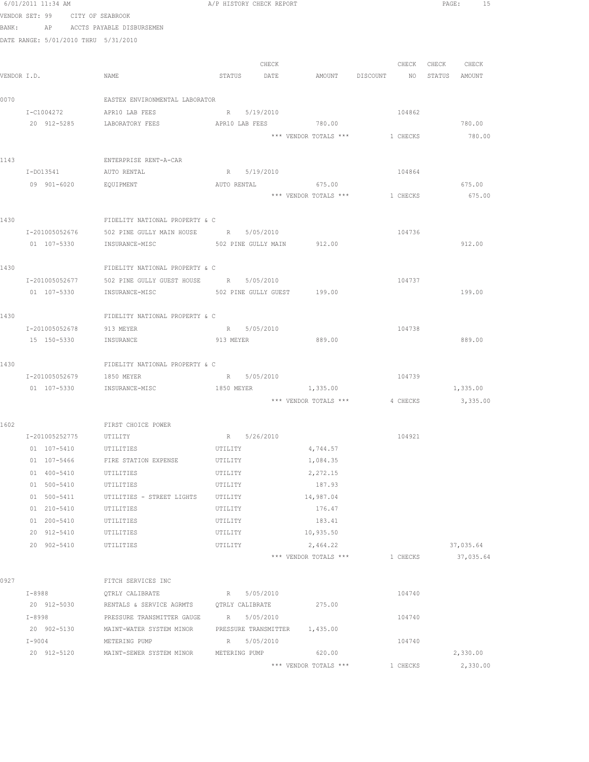|             | 6/01/2011 11:34 AM                   |                                                           | A/P HISTORY CHECK REPORT                     |                       |                                | PAGE: 15          |
|-------------|--------------------------------------|-----------------------------------------------------------|----------------------------------------------|-----------------------|--------------------------------|-------------------|
|             | VENDOR SET: 99 CITY OF SEABROOK      |                                                           |                                              |                       |                                |                   |
|             |                                      | BANK: AP ACCTS PAYABLE DISBURSEMEN                        |                                              |                       |                                |                   |
|             | DATE RANGE: 5/01/2010 THRU 5/31/2010 |                                                           |                                              |                       |                                |                   |
|             |                                      |                                                           |                                              |                       |                                |                   |
|             |                                      |                                                           | CHECK                                        |                       |                                | CHECK CHECK CHECK |
| VENDOR I.D. |                                      | NAME                                                      | STATUS DATE AMOUNT DISCOUNT NO STATUS AMOUNT |                       |                                |                   |
|             |                                      |                                                           |                                              |                       |                                |                   |
| 0070        |                                      | EASTEX ENVIRONMENTAL LABORATOR                            |                                              |                       |                                |                   |
|             | I-C1004272<br>20 912-5285            | APR10 LAB FEES<br>LABORATORY FEES                         | R 5/19/2010<br>APR10 LAB FEES 780.00         |                       | 104862                         | 780.00            |
|             |                                      |                                                           |                                              |                       | *** VENDOR TOTALS *** 1 CHECKS | 780.00            |
|             |                                      |                                                           |                                              |                       |                                |                   |
| 1143        |                                      | ENTERPRISE RENT-A-CAR                                     |                                              |                       |                                |                   |
|             | I-D013541                            | AUTO RENTAL                                               | R 5/19/2010                                  |                       | 104864                         |                   |
|             | 09 901-6020                          | EQUIPMENT                                                 | AUTO RENTAL 675.00                           |                       |                                | 675.00            |
|             |                                      |                                                           |                                              |                       | *** VENDOR TOTALS *** 1 CHECKS | 675.00            |
|             |                                      |                                                           |                                              |                       |                                |                   |
| 1430        |                                      | FIDELITY NATIONAL PROPERTY & C                            |                                              |                       |                                |                   |
|             |                                      | I-201005052676 502 PINE GULLY MAIN HOUSE R 5/05/2010      |                                              |                       | 104736                         |                   |
|             |                                      | 01  107-5330  INSURANCE-MISC  502 PINE GULLY MAIN  912.00 |                                              |                       |                                | 912.00            |
|             |                                      |                                                           |                                              |                       |                                |                   |
| 1430        |                                      | FIDELITY NATIONAL PROPERTY & C                            |                                              |                       |                                |                   |
|             | I-201005052677                       | 502 PINE GULLY GUEST HOUSE R 5/05/2010                    |                                              |                       | 104737                         |                   |
|             | 01 107-5330                          | INSURANCE-MISC                                            | 502 PINE GULLY GUEST 199.00                  |                       |                                | 199.00            |
| 1430        |                                      | FIDELITY NATIONAL PROPERTY & C                            |                                              |                       |                                |                   |
|             | I-201005052678 913 MEYER             |                                                           | R 5/05/2010                                  |                       | 104738                         |                   |
|             | 15 150-5330 INSURANCE                |                                                           | 913 MEYER                                    | 889.00                |                                | 889.00            |
|             |                                      |                                                           |                                              |                       |                                |                   |
| 1430        |                                      | FIDELITY NATIONAL PROPERTY & C                            |                                              |                       |                                |                   |
|             | I-201005052679 1850 MEYER            |                                                           | R 5/05/2010                                  |                       | 104739                         |                   |
|             |                                      | 01  107-5330  INSURANCE-MISC  1850 MEYER  1,335.00        |                                              |                       |                                | 1,335.00          |
|             |                                      |                                                           |                                              |                       | *** VENDOR TOTALS *** 4 CHECKS | 3,335.00          |
|             |                                      |                                                           |                                              |                       |                                |                   |
| 1602        |                                      | FIRST CHOICE POWER                                        |                                              |                       |                                |                   |
|             | I-201005252775                       | UTILITY                                                   | R 5/26/2010                                  |                       | 104921                         |                   |
|             | 01 107-5410                          | UTILITIES                                                 | UTILITY                                      | 4,744.57              |                                |                   |
|             | 01 107-5466                          | FIRE STATION EXPENSE                                      | UTILITY                                      | 1,084.35              |                                |                   |
|             | 01 400-5410                          | UTILITIES                                                 | UTILITY                                      | 2,272.15              |                                |                   |
|             | 01 500-5410                          | UTILITIES                                                 | UTILITY                                      | 187.93                |                                |                   |
|             | 01 500-5411                          | UTILITIES - STREET LIGHTS                                 | UTILITY                                      | 14,987.04             |                                |                   |
|             | 01 210-5410                          | UTILITIES                                                 | UTILITY                                      | 176.47                |                                |                   |
|             | 01 200-5410                          | UTILITIES                                                 | UTILITY                                      | 183.41                |                                |                   |
|             | 20 912-5410                          | UTILITIES                                                 | UTILITY                                      | 10,935.50             |                                |                   |
|             | 20 902-5410                          | UTILITIES                                                 | UTILITY                                      | 2,464.22              |                                | 37,035.64         |
|             |                                      |                                                           |                                              | *** VENDOR TOTALS *** | 1 CHECKS                       | 37,035.64         |
| 0927        |                                      | FITCH SERVICES INC                                        |                                              |                       |                                |                   |
|             | I-8988                               | QTRLY CALIBRATE                                           | R 5/05/2010                                  |                       | 104740                         |                   |
|             | 20 912-5030                          | RENTALS & SERVICE AGRMTS                                  | QTRLY CALIBRATE                              | 275.00                |                                |                   |
|             | I-8998                               | PRESSURE TRANSMITTER GAUGE                                | R 5/05/2010                                  |                       | 104740                         |                   |
|             | 20 902-5130                          | MAINT-WATER SYSTEM MINOR                                  | PRESSURE TRANSMITTER 1,435.00                |                       |                                |                   |
|             | $I-9004$                             | METERING PUMP                                             | R 5/05/2010                                  |                       | 104740                         |                   |
|             | 20 912-5120                          | MAINT-SEWER SYSTEM MINOR                                  | METERING PUMP 620.00                         |                       |                                | 2,330.00          |
|             |                                      |                                                           |                                              | *** VENDOR TOTALS *** | 1 CHECKS                       | 2,330.00          |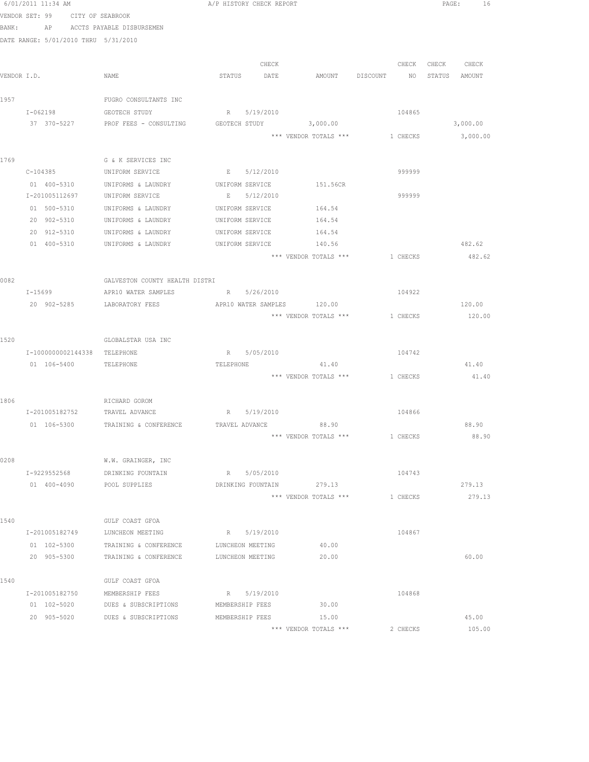|       | 6/01/2011 11:34 AM                   |                                                                                                         | A/P HISTORY CHECK REPORT             |                       |                                         | PAGE: 16          |
|-------|--------------------------------------|---------------------------------------------------------------------------------------------------------|--------------------------------------|-----------------------|-----------------------------------------|-------------------|
|       | VENDOR SET: 99 CITY OF SEABROOK      |                                                                                                         |                                      |                       |                                         |                   |
| BANK: |                                      | AP ACCTS PAYABLE DISBURSEMEN                                                                            |                                      |                       |                                         |                   |
|       | DATE RANGE: 5/01/2010 THRU 5/31/2010 |                                                                                                         |                                      |                       |                                         |                   |
|       |                                      |                                                                                                         |                                      |                       |                                         |                   |
|       |                                      |                                                                                                         | CHECK                                |                       |                                         | CHECK CHECK CHECK |
|       | VENDOR I.D.                          | NAME                                                                                                    | STATUS DATE                          |                       | AMOUNT DISCOUNT NO                      | STATUS AMOUNT     |
| 1957  |                                      | FUGRO CONSULTANTS INC                                                                                   |                                      |                       |                                         |                   |
|       | I-062198                             | GEOTECH STUDY                                                                                           | R 5/19/2010                          |                       | 104865                                  |                   |
|       | 37 370-5227                          | PROF FEES - CONSULTING GEOTECH STUDY 3,000.00                                                           |                                      |                       |                                         | 3,000.00          |
|       |                                      |                                                                                                         |                                      |                       | *** VENDOR TOTALS *** 1 CHECKS 3,000.00 |                   |
|       |                                      |                                                                                                         |                                      |                       |                                         |                   |
| 1769  |                                      | G & K SERVICES INC                                                                                      |                                      |                       |                                         |                   |
|       |                                      | C-104385 UNIFORM SERVICE B 5/12/2010                                                                    |                                      |                       | 999999                                  |                   |
|       |                                      | 01 400-5310 UNIFORMS & LAUNDRY UNIFORM SERVICE 151.56CR                                                 |                                      |                       |                                         |                   |
|       |                                      | I-201005112697 UNIFORM SERVICE                                                                          | E 5/12/2010                          |                       | 999999                                  |                   |
|       | 01 500-5310                          | UNIFORMS & LAUNDRY                                                                                      | UNIFORM SERVICE 164.54               |                       |                                         |                   |
|       |                                      | 20 902-5310 UNIFORMS & LAUNDRY                                                                          | UNIFORM SERVICE                      | 164.54                |                                         |                   |
|       | 20 912-5310<br>01 400-5310           | UNIFORMS & LAUNDRY<br>UNIFORMS & LAUNDRY                                                                | UNIFORM SERVICE<br>UNIFORM SERVICE   | 164.54<br>140.56      |                                         | 482.62            |
|       |                                      |                                                                                                         |                                      | *** VENDOR TOTALS *** | 1 CHECKS                                | 482.62            |
|       |                                      |                                                                                                         |                                      |                       |                                         |                   |
| 0082  |                                      | GALVESTON COUNTY HEALTH DISTRI                                                                          |                                      |                       |                                         |                   |
|       | $I - 15699$                          | APR10 WATER SAMPLES                                                                                     | R 5/26/2010                          |                       | 104922                                  |                   |
|       |                                      | 20 902-5285 LABORATORY FEES APR10 WATER SAMPLES 120.00                                                  |                                      |                       |                                         | 120.00            |
|       |                                      |                                                                                                         |                                      |                       | *** VENDOR TOTALS *** 1 CHECKS          | 120.00            |
|       |                                      |                                                                                                         |                                      |                       |                                         |                   |
| 1520  |                                      | GLOBALSTAR USA INC                                                                                      |                                      |                       |                                         |                   |
|       | I-1000000002144338 TELEPHONE         |                                                                                                         | R 5/05/2010                          |                       | 104742                                  |                   |
|       | 01  106-5400  TELEPHONE              |                                                                                                         | TELEPHONE                            | 41.40                 |                                         | 41.40             |
|       |                                      |                                                                                                         |                                      |                       | *** VENDOR TOTALS *** 1 CHECKS          | 41.40             |
| 1806  |                                      |                                                                                                         |                                      |                       |                                         |                   |
|       |                                      | RICHARD GOROM                                                                                           |                                      |                       | 104866                                  |                   |
|       |                                      | I-201005182752 TRAVEL ADVANCE R 5/19/2010<br>01  106-5300  TRAINING & CONFERENCE  TRAVEL ADVANCE  88.90 |                                      |                       |                                         | 88.90             |
|       |                                      |                                                                                                         |                                      | *** VENDOR TOTALS *** | 1 CHECKS                                | 88.90             |
|       |                                      |                                                                                                         |                                      |                       |                                         |                   |
| 0208  |                                      | W.W. GRAINGER, INC                                                                                      |                                      |                       |                                         |                   |
|       | I-9229552568                         | DRINKING FOUNTAIN                                                                                       | R 5/05/2010                          |                       | 104743                                  |                   |
|       | 01 400-4090 POOL SUPPLIES            |                                                                                                         | DRINKING FOUNTAIN 279.13             |                       |                                         | 279.13            |
|       |                                      |                                                                                                         |                                      | *** VENDOR TOTALS *** | 1 CHECKS                                | 279.13            |
|       |                                      |                                                                                                         |                                      |                       |                                         |                   |
| 1540  |                                      | GULF COAST GFOA                                                                                         |                                      |                       |                                         |                   |
|       | I-201005182749                       | LUNCHEON MEETING                                                                                        | R 5/19/2010                          | 40.00                 | 104867                                  |                   |
|       | 01 102-5300<br>20 905-5300           | TRAINING & CONFERENCE<br>TRAINING & CONFERENCE                                                          | LUNCHEON MEETING<br>LUNCHEON MEETING | 20.00                 |                                         | 60.00             |
|       |                                      |                                                                                                         |                                      |                       |                                         |                   |
| 1540  |                                      | GULF COAST GFOA                                                                                         |                                      |                       |                                         |                   |
|       | I-201005182750                       | MEMBERSHIP FEES                                                                                         | R 5/19/2010                          |                       | 104868                                  |                   |
|       | 01 102-5020                          | DUES & SUBSCRIPTIONS                                                                                    | MEMBERSHIP FEES                      | 30.00                 |                                         |                   |
|       |                                      | 20 905-5020 DUES & SUBSCRIPTIONS                                                                        | MEMBERSHIP FEES                      | 15.00                 |                                         | 45.00             |
|       |                                      |                                                                                                         |                                      | *** VENDOR TOTALS *** | 2 CHECKS                                | 105.00            |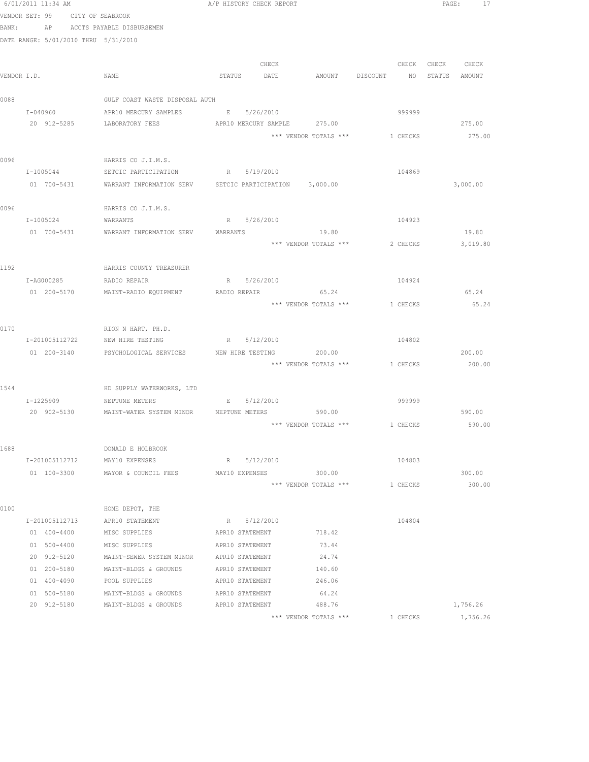|             | 6/01/2011 11:34 AM                   |                                                                    | A/P HISTORY CHECK REPORT |             |                             |                                | PAGE:<br>17   |  |
|-------------|--------------------------------------|--------------------------------------------------------------------|--------------------------|-------------|-----------------------------|--------------------------------|---------------|--|
|             | VENDOR SET: 99<br>CITY OF SEABROOK   |                                                                    |                          |             |                             |                                |               |  |
| BANK:       |                                      | AP ACCTS PAYABLE DISBURSEMEN                                       |                          |             |                             |                                |               |  |
|             | DATE RANGE: 5/01/2010 THRU 5/31/2010 |                                                                    |                          |             |                             |                                |               |  |
|             |                                      |                                                                    |                          |             |                             |                                |               |  |
|             |                                      |                                                                    |                          | CHECK       |                             | CHECK                          | CHECK CHECK   |  |
| VENDOR I.D. |                                      | NAME                                                               | STATUS DATE              |             |                             | AMOUNT DISCOUNT NO             | STATUS AMOUNT |  |
|             |                                      |                                                                    |                          |             |                             |                                |               |  |
| 0088        |                                      | GULF COAST WASTE DISPOSAL AUTH                                     |                          |             |                             |                                |               |  |
|             | I-040960                             | APR10 MERCURY SAMPLES                                              | E 5/26/2010              |             |                             | 999999                         |               |  |
|             | 20 912-5285                          | LABORATORY FEES                                                    |                          |             | APR10 MERCURY SAMPLE 275.00 |                                | 275.00        |  |
|             |                                      |                                                                    |                          |             |                             | *** VENDOR TOTALS *** 1 CHECKS | 275.00        |  |
| 0096        |                                      | HARRIS CO J.I.M.S.                                                 |                          |             |                             |                                |               |  |
|             |                                      | I-1005044 SETCIC PARTICIPATION R 5/19/2010                         |                          |             |                             | 104869                         |               |  |
|             |                                      | 01 700-5431 WARRANT INFORMATION SERV SETCIC PARTICIPATION 3,000.00 |                          |             |                             |                                | 3,000.00      |  |
|             |                                      |                                                                    |                          |             |                             |                                |               |  |
| 0096        |                                      | HARRIS CO J.I.M.S.                                                 |                          |             |                             |                                |               |  |
|             | I-1005024                            | WARRANTS                                                           |                          | R 5/26/2010 |                             | 104923                         |               |  |
|             | 01 700-5431                          | WARRANT INFORMATION SERV                                           | WARRANTS                 |             | 19.80                       |                                | 19.80         |  |
|             |                                      |                                                                    |                          |             | *** VENDOR TOTALS ***       | 2 CHECKS                       | 3,019.80      |  |
|             |                                      |                                                                    |                          |             |                             |                                |               |  |
| 1192        |                                      | HARRIS COUNTY TREASURER                                            |                          |             |                             |                                |               |  |
|             | I-AG000285                           | RADIO REPAIR                                                       | R 5/26/2010              |             |                             | 104924                         |               |  |
|             | 01 200-5170                          | MAINT-RADIO EQUIPMENT RADIO REPAIR 65.24                           |                          |             |                             |                                | 65.24         |  |
|             |                                      |                                                                    |                          |             |                             | *** VENDOR TOTALS *** 1 CHECKS | 65.24         |  |
| 0170        |                                      |                                                                    |                          |             |                             |                                |               |  |
|             |                                      | RION N HART, PH.D.<br>I-201005112722 NEW HIRE TESTING              |                          | R 5/12/2010 |                             | 104802                         |               |  |
|             |                                      | 01  200-3140  PSYCHOLOGICAL SERVICES  NEW HIRE TESTING  200.00     |                          |             |                             |                                | 200.00        |  |
|             |                                      |                                                                    |                          |             |                             | *** VENDOR TOTALS *** 1 CHECKS | 200.00        |  |
|             |                                      |                                                                    |                          |             |                             |                                |               |  |
| 1544        |                                      | HD SUPPLY WATERWORKS, LTD                                          |                          |             |                             |                                |               |  |
|             | I-1225909                            | NEPTUNE METERS                                                     | E 5/12/2010              |             |                             | 999999                         |               |  |
|             |                                      | 20 902-5130 MAINT-WATER SYSTEM MINOR NEPTUNE METERS 590.00         |                          |             |                             |                                | 590.00        |  |
|             |                                      |                                                                    |                          |             |                             | *** VENDOR TOTALS *** 1 CHECKS | 590.00        |  |
|             |                                      |                                                                    |                          |             |                             |                                |               |  |
| 1688        |                                      | DONALD E HOLBROOK                                                  |                          |             |                             |                                |               |  |
|             | I-201005112712                       | MAY10 EXPENSES                                                     | R 5/12/2010              |             |                             | 104803                         |               |  |
|             |                                      | 01 100-3300 MAYOR & COUNCIL FEES                                   | MAY10 EXPENSES           |             | 300.00                      |                                | 300.00        |  |
|             |                                      |                                                                    |                          |             | *** VENDOR TOTALS ***       | 1 CHECKS                       | 300.00        |  |
| 0100        |                                      | HOME DEPOT, THE                                                    |                          |             |                             |                                |               |  |
|             | I-201005112713                       | APR10 STATEMENT                                                    | R 5/12/2010              |             |                             | 104804                         |               |  |
|             | 01 400-4400                          | MISC SUPPLIES                                                      | APR10 STATEMENT          |             | 718.42                      |                                |               |  |
|             | 01 500-4400                          | MISC SUPPLIES                                                      | APR10 STATEMENT          |             | 73.44                       |                                |               |  |
|             | 20 912-5120                          | MAINT-SEWER SYSTEM MINOR                                           | APR10 STATEMENT          |             | 24.74                       |                                |               |  |
|             | 01 200-5180                          | MAINT-BLDGS & GROUNDS                                              | APR10 STATEMENT          |             | 140.60                      |                                |               |  |
|             | 01 400-4090                          | POOL SUPPLIES                                                      | APR10 STATEMENT          |             | 246.06                      |                                |               |  |
|             | 01 500-5180                          | MAINT-BLDGS & GROUNDS                                              | APR10 STATEMENT          |             | 64.24                       |                                |               |  |
|             | 20 912-5180                          | MAINT-BLDGS & GROUNDS                                              | APR10 STATEMENT          |             | 488.76                      |                                | 1,756.26      |  |
|             |                                      |                                                                    |                          |             | *** VENDOR TOTALS ***       | 1 CHECKS                       | 1,756.26      |  |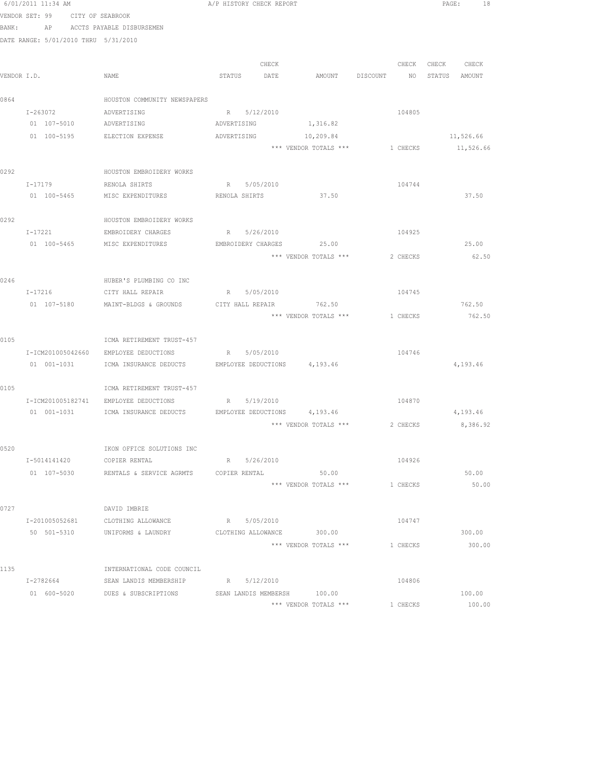|       | 6/01/2011 11:34 AM              |                                                                 | A/P HISTORY CHECK REPORT  |                       |                                         | PAGE: 18      |
|-------|---------------------------------|-----------------------------------------------------------------|---------------------------|-----------------------|-----------------------------------------|---------------|
|       | VENDOR SET: 99 CITY OF SEABROOK |                                                                 |                           |                       |                                         |               |
| BANK: |                                 | AP ACCTS PAYABLE DISBURSEMEN                                    |                           |                       |                                         |               |
|       |                                 | DATE RANGE: 5/01/2010 THRU 5/31/2010                            |                           |                       |                                         |               |
|       |                                 |                                                                 |                           |                       |                                         |               |
|       |                                 |                                                                 | CHECK                     |                       | CHECK                                   | CHECK CHECK   |
|       | VENDOR I.D.                     | NAME                                                            | STATUS DATE               | AMOUNT DISCOUNT       | NO <sub>1</sub>                         | STATUS AMOUNT |
|       |                                 |                                                                 |                           |                       |                                         |               |
| 0864  |                                 | HOUSTON COMMUNITY NEWSPAPERS                                    |                           |                       |                                         |               |
|       | $I - 263072$                    | ADVERTISING                                                     | R 5/12/2010               |                       | 104805                                  |               |
|       |                                 | 01  107-5010  ADVERTISING                                       | ADVERTISING               | 1,316.82              |                                         |               |
|       |                                 | 01 100-5195 ELECTION EXPENSE                                    | ADVERTISING               | 10,209.84             |                                         | 11,526.66     |
|       |                                 |                                                                 |                           |                       | *** VENDOR TOTALS *** 1 CHECKS          | 11,526.66     |
| 0292  |                                 | HOUSTON EMBROIDERY WORKS                                        |                           |                       |                                         |               |
|       | $I-17179$                       | RENOLA SHIRTS                                                   | R 5/05/2010               |                       | 104744                                  |               |
|       | 01 100-5465                     | MISC EXPENDITURES                                               | RENOLA SHIRTS             | 37.50                 |                                         | 37.50         |
|       |                                 |                                                                 |                           |                       |                                         |               |
| 0292  |                                 | HOUSTON EMBROIDERY WORKS                                        |                           |                       |                                         |               |
|       | I-17221                         | EMBROIDERY CHARGES                                              | R 5/26/2010               |                       | 104925                                  |               |
|       |                                 | 01 100-5465 MISC EXPENDITURES                                   | EMBROIDERY CHARGES 25.00  |                       |                                         | 25.00         |
|       |                                 |                                                                 |                           | *** VENDOR TOTALS *** | 2 CHECKS                                | 62.50         |
|       |                                 |                                                                 |                           |                       |                                         |               |
| 0246  |                                 | HUBER'S PLUMBING CO INC                                         |                           |                       |                                         |               |
|       |                                 | I-17216 CITY HALL REPAIR                                        | R 5/05/2010               |                       | 104745                                  |               |
|       | 01 107-5180                     | MAINT-BLDGS & GROUNDS                                           | CITY HALL REPAIR 762.50   |                       |                                         | 762.50        |
|       |                                 |                                                                 |                           | *** VENDOR TOTALS *** | 1 CHECKS                                | 762.50        |
|       |                                 |                                                                 |                           |                       |                                         |               |
| 0105  |                                 | ICMA RETIREMENT TRUST-457                                       |                           |                       |                                         |               |
|       | I-ICM201005042660               | EMPLOYEE DEDUCTIONS                                             | R 5/05/2010               |                       | 104746                                  |               |
|       | 01 001-1031                     | ICMA INSURANCE DEDUCTS EMPLOYEE DEDUCTIONS 4,193.46             |                           |                       |                                         | 4,193.46      |
| 0105  |                                 | ICMA RETIREMENT TRUST-457                                       |                           |                       |                                         |               |
|       |                                 | I-ICM201005182741 EMPLOYEE DEDUCTIONS                           | R 5/19/2010               |                       | 104870                                  |               |
|       |                                 | 01 001-1031 ICMA INSURANCE DEDUCTS EMPLOYEE DEDUCTIONS 4,193.46 |                           |                       |                                         | 4,193.46      |
|       |                                 |                                                                 |                           |                       | *** VENDOR TOTALS *** 2 CHECKS 8,386.92 |               |
|       |                                 |                                                                 |                           |                       |                                         |               |
| 0520  |                                 | IKON OFFICE SOLUTIONS INC                                       |                           |                       |                                         |               |
|       | I-5014141420                    | COPIER RENTAL                                                   | 5/26/2010<br>R            |                       | 104926                                  |               |
|       | 01 107-5030                     | RENTALS & SERVICE AGRMTS                                        | COPIER RENTAL             | 50.00                 |                                         | 50.00         |
|       |                                 |                                                                 |                           | *** VENDOR TOTALS *** | 1 CHECKS                                | 50.00         |
|       |                                 |                                                                 |                           |                       |                                         |               |
| 0727  |                                 | DAVID IMBRIE                                                    |                           |                       |                                         |               |
|       | I-201005052681                  | CLOTHING ALLOWANCE                                              | R 5/05/2010               |                       | 104747                                  |               |
|       | 50 501-5310                     | UNIFORMS & LAUNDRY                                              | CLOTHING ALLOWANCE 300.00 |                       |                                         | 300.00        |
|       |                                 |                                                                 |                           | *** VENDOR TOTALS *** | 1 CHECKS                                | 300.00        |
|       |                                 |                                                                 |                           |                       |                                         |               |
| 1135  | I-2782664                       | INTERNATIONAL CODE COUNCIL<br>SEAN LANDIS MEMBERSHIP            | R 5/12/2010               |                       | 104806                                  |               |
|       | 01 600-5020                     | DUES & SUBSCRIPTIONS                                            | SEAN LANDIS MEMBERSH      | 100.00                |                                         | 100.00        |
|       |                                 |                                                                 |                           |                       |                                         |               |

\*\*\* VENDOR TOTALS \*\*\* 1 1 CHECKS 100.00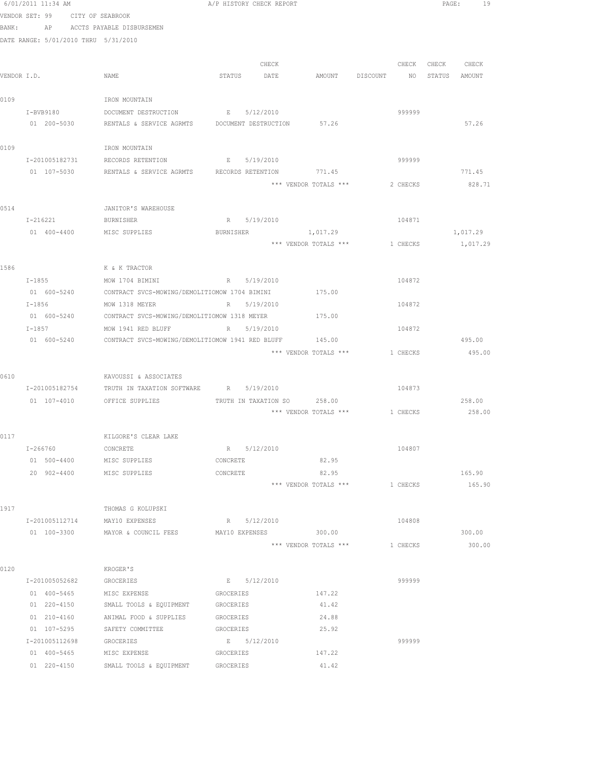|      | 6/01/2011 11:34 AM                   |                                                                                                   |           | A/P HISTORY CHECK REPORT |                                |                           |          |                   | PAGE:<br>- 19 |  |
|------|--------------------------------------|---------------------------------------------------------------------------------------------------|-----------|--------------------------|--------------------------------|---------------------------|----------|-------------------|---------------|--|
|      | VENDOR SET: 99 CITY OF SEABROOK      |                                                                                                   |           |                          |                                |                           |          |                   |               |  |
|      |                                      | BANK: AP ACCTS PAYABLE DISBURSEMEN                                                                |           |                          |                                |                           |          |                   |               |  |
|      | DATE RANGE: 5/01/2010 THRU 5/31/2010 |                                                                                                   |           |                          |                                |                           |          |                   |               |  |
|      |                                      |                                                                                                   |           |                          |                                |                           |          |                   |               |  |
|      |                                      |                                                                                                   |           | CHECK                    |                                |                           |          | CHECK CHECK CHECK |               |  |
|      | VENDOR I.D.                          | NAME                                                                                              |           | STATUS DATE              | AMOUNT                         | DISCOUNT NO STATUS AMOUNT |          |                   |               |  |
|      |                                      |                                                                                                   |           |                          |                                |                           |          |                   |               |  |
| 0109 |                                      | IRON MOUNTAIN                                                                                     |           |                          |                                |                           |          |                   |               |  |
|      | I-BVB9180                            | DOCUMENT DESTRUCTION                                                                              |           | E 5/12/2010              |                                |                           | 999999   |                   |               |  |
|      | 01 200-5030                          | RENTALS & SERVICE AGRMTS  DOCUMENT DESTRUCTION 57.26                                              |           |                          |                                |                           |          |                   | 57.26         |  |
| 0109 |                                      | IRON MOUNTAIN                                                                                     |           |                          |                                |                           |          |                   |               |  |
|      | I-201005182731                       | RECORDS RETENTION                                                                                 |           | E 5/19/2010              |                                |                           | 999999   |                   |               |  |
|      | 01 107-5030                          | RENTALS & SERVICE AGRMTS RECORDS RETENTION 771.45                                                 |           |                          |                                |                           |          |                   | 771.45        |  |
|      |                                      |                                                                                                   |           |                          | *** VENDOR TOTALS ***          |                           | 2 CHECKS |                   | 828.71        |  |
|      |                                      |                                                                                                   |           |                          |                                |                           |          |                   |               |  |
| 0514 |                                      | JANITOR'S WAREHOUSE                                                                               |           |                          |                                |                           |          |                   |               |  |
|      | I-216221                             | <b>BURNISHER</b>                                                                                  |           | R 5/19/2010              |                                |                           | 104871   |                   |               |  |
|      | 01 400-4400                          | MISC SUPPLIES                                                                                     | BURNISHER |                          | 1,017.29                       |                           |          |                   | 1,017.29      |  |
|      |                                      |                                                                                                   |           |                          | *** VENDOR TOTALS ***          |                           | 1 CHECKS |                   | 1,017.29      |  |
|      |                                      |                                                                                                   |           |                          |                                |                           |          |                   |               |  |
| 1586 |                                      | K & K TRACTOR                                                                                     |           |                          |                                |                           |          |                   |               |  |
|      | $I - 1855$                           | MOW 1704 BIMINI                                                                                   |           | R 5/19/2010              |                                |                           | 104872   |                   |               |  |
|      |                                      | 01 600-5240 CONTRACT SVCS-MOWING/DEMOLITIOMOW 1704 BIMINI 175.00                                  |           |                          |                                |                           |          |                   |               |  |
|      | $I - 1856$                           | MOW 1318 MEYER                                                                                    |           | R 5/19/2010              |                                |                           | 104872   |                   |               |  |
|      | $I - 1857$                           | 01 600-5240 CONTRACT SVCS-MOWING/DEMOLITIOMOW 1318 MEYER 175.00<br>MOW 1941 RED BLUFF R 5/19/2010 |           |                          |                                |                           | 104872   |                   |               |  |
|      | 01 600-5240                          | CONTRACT SVCS-MOWING/DEMOLITIOMOW 1941 RED BLUFF 145.00                                           |           |                          |                                |                           |          |                   | 495.00        |  |
|      |                                      |                                                                                                   |           |                          | *** VENDOR TOTALS ***          |                           | 1 CHECKS |                   | 495.00        |  |
|      |                                      |                                                                                                   |           |                          |                                |                           |          |                   |               |  |
| 0610 |                                      | KAVOUSSI & ASSOCIATES                                                                             |           |                          |                                |                           |          |                   |               |  |
|      | I-201005182754                       | TRUTH IN TAXATION SOFTWARE                                                                        |           | R 5/19/2010              |                                |                           | 104873   |                   |               |  |
|      |                                      | 01 107-4010 OFFICE SUPPLIES                                                                       |           |                          | TRUTH IN TAXATION SO 258.00    |                           |          |                   | 258.00        |  |
|      |                                      |                                                                                                   |           |                          | *** VENDOR TOTALS *** 1 CHECKS |                           |          |                   | 258.00        |  |
|      |                                      |                                                                                                   |           |                          |                                |                           |          |                   |               |  |
| 0117 |                                      | KILGORE'S CLEAR LAKE                                                                              |           |                          |                                |                           |          |                   |               |  |
|      | I-266760                             | CONCRETE                                                                                          |           | R 5/12/2010              |                                |                           | 104807   |                   |               |  |
|      | 01 500-4400                          | MISC SUPPLIES                                                                                     | CONCRETE  |                          | 82.95                          |                           |          |                   |               |  |
|      |                                      | 20 902-4400 MISC SUPPLIES                                                                         | CONCRETE  |                          | 82.95                          |                           |          |                   | 165.90        |  |
|      |                                      |                                                                                                   |           |                          | *** VENDOR TOTALS ***          |                           | 1 CHECKS |                   | 165.90        |  |
|      |                                      |                                                                                                   |           |                          |                                |                           |          |                   |               |  |
| 1917 | I-201005112714                       | THOMAS G KOLUPSKI<br>MAY10 EXPENSES                                                               |           | R 5/12/2010              |                                |                           | 104808   |                   |               |  |
|      | 01 100-3300                          | MAYOR & COUNCIL FEES                                                                              |           | MAY10 EXPENSES           | 300.00                         |                           |          |                   | 300.00        |  |
|      |                                      |                                                                                                   |           |                          | *** VENDOR TOTALS ***          |                           | 1 CHECKS |                   | 300.00        |  |
|      |                                      |                                                                                                   |           |                          |                                |                           |          |                   |               |  |
| 0120 |                                      | KROGER'S                                                                                          |           |                          |                                |                           |          |                   |               |  |
|      | I-201005052682                       | GROCERIES                                                                                         |           | E 5/12/2010              |                                |                           | 999999   |                   |               |  |
|      | 01 400-5465                          | MISC EXPENSE                                                                                      | GROCERIES |                          | 147.22                         |                           |          |                   |               |  |
|      | 01 220-4150                          | SMALL TOOLS & EQUIPMENT                                                                           | GROCERIES |                          | 41.42                          |                           |          |                   |               |  |
|      | $01 210 - 4160$                      | ANIMAL FOOD & SUPPLIES                                                                            | GROCERIES |                          | 24.88                          |                           |          |                   |               |  |
|      | 01 107-5295                          | SAFETY COMMITTEE                                                                                  | GROCERIES |                          | 25.92                          |                           |          |                   |               |  |
|      | I-201005112698                       | GROCERIES                                                                                         |           | E 5/12/2010              |                                |                           | 999999   |                   |               |  |
|      | 01 400-5465                          | MISC EXPENSE                                                                                      | GROCERIES |                          | 147.22                         |                           |          |                   |               |  |
|      | 01 220-4150                          | SMALL TOOLS & EQUIPMENT                                                                           | GROCERIES |                          | 41.42                          |                           |          |                   |               |  |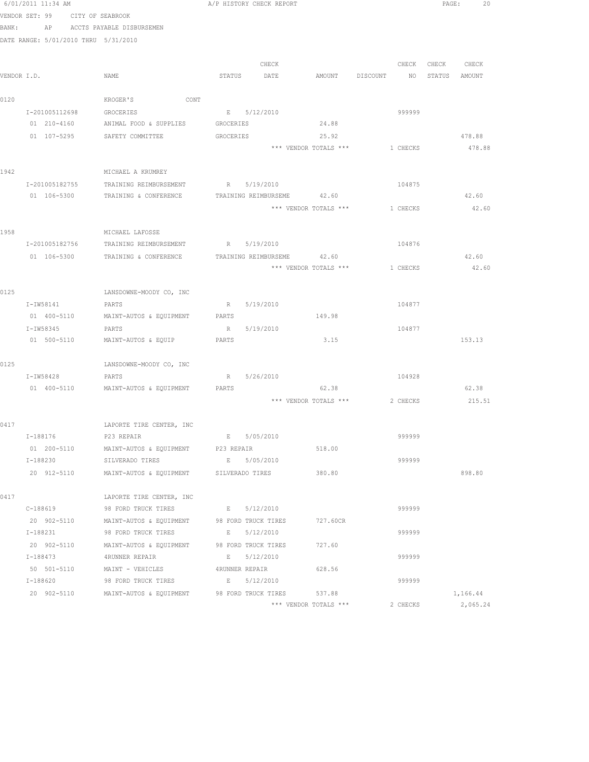|      | 6/01/2011 11:34 AM                   |                                                                    |             | A/P HISTORY CHECK REPORT   |                                |          |                   | PAGE:<br>20     |
|------|--------------------------------------|--------------------------------------------------------------------|-------------|----------------------------|--------------------------------|----------|-------------------|-----------------|
|      | VENDOR SET: 99 CITY OF SEABROOK      |                                                                    |             |                            |                                |          |                   |                 |
|      | BANK: AP ACCTS PAYABLE DISBURSEMEN   |                                                                    |             |                            |                                |          |                   |                 |
|      | DATE RANGE: 5/01/2010 THRU 5/31/2010 |                                                                    |             |                            |                                |          |                   |                 |
|      |                                      |                                                                    |             |                            |                                |          |                   |                 |
|      |                                      |                                                                    |             | CHECK                      |                                |          | CHECK CHECK CHECK |                 |
|      | VENDOR I.D.                          | NAME                                                               |             | STATUS DATE                | AMOUNT DISCOUNT                |          | NO STATUS AMOUNT  |                 |
|      |                                      |                                                                    |             |                            |                                |          |                   |                 |
| 0120 |                                      | KROGER'S<br>CONT                                                   |             |                            |                                |          |                   |                 |
|      | I-201005112698                       | GROCERIES                                                          |             | E 5/12/2010                |                                | 999999   |                   |                 |
|      |                                      | 01 210-4160 ANIMAL FOOD & SUPPLIES GROCERIES                       |             |                            | 24.88                          |          |                   |                 |
|      |                                      | 01 107-5295 SAFETY COMMITTEE                                       | GROCERIES   |                            | 25.92                          |          |                   | 478.88          |
|      |                                      |                                                                    |             |                            | *** VENDOR TOTALS ***          | 1 CHECKS |                   | 478.88          |
|      |                                      |                                                                    |             |                            |                                |          |                   |                 |
| 1942 |                                      | MICHAEL A KRUMREY                                                  |             |                            |                                |          |                   |                 |
|      | I-201005182755                       | TRAINING REIMBURSEMENT                                             |             | R 5/19/2010                |                                | 104875   |                   |                 |
|      | 01 106-5300                          | TRAINING & CONFERENCE                                              |             | TRAINING REIMBURSEME 42.60 |                                |          |                   | 42.60           |
|      |                                      |                                                                    |             |                            | *** VENDOR TOTALS ***          | 1 CHECKS |                   | 42.60           |
|      |                                      |                                                                    |             |                            |                                |          |                   |                 |
| 1958 |                                      | MICHAEL LAFOSSE                                                    |             |                            |                                |          |                   |                 |
|      |                                      | I-201005182756 TRAINING REIMBURSEMENT R 5/19/2010                  |             |                            |                                | 104876   |                   |                 |
|      |                                      | 01 106-5300 TRAINING & CONFERENCE                                  |             | TRAINING REIMBURSEME 42.60 | *** VENDOR TOTALS *** 1 CHECKS |          |                   | 42.60<br>42.60  |
|      |                                      |                                                                    |             |                            |                                |          |                   |                 |
| 0125 |                                      | LANSDOWNE-MOODY CO, INC                                            |             |                            |                                |          |                   |                 |
|      | I-IW58141                            | PARTS                                                              |             | R 5/19/2010                |                                | 104877   |                   |                 |
|      | 01 400-5110                          | MAINT-AUTOS & EQUIPMENT                                            | PARTS       |                            | 149.98                         |          |                   |                 |
|      | I-IW58345                            | PARTS                                                              |             | R 5/19/2010                |                                | 104877   |                   |                 |
|      | 01 500-5110                          | MAINT-AUTOS & EQUIP                                                | PARTS       |                            | 3.15                           |          |                   | 153.13          |
|      |                                      |                                                                    |             |                            |                                |          |                   |                 |
| 0125 |                                      | LANSDOWNE-MOODY CO, INC                                            |             |                            |                                |          |                   |                 |
|      | I-IW58428                            | PARTS                                                              |             | R 5/26/2010                |                                | 104928   |                   |                 |
|      |                                      | 01 400-5110 MAINT-AUTOS & EQUIPMENT                                | PARTS       |                            | 62.38                          |          |                   | 62.38           |
|      |                                      |                                                                    |             |                            | *** VENDOR TOTALS ***          |          |                   | 2 CHECKS 215.51 |
|      |                                      |                                                                    |             |                            |                                |          |                   |                 |
| 0417 |                                      | LAPORTE TIRE CENTER, INC                                           |             |                            |                                |          |                   |                 |
|      | I-188176                             | P23 REPAIR                                                         | $E$ and $E$ | 5/05/2010                  |                                | 999999   |                   |                 |
|      | 01 200-5110                          | MAINT-AUTOS & EQUIPMENT P23 REPAIR                                 |             |                            | 518.00                         |          |                   |                 |
|      | I-188230                             | SILVERADO TIRES                                                    | $E = 1$     | 5/05/2010                  |                                | 999999   |                   |                 |
|      | 20 912-5110                          | MAINT-AUTOS & EQUIPMENT SILVERADO TIRES                            |             |                            | 380.80                         |          |                   | 898.80          |
|      |                                      |                                                                    |             |                            |                                |          |                   |                 |
| 0417 |                                      | LAPORTE TIRE CENTER, INC                                           |             |                            |                                | 999999   |                   |                 |
|      | C-188619                             | 98 FORD TRUCK TIRES                                                |             | E 5/12/2010                |                                |          |                   |                 |
|      | 20 902-5110<br>I-188231              | MAINT-AUTOS & EQUIPMENT 98 FORD TRUCK TIRES<br>98 FORD TRUCK TIRES |             | E 5/12/2010                | 727.60CR                       | 999999   |                   |                 |
|      |                                      | 20 902-5110 MAINT-AUTOS & EQUIPMENT 98 FORD TRUCK TIRES            |             |                            | 727.60                         |          |                   |                 |
|      | I-188473                             | 4RUNNER REPAIR                                                     |             | E 5/12/2010                |                                | 999999   |                   |                 |
|      |                                      | 50 501-5110 MAINT - VEHICLES 4RUNNER REPAIR                        |             |                            | 628.56                         |          |                   |                 |
|      | I-188620                             | 98 FORD TRUCK TIRES B 5/12/2010                                    |             |                            |                                | 999999   |                   |                 |
|      | 20 902-5110                          | MAINT-AUTOS & EQUIPMENT 98 FORD TRUCK TIRES                        |             |                            | 537.88                         |          |                   | 1,166.44        |
|      |                                      |                                                                    |             |                            |                                |          |                   |                 |

\*\*\* VENDOR TOTALS \*\*\* 2 CHECKS 2,065.24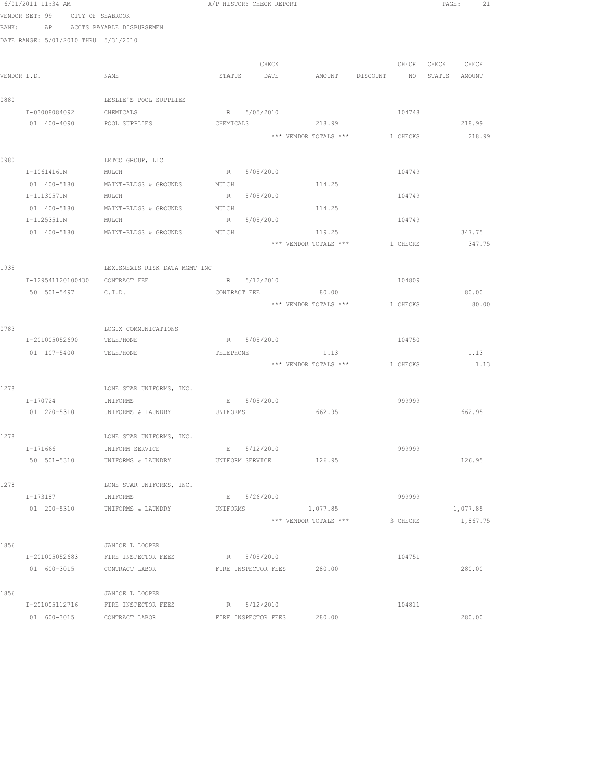|       | 6/01/2011 11:34 AM                   |                                         | A/P HISTORY CHECK REPORT                              |          |                   | PAGE: 21 |
|-------|--------------------------------------|-----------------------------------------|-------------------------------------------------------|----------|-------------------|----------|
|       | VENDOR SET: 99 CITY OF SEABROOK      |                                         |                                                       |          |                   |          |
| BANK: |                                      | AP ACCTS PAYABLE DISBURSEMEN            |                                                       |          |                   |          |
|       | DATE RANGE: 5/01/2010 THRU 5/31/2010 |                                         |                                                       |          |                   |          |
|       |                                      |                                         |                                                       |          |                   |          |
|       |                                      |                                         | CHECK                                                 |          | CHECK CHECK CHECK |          |
|       | VENDOR I.D.                          | NAME                                    | STATUS DATE AMOUNT DISCOUNT NO STATUS AMOUNT          |          |                   |          |
| 0880  |                                      | LESLIE'S POOL SUPPLIES                  |                                                       |          |                   |          |
|       | I-03008084092                        | CHEMICALS                               | R 5/05/2010                                           | 104748   |                   |          |
|       | 01 400-4090                          | POOL SUPPLIES                           | CHEMICALS<br>218.99                                   |          |                   | 218.99   |
|       |                                      |                                         | *** VENDOR TOTALS *** 1 CHECKS                        |          |                   | 218.99   |
|       |                                      |                                         |                                                       |          |                   |          |
| 0980  |                                      | LETCO GROUP, LLC                        |                                                       |          |                   |          |
|       | I-1061416IN                          | MULCH                                   | R 5/05/2010                                           | 104749   |                   |          |
|       |                                      | 01 400-5180 MAINT-BLDGS & GROUNDS MULCH | 114.25                                                |          |                   |          |
|       | I-1113057IN                          | MULCH                                   | 5/05/2010<br>R                                        | 104749   |                   |          |
|       |                                      | 01 400-5180 MAINT-BLDGS & GROUNDS MULCH | 114.25                                                |          |                   |          |
|       | I-1125351IN                          | MULCH                                   | R 5/05/2010                                           | 104749   |                   |          |
|       | 01 400-5180                          | MAINT-BLDGS & GROUNDS                   | MULCH<br>119.25                                       |          |                   | 347.75   |
|       |                                      |                                         | *** VENDOR TOTALS ***                                 | 1 CHECKS |                   | 347.75   |
|       |                                      |                                         |                                                       |          |                   |          |
| 1935  |                                      | LEXISNEXIS RISK DATA MGMT INC           |                                                       |          |                   |          |
|       | I-129541120100430 CONTRACT FEE       |                                         | R 5/12/2010                                           | 104809   |                   |          |
|       | 50 501-5497 C.I.D.                   |                                         | CONTRACT FEE<br>80.00                                 |          |                   | 80.00    |
|       |                                      |                                         | *** VENDOR TOTALS *** 1 CHECKS                        |          |                   | 80.00    |
| 0783  |                                      | LOGIX COMMUNICATIONS                    |                                                       |          |                   |          |
|       | I-201005052690 TELEPHONE             |                                         | R 5/05/2010                                           | 104750   |                   |          |
|       | 01  107-5400  TELEPHONE              |                                         | 1.13<br>TELEPHONE                                     |          |                   | 1.13     |
|       |                                      |                                         | *** VENDOR TOTALS *** 1 CHECKS                        |          |                   | 1.13     |
|       |                                      |                                         |                                                       |          |                   |          |
| 1278  |                                      | LONE STAR UNIFORMS, INC.                |                                                       |          |                   |          |
|       | I-170724                             | UNIFORMS                                | E 5/05/2010                                           | 999999   |                   |          |
|       |                                      | 01 220-5310 UNIFORMS & LAUNDRY UNIFORMS | 662.95                                                |          |                   | 662.95   |
|       |                                      |                                         |                                                       |          |                   |          |
| 1278  |                                      | LONE STAR UNIFORMS, INC.                |                                                       |          |                   |          |
|       | I-171666                             | UNIFORM SERVICE                         | E 5/12/2010                                           | 999999   |                   |          |
|       |                                      |                                         | 50 501-5310 UNIFORMS & LAUNDRY UNIFORM SERVICE 126.95 |          |                   | 126.95   |
|       |                                      |                                         |                                                       |          |                   |          |
| 1278  |                                      | LONE STAR UNIFORMS, INC.                |                                                       |          |                   |          |
|       | I-173187                             | UNIFORMS                                | E 5/26/2010                                           | 999999   |                   |          |
|       | 01 200-5310                          | UNIFORMS & LAUNDRY                      | 1,077.85<br>UNIFORMS                                  |          |                   | 1,077.85 |
|       |                                      |                                         | *** VENDOR TOTALS ***                                 | 3 CHECKS |                   | 1,867.75 |
| 1856  |                                      | JANICE L LOOPER                         |                                                       |          |                   |          |
|       | I-201005052683                       | FIRE INSPECTOR FEES                     | R 5/05/2010                                           | 104751   |                   |          |
|       | 01 600-3015                          | CONTRACT LABOR                          | FIRE INSPECTOR FEES 280.00                            |          |                   | 280.00   |
|       |                                      |                                         |                                                       |          |                   |          |
| 1856  |                                      | JANICE L LOOPER                         |                                                       |          |                   |          |
|       |                                      | I-201005112716 FIRE INSPECTOR FEES      | R 5/12/2010                                           | 104811   |                   |          |
|       | 01 600-3015                          | CONTRACT LABOR                          | FIRE INSPECTOR FEES<br>280.00                         |          |                   | 280.00   |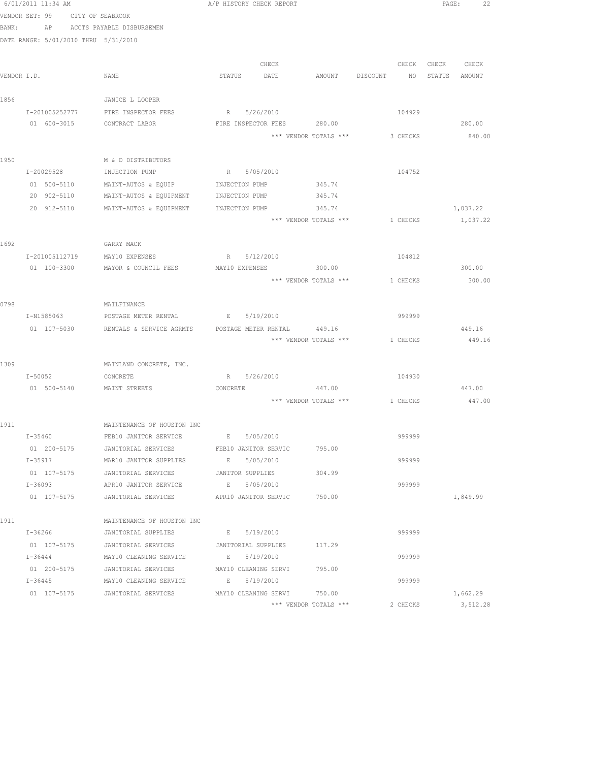|             |                                      | 6/01/2011 11:34 AM A/P HISTORY CHECK REPORT                                           |                       |                      |                                |          |        | PAGE: 22    |  |
|-------------|--------------------------------------|---------------------------------------------------------------------------------------|-----------------------|----------------------|--------------------------------|----------|--------|-------------|--|
|             | VENDOR SET: 99 CITY OF SEABROOK      |                                                                                       |                       |                      |                                |          |        |             |  |
| BANK:       |                                      | AP ACCTS PAYABLE DISBURSEMEN                                                          |                       |                      |                                |          |        |             |  |
|             | DATE RANGE: 5/01/2010 THRU 5/31/2010 |                                                                                       |                       |                      |                                |          |        |             |  |
|             |                                      |                                                                                       |                       |                      |                                |          |        |             |  |
|             |                                      |                                                                                       |                       | CHECK                |                                | CHECK    |        | CHECK CHECK |  |
| VENDOR I.D. |                                      | NAME                                                                                  | STATUS DATE           |                      | AMOUNT DISCOUNT NO             |          | STATUS | AMOUNT      |  |
| 1856        |                                      | JANICE L LOOPER                                                                       |                       |                      |                                |          |        |             |  |
|             | I-201005252777                       | FIRE INSPECTOR FEES                                                                   |                       | R 5/26/2010          |                                | 104929   |        |             |  |
|             | 01 600-3015                          | CONTRACT LABOR                                                                        |                       | FIRE INSPECTOR FEES  | 280.00                         |          |        | 280.00      |  |
|             |                                      |                                                                                       |                       |                      | *** VENDOR TOTALS ***          | 3 CHECKS |        | 840.00      |  |
|             |                                      |                                                                                       |                       |                      |                                |          |        |             |  |
| 1950        |                                      | M & D DISTRIBUTORS                                                                    |                       |                      |                                |          |        |             |  |
|             | I-20029528                           | INJECTION PUMP                                                                        |                       | R 5/05/2010          |                                | 104752   |        |             |  |
|             |                                      | 01 500-5110 MAINT-AUTOS & EQUIP INJECTION PUMP                                        |                       |                      | 345.74                         |          |        |             |  |
|             | 20 902-5110                          | MAINT-AUTOS & EQUIPMENT                                                               | INJECTION PUMP 345.74 |                      |                                |          |        |             |  |
|             |                                      | 20 912-5110 MAINT-AUTOS & EQUIPMENT                                                   | INJECTION PUMP        |                      | 345.74                         |          |        | 1,037.22    |  |
|             |                                      |                                                                                       |                       |                      | *** VENDOR TOTALS *** 1 CHECKS |          |        | 1,037.22    |  |
|             |                                      |                                                                                       |                       |                      |                                |          |        |             |  |
| 1692        |                                      | GARRY MACK                                                                            |                       |                      |                                |          |        |             |  |
|             | I-201005112719                       | MAY10 EXPENSES                                                                        |                       | R 5/12/2010          |                                | 104812   |        |             |  |
|             | 01 100-3300                          | MAYOR & COUNCIL FEES                                                                  | MAY10 EXPENSES        |                      | 300.00                         |          |        | 300.00      |  |
|             |                                      |                                                                                       |                       |                      | *** VENDOR TOTALS ***          | 1 CHECKS |        | 300.00      |  |
|             |                                      |                                                                                       |                       |                      |                                |          |        |             |  |
| 0798        |                                      | MAILFINANCE                                                                           |                       |                      |                                |          |        |             |  |
|             | I-N1585063                           | POSTAGE METER RENTAL                                                                  | E 5/19/2010           |                      |                                | 999999   |        |             |  |
|             |                                      | 01 107-5030 RENTALS & SERVICE AGRMTS POSTAGE METER RENTAL 449.16                      |                       |                      |                                |          |        | 449.16      |  |
|             |                                      |                                                                                       |                       |                      | *** VENDOR TOTALS *** 1 CHECKS |          |        | 449.16      |  |
|             |                                      |                                                                                       |                       |                      |                                |          |        |             |  |
| 1309        |                                      | MAINLAND CONCRETE, INC.                                                               |                       |                      |                                |          |        |             |  |
|             | I-50052                              | CONCRETE                                                                              |                       | R 5/26/2010          |                                | 104930   |        |             |  |
|             |                                      | 01 500-5140 MAINT STREETS                                                             | CONCRETE              |                      | 447.00                         |          |        | 447.00      |  |
|             |                                      |                                                                                       |                       |                      | *** VENDOR TOTALS ***          | 1 CHECKS |        | 447.00      |  |
|             |                                      |                                                                                       |                       |                      |                                |          |        |             |  |
| 1911        |                                      | MAINTENANCE OF HOUSTON INC<br>FEB10 JANITOR SERVICE                                   |                       |                      |                                | 999999   |        |             |  |
|             | I-35460                              |                                                                                       | E 5/05/2010           |                      |                                |          |        |             |  |
|             | 01 200-5175<br>I-35917               | JANITORIAL SERVICES<br>MAR10 JANITOR SUPPLIES                                         | E 5/05/2010           | FEB10 JANITOR SERVIC | 795.00                         | 999999   |        |             |  |
|             |                                      |                                                                                       |                       |                      |                                |          |        |             |  |
|             |                                      | 01 107-5175 JANITORIAL SERVICES JANITOR SUPPLIES<br>APR10 JANITOR SERVICE B 5/05/2010 |                       |                      | 304.99                         | 999999   |        |             |  |
|             | $I - 36093$                          |                                                                                       |                       |                      |                                |          |        |             |  |
|             | 01 107-5175                          | JANITORIAL SERVICES APR10 JANITOR SERVIC                                              |                       |                      | 750.00                         |          |        | 1,849.99    |  |
| 1911        |                                      | MAINTENANCE OF HOUSTON INC                                                            |                       |                      |                                |          |        |             |  |
|             | $I - 36266$                          | JANITORIAL SUPPLIES                                                                   | E 5/19/2010           |                      |                                | 999999   |        |             |  |
|             | 01 107-5175                          | JANITORIAL SERVICES                                                                   | JANITORIAL SUPPLIES   |                      | 117.29                         |          |        |             |  |
|             | $I - 36444$                          | MAY10 CLEANING SERVICE                                                                | E 5/19/2010           |                      |                                | 999999   |        |             |  |
|             | 01 200-5175                          | JANITORIAL SERVICES                                                                   |                       | MAY10 CLEANING SERVI | 795.00                         |          |        |             |  |
|             | $I - 36445$                          | MAY10 CLEANING SERVICE                                                                | E 5/19/2010           |                      |                                | 999999   |        |             |  |
|             |                                      | 01 107-5175 JANITORIAL SERVICES MAY10 CLEANING SERVI 750.00                           |                       |                      |                                |          |        | 1,662.29    |  |
|             |                                      |                                                                                       |                       |                      | *** VENDOR TOTALS ***          | 2 CHECKS |        | 3,512.28    |  |
|             |                                      |                                                                                       |                       |                      |                                |          |        |             |  |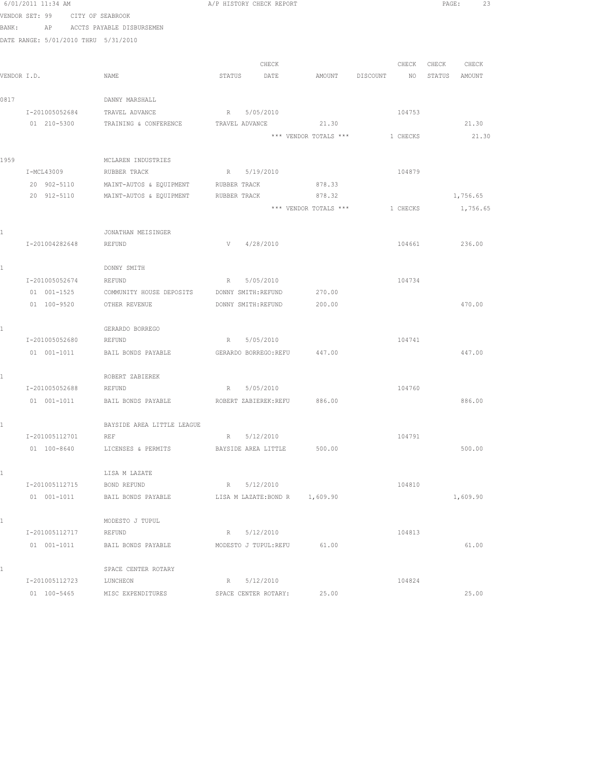|             | 6/01/2011 11:34 AM                   |                            |        | A/P HISTORY CHECK REPORT |                                |          |          | PAGE:  | 23       |
|-------------|--------------------------------------|----------------------------|--------|--------------------------|--------------------------------|----------|----------|--------|----------|
|             | VENDOR SET: 99                       | CITY OF SEABROOK           |        |                          |                                |          |          |        |          |
| BANK:       | AP                                   | ACCTS PAYABLE DISBURSEMEN  |        |                          |                                |          |          |        |          |
|             | DATE RANGE: 5/01/2010 THRU 5/31/2010 |                            |        |                          |                                |          |          |        |          |
|             |                                      |                            |        | CHECK                    |                                |          | CHECK    | CHECK  | CHECK    |
| VENDOR I.D. |                                      | NAME                       | STATUS | DATE                     | AMOUNT                         | DISCOUNT | NO       | STATUS | AMOUNT   |
|             |                                      |                            |        |                          |                                |          |          |        |          |
| 0817        |                                      | DANNY MARSHALL             |        |                          |                                |          |          |        |          |
|             | I-201005052684                       | TRAVEL ADVANCE             | R      | 5/05/2010                |                                |          | 104753   |        |          |
|             | 01 210-5300                          | TRAINING & CONFERENCE      |        | TRAVEL ADVANCE           | 21.30                          |          |          |        | 21.30    |
|             |                                      |                            |        |                          | *** VENDOR TOTALS ***          |          | 1 CHECKS |        | 21.30    |
|             |                                      |                            |        |                          |                                |          |          |        |          |
| 1959        |                                      | MCLAREN INDUSTRIES         |        |                          |                                |          |          |        |          |
|             | I-MCL43009                           | RUBBER TRACK               | R      | 5/19/2010                |                                |          | 104879   |        |          |
|             | 20 902-5110                          | MAINT-AUTOS & EQUIPMENT    |        | RUBBER TRACK             | 878.33                         |          |          |        |          |
|             | 20 912-5110                          | MAINT-AUTOS & EQUIPMENT    |        | RUBBER TRACK             | 878.32                         |          |          |        | 1,756.65 |
|             |                                      |                            |        |                          | *** VENDOR TOTALS ***          |          | 1 CHECKS |        | 1,756.65 |
|             |                                      |                            |        |                          |                                |          |          |        |          |
| ı           |                                      | JONATHAN MEISINGER         |        |                          |                                |          |          |        |          |
|             | I-201004282648                       | REFUND                     | V      | 4/28/2010                |                                |          | 104661   |        | 236.00   |
|             |                                      |                            |        |                          |                                |          |          |        |          |
| 1           |                                      | DONNY SMITH                |        |                          |                                |          |          |        |          |
|             | I-201005052674                       | REFUND                     | R      | 5/05/2010                |                                |          | 104734   |        |          |
|             | 01 001-1525                          | COMMUNITY HOUSE DEPOSITS   |        | DONNY SMITH: REFUND      | 270.00                         |          |          |        |          |
|             | 01 100-9520                          | OTHER REVENUE              |        | DONNY SMITH: REFUND      | 200.00                         |          |          |        | 470.00   |
|             |                                      |                            |        |                          |                                |          |          |        |          |
| 1           |                                      | GERARDO BORREGO            |        |                          |                                |          |          |        |          |
|             | I-201005052680                       | REFUND                     | R      | 5/05/2010                |                                |          | 104741   |        |          |
|             | 01 001-1011                          | BAIL BONDS PAYABLE         |        | GERARDO BORREGO:REFU     | 447.00                         |          |          |        | 447.00   |
|             |                                      | ROBERT ZABIEREK            |        |                          |                                |          |          |        |          |
| 1           | I-201005052688                       | REFUND                     | R      | 5/05/2010                |                                |          | 104760   |        |          |
|             | $01 001 - 1011$                      | BAIL BONDS PAYABLE         |        |                          | ROBERT ZABIEREK:REFU 886.00    |          |          |        | 886.00   |
|             |                                      |                            |        |                          |                                |          |          |        |          |
|             |                                      | BAYSIDE AREA LITTLE LEAGUE |        |                          |                                |          |          |        |          |
|             | I-201005112701                       | REF                        | R      | 5/12/2010                |                                |          | 104791   |        |          |
|             | 01 100-8640                          | LICENSES & PERMITS         |        | BAYSIDE AREA LITTLE      | 500.00                         |          |          |        | 500.00   |
|             |                                      |                            |        |                          |                                |          |          |        |          |
| 1           |                                      | LISA M LAZATE              |        |                          |                                |          |          |        |          |
|             | I-201005112715                       | BOND REFUND                |        | R 5/12/2010              |                                |          | 104810   |        |          |
|             | 01 001-1011                          | BAIL BONDS PAYABLE         |        |                          | LISA M LAZATE: BOND R 1,609.90 |          |          |        | 1,609.90 |
|             |                                      |                            |        |                          |                                |          |          |        |          |
| 1           |                                      | MODESTO J TUPUL            |        |                          |                                |          |          |        |          |
|             | I-201005112717                       | REFUND                     | $R =$  | 5/12/2010                |                                |          | 104813   |        |          |
|             | 01 001-1011                          | BAIL BONDS PAYABLE         |        | MODESTO J TUPUL:REFU     | 61.00                          |          |          |        | 61.00    |
| 1           |                                      | SPACE CENTER ROTARY        |        |                          |                                |          |          |        |          |
|             | I-201005112723                       | LUNCHEON                   | R      | 5/12/2010                |                                |          | 104824   |        |          |
|             | 01 100-5465                          | MISC EXPENDITURES          |        | SPACE CENTER ROTARY:     | 25.00                          |          |          |        | 25.00    |
|             |                                      |                            |        |                          |                                |          |          |        |          |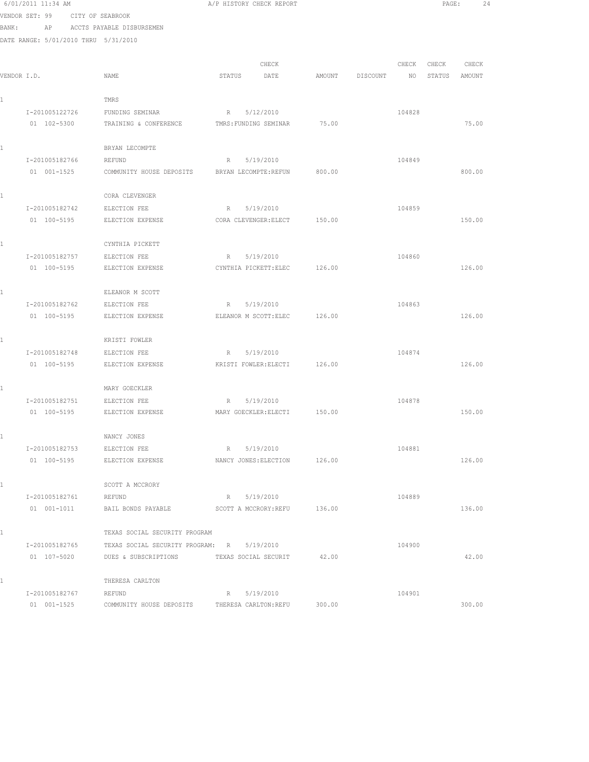|       | 6/01/2011 11:34 AM                   |                                            | A/P HISTORY CHECK REPORT                |        |          |        | PAGE:  |        | 24 |
|-------|--------------------------------------|--------------------------------------------|-----------------------------------------|--------|----------|--------|--------|--------|----|
|       | VENDOR SET: 99                       | CITY OF SEABROOK                           |                                         |        |          |        |        |        |    |
| BANK: | ΑP                                   | ACCTS PAYABLE DISBURSEMEN                  |                                         |        |          |        |        |        |    |
|       | DATE RANGE: 5/01/2010 THRU 5/31/2010 |                                            |                                         |        |          |        |        |        |    |
|       |                                      |                                            |                                         |        |          |        |        |        |    |
|       |                                      |                                            | CHECK                                   |        |          | CHECK  | CHECK  | CHECK  |    |
|       | VENDOR I.D.                          | NAME                                       | STATUS<br>DATE                          | AMOUNT | DISCOUNT | NO     | STATUS | AMOUNT |    |
|       |                                      |                                            |                                         |        |          |        |        |        |    |
| 1     |                                      | TMRS                                       |                                         |        |          |        |        |        |    |
|       | I-201005122726<br>01 102-5300        | FUNDING SEMINAR<br>TRAINING & CONFERENCE   | 5/12/2010<br>R<br>TMRS: FUNDING SEMINAR | 75.00  |          | 104828 |        | 75.00  |    |
|       |                                      |                                            |                                         |        |          |        |        |        |    |
| 1     |                                      | BRYAN LECOMPTE                             |                                         |        |          |        |        |        |    |
|       | I-201005182766                       | REFUND                                     | 5/19/2010<br>R                          |        |          | 104849 |        |        |    |
|       | 01 001-1525                          | COMMUNITY HOUSE DEPOSITS                   | BRYAN LECOMPTE: REFUN                   | 800.00 |          |        |        | 800.00 |    |
|       |                                      |                                            |                                         |        |          |        |        |        |    |
| 1     |                                      | CORA CLEVENGER                             |                                         |        |          |        |        |        |    |
|       | I-201005182742                       | ELECTION FEE                               | 5/19/2010<br>R                          |        |          | 104859 |        |        |    |
|       | 01 100-5195                          | ELECTION EXPENSE                           | CORA CLEVENGER: ELECT                   | 150.00 |          |        |        | 150.00 |    |
|       |                                      |                                            |                                         |        |          |        |        |        |    |
| 1     |                                      | CYNTHIA PICKETT                            |                                         |        |          |        |        |        |    |
|       | I-201005182757                       | ELECTION FEE                               | 5/19/2010<br>R                          |        |          | 104860 |        |        |    |
|       | 01 100-5195                          | ELECTION EXPENSE                           | CYNTHIA PICKETT: ELEC                   | 126.00 |          |        |        | 126.00 |    |
|       |                                      |                                            |                                         |        |          |        |        |        |    |
| 1     |                                      | ELEANOR M SCOTT                            |                                         |        |          |        |        |        |    |
|       | I-201005182762<br>01 100-5195        | ELECTION FEE<br>ELECTION EXPENSE           | 5/19/2010<br>R<br>ELEANOR M SCOTT: ELEC | 126.00 |          | 104863 |        | 126.00 |    |
|       |                                      |                                            |                                         |        |          |        |        |        |    |
| ı     |                                      | KRISTI FOWLER                              |                                         |        |          |        |        |        |    |
|       | I-201005182748                       | ELECTION FEE                               | 5/19/2010<br>R                          |        |          | 104874 |        |        |    |
|       | 01 100-5195                          | ELECTION EXPENSE                           | KRISTI FOWLER: ELECTI                   | 126.00 |          |        |        | 126.00 |    |
|       |                                      |                                            |                                         |        |          |        |        |        |    |
| 1     |                                      | MARY GOECKLER                              |                                         |        |          |        |        |        |    |
|       | I-201005182751                       | ELECTION FEE                               | 5/19/2010<br>R                          |        |          | 104878 |        |        |    |
|       | 01 100-5195                          | ELECTION EXPENSE                           | MARY GOECKLER: ELECTI                   | 150.00 |          |        |        | 150.00 |    |
|       |                                      |                                            |                                         |        |          |        |        |        |    |
| 1     |                                      | NANCY JONES                                |                                         |        |          |        |        |        |    |
|       | I-201005182753                       | ELECTION FEE                               | 5/19/2010<br>R                          |        |          | 104881 |        |        |    |
|       | 01 100-5195                          | ELECTION EXPENSE                           | NANCY JONES: ELECTION                   | 126.00 |          |        |        | 126.00 |    |
|       |                                      |                                            |                                         |        |          |        |        |        |    |
| 1     |                                      | SCOTT A MCCRORY                            |                                         |        |          |        |        |        |    |
|       | I-201005182761<br>$01 001 - 1011$    | REFUND<br>BAIL BONDS PAYABLE               | 5/19/2010<br>R<br>SCOTT A MCCRORY: REFU | 136.00 |          | 104889 |        | 136.00 |    |
|       |                                      |                                            |                                         |        |          |        |        |        |    |
| 1     |                                      | TEXAS SOCIAL SECURITY PROGRAM              |                                         |        |          |        |        |        |    |
|       | I-201005182765                       | TEXAS SOCIAL SECURITY PROGRAM: R 5/19/2010 |                                         |        |          | 104900 |        |        |    |
|       | 01 107-5020                          | DUES & SUBSCRIPTIONS                       | TEXAS SOCIAL SECURIT                    | 42.00  |          |        |        | 42.00  |    |
|       |                                      |                                            |                                         |        |          |        |        |        |    |
| 1     |                                      | THERESA CARLTON                            |                                         |        |          |        |        |        |    |
|       | I-201005182767                       | REFUND                                     | R<br>5/19/2010                          |        |          | 104901 |        |        |    |
|       | 01 001-1525                          | COMMUNITY HOUSE DEPOSITS                   | THERESA CARLTON: REFU                   | 300.00 |          |        |        | 300.00 |    |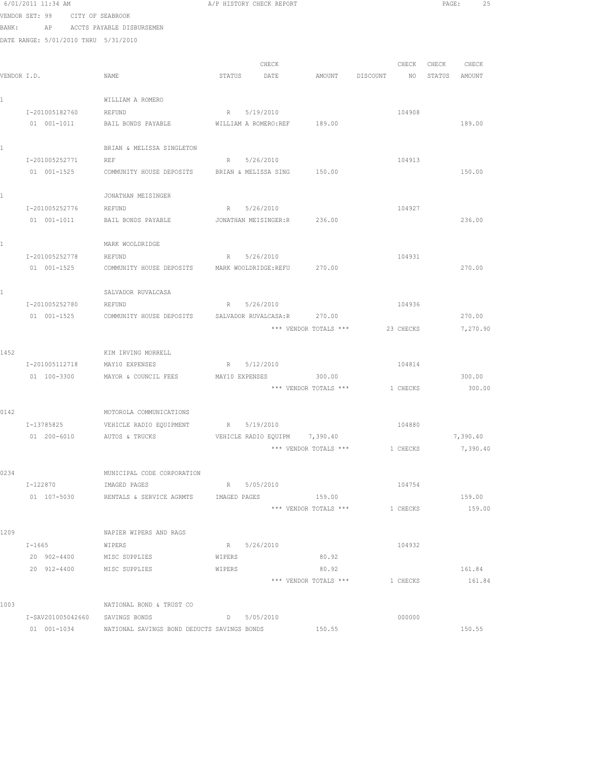|       | 6/01/2011 11:34 AM                   |                                               | A/P HISTORY CHECK REPORT                   | PAGE:<br>25      |
|-------|--------------------------------------|-----------------------------------------------|--------------------------------------------|------------------|
|       | VENDOR SET: 99<br>CITY OF SEABROOK   |                                               |                                            |                  |
| BANK: | AP                                   | ACCTS PAYABLE DISBURSEMEN                     |                                            |                  |
|       | DATE RANGE: 5/01/2010 THRU 5/31/2010 |                                               |                                            |                  |
|       |                                      |                                               |                                            |                  |
|       |                                      |                                               | CHECK<br>CHECK                             | CHECK<br>CHECK   |
|       | VENDOR I.D.                          | NAME                                          | STATUS<br>DATE<br>AMOUNT<br>DISCOUNT<br>NO | STATUS<br>AMOUNT |
|       |                                      | WILLIAM A ROMERO                              |                                            |                  |
| 1     | I-201005182760                       | REFUND                                        | R 5/19/2010<br>104908                      |                  |
|       | $01 001 - 1011$                      | BAIL BONDS PAYABLE                            | 189.00<br>WILLIAM A ROMERO:REF             | 189.00           |
|       |                                      |                                               |                                            |                  |
| 1     |                                      | BRIAN & MELISSA SINGLETON                     |                                            |                  |
|       | I-201005252771                       | <b>REF</b>                                    | 5/26/2010<br>104913<br>R                   |                  |
|       | 01 001-1525                          | COMMUNITY HOUSE DEPOSITS                      | 150.00<br>BRIAN & MELISSA SING             | 150.00           |
|       |                                      |                                               |                                            |                  |
|       |                                      | JONATHAN MEISINGER                            |                                            |                  |
|       | I-201005252776                       | REFUND                                        | 5/26/2010<br>104927<br>R                   |                  |
|       | 01 001-1011                          | BAIL BONDS PAYABLE                            | 236.00<br>JONATHAN MEISINGER:R             | 236.00           |
|       |                                      |                                               |                                            |                  |
| 1     |                                      | MARK WOOLDRIDGE                               |                                            |                  |
|       | I-201005252778                       | REFUND                                        | 104931<br>5/26/2010<br>R                   |                  |
|       | 01 001-1525                          | COMMUNITY HOUSE DEPOSITS MARK WOOLDRIDGE:REFU | 270.00                                     | 270.00           |
| 1     |                                      | SALVADOR RUVALCASA                            |                                            |                  |
|       | I-201005252780                       | REFUND                                        | 5/26/2010<br>104936<br>R                   |                  |
|       | 01 001-1525                          | COMMUNITY HOUSE DEPOSITS                      | 270.00<br>SALVADOR RUVALCASA:R             | 270.00           |
|       |                                      |                                               | *** VENDOR TOTALS ***<br>23 CHECKS         | 7,270.90         |
|       |                                      |                                               |                                            |                  |
| 1452  |                                      | KIM IRVING MORRELL                            |                                            |                  |
|       | I-201005112718                       | MAY10 EXPENSES                                | 5/12/2010<br>104814<br>R                   |                  |
|       | 01 100-3300                          | MAYOR & COUNCIL FEES                          | MAY10 EXPENSES<br>300.00                   | 300.00           |
|       |                                      |                                               | *** VENDOR TOTALS ***<br>1 CHECKS          | 300.00           |
|       |                                      |                                               |                                            |                  |
| 0142  |                                      | MOTOROLA COMMUNICATIONS                       |                                            |                  |
|       | I-13785825                           | VEHICLE RADIO EQUIPMENT                       | 104880<br>R 5/19/2010                      |                  |
|       | 01  200-6010  AUTOS & TRUCKS         |                                               | VEHICLE RADIO EQUIPM 7,390.40              | 7,390.40         |
|       |                                      |                                               | *** VENDOR TOTALS ***<br>1 CHECKS          | 7,390.40         |
| 0234  |                                      | MUNICIPAL CODE CORPORATION                    |                                            |                  |
|       | I-122870                             | IMAGED PAGES                                  | R 5/05/2010<br>104754                      |                  |
|       | 01 107-5030                          | RENTALS & SERVICE AGRMTS                      | 159.00<br>IMAGED PAGES                     | 159.00           |
|       |                                      |                                               | *** VENDOR TOTALS ***<br>1 CHECKS          | 159.00           |
|       |                                      |                                               |                                            |                  |
| 1209  |                                      | NAPIER WIPERS AND RAGS                        |                                            |                  |
|       | $I - 1665$                           | WIPERS                                        | R 5/26/2010<br>104932                      |                  |
|       | 20 902-4400                          | MISC SUPPLIES                                 | 80.92<br>WIPERS                            |                  |
|       | 20 912-4400 MISC SUPPLIES            |                                               | 80.92<br>WIPERS                            | 161.84           |
|       |                                      |                                               | *** VENDOR TOTALS ***<br>1 CHECKS          | 161.84           |
|       |                                      |                                               |                                            |                  |
| 1003  |                                      | NATIONAL BOND & TRUST CO                      |                                            |                  |
|       | I-SAV201005042660                    | SAVINGS BONDS                                 | $D = 5/05/2010$<br>000000                  |                  |

01 001-1034 NATIONAL SAVINGS BOND DEDUCTS SAVINGS BONDS 150.55 150.55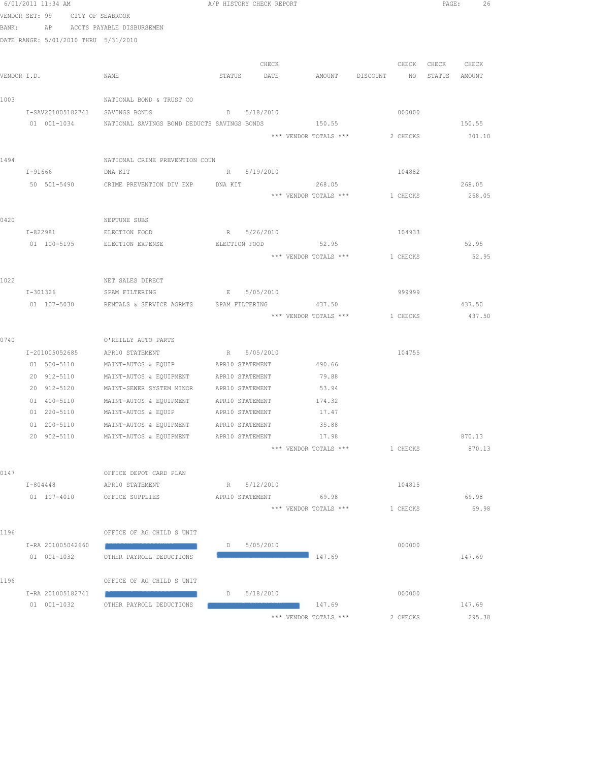|      | 6/01/2011 11:34 AM                   |                                                         |        | A/P HISTORY CHECK REPORT |                                |          |             | PAGE: 26 |
|------|--------------------------------------|---------------------------------------------------------|--------|--------------------------|--------------------------------|----------|-------------|----------|
|      | VENDOR SET: 99 CITY OF SEABROOK      |                                                         |        |                          |                                |          |             |          |
|      | BANK: AP ACCTS PAYABLE DISBURSEMEN   |                                                         |        |                          |                                |          |             |          |
|      | DATE RANGE: 5/01/2010 THRU 5/31/2010 |                                                         |        |                          |                                |          |             |          |
|      |                                      |                                                         |        | CHECK                    |                                |          | CHECK CHECK | CHECK    |
|      | VENDOR I.D.                          | NAME                                                    | STATUS | DATE                     | AMOUNT DISCOUNT                |          | NO STATUS   | AMOUNT   |
|      |                                      |                                                         |        |                          |                                |          |             |          |
| 1003 |                                      | NATIONAL BOND & TRUST CO                                |        |                          |                                |          |             |          |
|      | I-SAV201005182741                    | SAVINGS BONDS                                           |        | D 5/18/2010              |                                | 000000   |             |          |
|      |                                      | 01 001-1034 NATIONAL SAVINGS BOND DEDUCTS SAVINGS BONDS |        |                          | 150.55                         |          |             | 150.55   |
|      |                                      |                                                         |        |                          | *** VENDOR TOTALS ***          | 2 CHECKS |             | 301.10   |
|      |                                      |                                                         |        |                          |                                |          |             |          |
| 1494 |                                      | NATIONAL CRIME PREVENTION COUN                          |        |                          |                                |          |             |          |
|      | $I - 91666$                          | DNA KIT                                                 |        | R 5/19/2010              |                                | 104882   |             |          |
|      |                                      | 50 501-5490 CRIME PREVENTION DIV EXP DNA KIT            |        |                          | 268.05                         |          |             | 268.05   |
|      |                                      |                                                         |        |                          | *** VENDOR TOTALS *** 1 CHECKS |          |             | 268.05   |
|      |                                      |                                                         |        |                          |                                |          |             |          |
| 0420 |                                      | NEPTUNE SUBS                                            |        |                          |                                |          |             |          |
|      | I-822981 ELECTION FOOD               |                                                         |        | R 5/26/2010              |                                | 104933   |             |          |
|      |                                      | 01 100-5195 ELECTION EXPENSE                            |        |                          | ELECTION FOOD 52.95            |          |             | 52.95    |
|      |                                      |                                                         |        |                          | *** VENDOR TOTALS ***          | 1 CHECKS |             | 52.95    |
| 1022 |                                      | NET SALES DIRECT                                        |        |                          |                                |          |             |          |
|      | I-301326                             | SPAM FILTERING                                          |        | E 5/05/2010              |                                | 999999   |             |          |
|      | 01 107-5030                          | RENTALS & SERVICE AGRMTS SPAM FILTERING                 |        |                          | 437.50                         |          |             | 437.50   |
|      |                                      |                                                         |        |                          | *** VENDOR TOTALS ***          | 1 CHECKS |             | 437.50   |
|      |                                      |                                                         |        |                          |                                |          |             |          |
| 0740 |                                      | O'REILLY AUTO PARTS                                     |        |                          |                                |          |             |          |
|      | I-201005052685                       | APR10 STATEMENT                                         |        | R 5/05/2010              |                                | 104755   |             |          |
|      | 01 500-5110                          | MAINT-AUTOS & EQUIP APR10 STATEMENT                     |        |                          | 490.66                         |          |             |          |
|      | 20 912-5110                          | MAINT-AUTOS & EQUIPMENT APR10 STATEMENT                 |        |                          | 79.88                          |          |             |          |
|      | 20 912-5120                          | MAINT-SEWER SYSTEM MINOR                                |        | APR10 STATEMENT          | 53.94                          |          |             |          |
|      | 01 400-5110                          | MAINT-AUTOS & EQUIPMENT                                 |        | APR10 STATEMENT          | 174.32                         |          |             |          |
|      | 01 220-5110                          | MAINT-AUTOS & EQUIP                                     |        | APR10 STATEMENT          | 17.47                          |          |             |          |
|      | 01 200-5110                          | MAINT-AUTOS & EQUIPMENT                                 |        | APR10 STATEMENT          | 35.88                          |          |             |          |
|      | 20 902-5110                          | MAINT-AUTOS & EQUIPMENT                                 |        | APR10 STATEMENT          | 17.98                          |          |             | 870.13   |
|      |                                      |                                                         |        |                          | *** VENDOR TOTALS ***          | 1 CHECKS |             | 870.13   |
| 0147 |                                      | OFFICE DEPOT CARD PLAN                                  |        |                          |                                |          |             |          |
|      | I-804448                             | APR10 STATEMENT                                         |        | R 5/12/2010              |                                | 104815   |             |          |
|      | 01 107-4010                          | OFFICE SUPPLIES                                         |        |                          | APR10 STATEMENT 69.98          |          |             | 69.98    |
|      |                                      |                                                         |        |                          | *** VENDOR TOTALS ***          | 1 CHECKS |             | 69.98    |
|      |                                      |                                                         |        |                          |                                |          |             |          |
| 1196 |                                      | OFFICE OF AG CHILD S UNIT                               |        |                          |                                |          |             |          |
|      | I-RA 201005042660                    |                                                         | D      | 5/05/2010                |                                | 000000   |             |          |
|      | 01 001-1032                          | OTHER PAYROLL DEDUCTIONS                                |        |                          | 147.69                         |          |             | 147.69   |
|      |                                      |                                                         |        |                          |                                |          |             |          |
| 1196 |                                      | OFFICE OF AG CHILD S UNIT                               |        |                          |                                |          |             |          |
|      | I-RA 201005182741                    |                                                         | D      | 5/18/2010                |                                | 000000   |             |          |
|      | 01 001-1032                          | OTHER PAYROLL DEDUCTIONS                                |        |                          | 147.69                         |          |             | 147.69   |
|      |                                      |                                                         |        |                          | *** VENDOR TOTALS ***          | 2 CHECKS |             | 295.38   |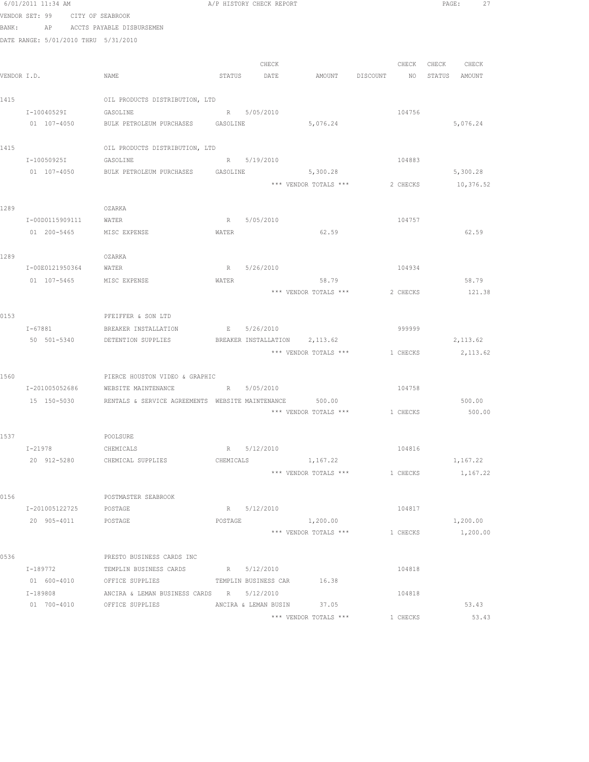|             | 6/01/2011 11:34 AM                   |                                                                     |           | A/P HISTORY CHECK REPORT |                                  |          | PAGE: 27           |  |
|-------------|--------------------------------------|---------------------------------------------------------------------|-----------|--------------------------|----------------------------------|----------|--------------------|--|
|             | VENDOR SET: 99 CITY OF SEABROOK      |                                                                     |           |                          |                                  |          |                    |  |
| BANK:       |                                      | AP ACCTS PAYABLE DISBURSEMEN                                        |           |                          |                                  |          |                    |  |
|             | DATE RANGE: 5/01/2010 THRU 5/31/2010 |                                                                     |           |                          |                                  |          |                    |  |
|             |                                      |                                                                     |           |                          |                                  |          |                    |  |
|             |                                      |                                                                     |           | CHECK                    |                                  |          | CHECK CHECK CHECK  |  |
| VENDOR I.D. |                                      | NAME                                                                |           | STATUS DATE              | AMOUNT DISCOUNT NO STATUS AMOUNT |          |                    |  |
| 1415        |                                      | OIL PRODUCTS DISTRIBUTION, LTD                                      |           |                          |                                  |          |                    |  |
|             | I-10040529I                          | GASOLINE                                                            |           | R 5/05/2010              |                                  | 104756   |                    |  |
|             | 01 107-4050                          | BULK PETROLEUM PURCHASES GASOLINE                                   |           |                          | 5,076.24                         |          | 5,076.24           |  |
|             |                                      |                                                                     |           |                          |                                  |          |                    |  |
| 1415        |                                      | OIL PRODUCTS DISTRIBUTION, LTD                                      |           |                          |                                  |          |                    |  |
|             | I-10050925I GASOLINE                 | R 5/19/2010                                                         |           |                          |                                  | 104883   |                    |  |
|             |                                      | 01 107-4050 BULK PETROLEUM PURCHASES GASOLINE 5,300.28              |           |                          |                                  |          | 5,300.28           |  |
|             |                                      |                                                                     |           |                          | *** VENDOR TOTALS ***            |          | 2 CHECKS 10,376.52 |  |
|             |                                      |                                                                     |           |                          |                                  |          |                    |  |
| 1289        |                                      | OZARKA                                                              |           |                          |                                  |          |                    |  |
|             | I-00D0115909111 WATER                |                                                                     |           | R 5/05/2010              |                                  | 104757   |                    |  |
|             | 01 200-5465 MISC EXPENSE             |                                                                     | WATER     |                          | 62.59                            |          | 62.59              |  |
|             |                                      |                                                                     |           |                          |                                  |          |                    |  |
| 1289        |                                      | OZARKA                                                              |           |                          |                                  |          |                    |  |
|             | I-00E0121950364 WATER                |                                                                     |           | R 5/26/2010              |                                  | 104934   |                    |  |
|             | 01 107-5465 MISC EXPENSE             |                                                                     | WATER     |                          | 58.79                            |          | 58.79              |  |
|             |                                      |                                                                     |           |                          | *** VENDOR TOTALS *** 2 CHECKS   |          | 121.38             |  |
| 0153        |                                      | PFEIFFER & SON LTD                                                  |           |                          |                                  |          |                    |  |
|             |                                      | I-67881 BREAKER INSTALLATION E 5/26/2010                            |           |                          |                                  | 999999   |                    |  |
|             |                                      | 50 501-5340 DETENTION SUPPLIES BREAKER INSTALLATION 2,113.62        |           |                          |                                  |          | 2, 113.62          |  |
|             |                                      |                                                                     |           |                          | *** VENDOR TOTALS *** 1 CHECKS   |          | 2, 113.62          |  |
|             |                                      |                                                                     |           |                          |                                  |          |                    |  |
| 1560        |                                      | PIERCE HOUSTON VIDEO & GRAPHIC                                      |           |                          |                                  |          |                    |  |
|             | I-201005052686                       | WEBSITE MAINTENANCE R 5/05/2010                                     |           |                          |                                  | 104758   |                    |  |
|             |                                      | 15 150-5030 RENTALS & SERVICE AGREEMENTS WEBSITE MAINTENANCE 500.00 |           |                          |                                  |          | 500.00             |  |
|             |                                      |                                                                     |           |                          | *** VENDOR TOTALS *** 1 CHECKS   |          | 500.00             |  |
|             |                                      |                                                                     |           |                          |                                  |          |                    |  |
| 1537        |                                      | POOLSURE                                                            |           |                          |                                  |          |                    |  |
|             | $I - 21978$                          | CHEMICALS                                                           |           | R 5/12/2010              |                                  | 104816   |                    |  |
|             |                                      | 20 912-5280 CHEMICAL SUPPLIES                                       | CHEMICALS |                          | 1, 167.22                        |          | 1,167.22           |  |
|             |                                      |                                                                     |           |                          | *** VENDOR TOTALS ***            | 1 CHECKS | 1,167.22           |  |
| 0156        |                                      | POSTMASTER SEABROOK                                                 |           |                          |                                  |          |                    |  |
|             | I-201005122725                       | POSTAGE                                                             |           | R 5/12/2010              |                                  | 104817   |                    |  |
|             | 20 905-4011                          | POSTAGE                                                             | POSTAGE   |                          | 1,200.00                         |          | 1,200.00           |  |
|             |                                      |                                                                     |           |                          | *** VENDOR TOTALS ***            | 1 CHECKS | 1,200.00           |  |
|             |                                      |                                                                     |           |                          |                                  |          |                    |  |
| 0536        |                                      | PRESTO BUSINESS CARDS INC                                           |           |                          |                                  |          |                    |  |
|             | I-189772                             | TEMPLIN BUSINESS CARDS R 5/12/2010                                  |           |                          |                                  | 104818   |                    |  |
|             |                                      | 01 600-4010 OFFICE SUPPLIES TEMPLIN BUSINESS CAR 16.38              |           |                          |                                  |          |                    |  |
|             | I-189808                             | ANCIRA & LEMAN BUSINESS CARDS R 5/12/2010                           |           |                          |                                  | 104818   |                    |  |
|             |                                      | 01 700-4010 OFFICE SUPPLIES ANCIRA & LEMAN BUSIN 37.05              |           |                          |                                  |          | 53.43              |  |
|             |                                      |                                                                     |           |                          | *** VENDOR TOTALS ***            | 1 CHECKS | 53.43              |  |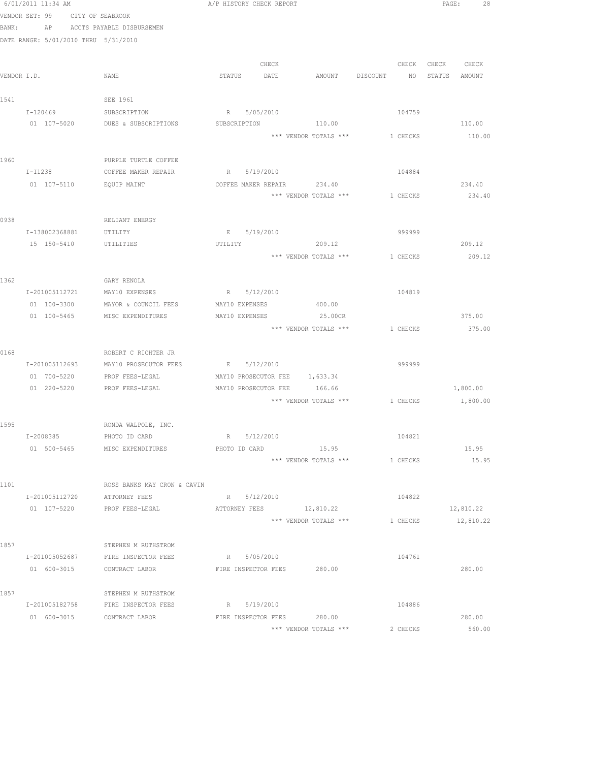|      | 6/01/2011 11:34 AM                   |                                              | A/P HISTORY CHECK REPORT |                               |                                         |          |                   | PAGE:<br>28 |
|------|--------------------------------------|----------------------------------------------|--------------------------|-------------------------------|-----------------------------------------|----------|-------------------|-------------|
|      | VENDOR SET: 99 CITY OF SEABROOK      |                                              |                          |                               |                                         |          |                   |             |
|      |                                      | BANK: AP ACCTS PAYABLE DISBURSEMEN           |                          |                               |                                         |          |                   |             |
|      | DATE RANGE: 5/01/2010 THRU 5/31/2010 |                                              |                          |                               |                                         |          |                   |             |
|      |                                      |                                              |                          |                               |                                         |          |                   |             |
|      |                                      |                                              |                          | CHECK                         |                                         |          | CHECK CHECK CHECK |             |
|      | VENDOR I.D.                          | NAME                                         |                          | STATUS DATE                   | AMOUNT DISCOUNT NO                      |          | STATUS AMOUNT     |             |
|      |                                      |                                              |                          |                               |                                         |          |                   |             |
| 1541 |                                      | SEE 1961                                     |                          |                               |                                         |          |                   |             |
|      | I-120469 SUBSCRIPTION                |                                              | R 5/05/2010              |                               |                                         | 104759   |                   |             |
|      |                                      | 01 107-5020 DUES & SUBSCRIPTIONS             | SUBSCRIPTION             |                               | 110.00                                  |          |                   | 110.00      |
|      |                                      |                                              |                          |                               | *** VENDOR TOTALS *** 1 CHECKS          |          |                   | 110.00      |
|      |                                      |                                              |                          |                               |                                         |          |                   |             |
| 1960 |                                      | PURPLE TURTLE COFFEE                         |                          |                               |                                         |          |                   |             |
|      |                                      | I-I1238 COFFEE MAKER REPAIR                  | R 5/19/2010              |                               |                                         | 104884   |                   |             |
|      | 01 107-5110                          | EQUIP MAINT                                  |                          |                               | COFFEE MAKER REPAIR 234.40              |          |                   | 234.40      |
|      |                                      |                                              |                          |                               | *** VENDOR TOTALS ***                   | 1 CHECKS |                   | 234.40      |
|      |                                      |                                              |                          |                               |                                         |          |                   |             |
| 0938 |                                      | RELIANT ENERGY                               |                          |                               |                                         |          |                   |             |
|      | I-138002368881                       | UTILITY                                      |                          | E 5/19/2010                   |                                         | 999999   |                   |             |
|      | 15 150-5410 UTILITIES                |                                              | UTILITY                  |                               | 209.12                                  |          |                   | 209.12      |
|      |                                      |                                              |                          |                               | *** VENDOR TOTALS *** 1 CHECKS          |          |                   | 209.12      |
|      |                                      |                                              |                          |                               |                                         |          |                   |             |
| 1362 |                                      | GARY RENOLA                                  |                          |                               |                                         |          |                   |             |
|      |                                      | I-201005112721 MAY10 EXPENSES                |                          | R 5/12/2010                   |                                         | 104819   |                   |             |
|      |                                      | 01 100-3300 MAYOR & COUNCIL FEES             |                          | MAY10 EXPENSES 400.00         |                                         |          |                   |             |
|      |                                      | 01 100-5465 MISC EXPENDITURES                |                          | MAY10 EXPENSES 25.00CR        |                                         |          |                   | 375.00      |
|      |                                      |                                              |                          |                               | *** VENDOR TOTALS ***                   | 1 CHECKS |                   | 375.00      |
|      |                                      |                                              |                          |                               |                                         |          |                   |             |
| 0168 | I-201005112693                       | ROBERT C RICHTER JR<br>MAY10 PROSECUTOR FEES | E 5/12/2010              |                               |                                         | 999999   |                   |             |
|      | 01 700-5220                          | PROF FEES-LEGAL                              |                          | MAY10 PROSECUTOR FEE 1,633.34 |                                         |          |                   |             |
|      |                                      | 01 220-5220 PROF FEES-LEGAL                  |                          | MAY10 PROSECUTOR FEE 166.66   |                                         |          |                   | 1,800.00    |
|      |                                      |                                              |                          |                               | *** VENDOR TOTALS *** 1 CHECKS 1,800.00 |          |                   |             |
|      |                                      |                                              |                          |                               |                                         |          |                   |             |
| 1595 |                                      | RONDA WALPOLE, INC.                          |                          |                               |                                         |          |                   |             |
|      | I-2008385                            | PHOTO ID CARD                                | R 5/12/2010              |                               |                                         | 104821   |                   |             |
|      | 01 500-5465                          | MISC EXPENDITURES                            |                          | PHOTO ID CARD                 | 15.95                                   |          |                   | 15.95       |
|      |                                      |                                              |                          |                               | *** VENDOR TOTALS ***                   | 1 CHECKS |                   | 15.95       |
|      |                                      |                                              |                          |                               |                                         |          |                   |             |
| 1101 |                                      | ROSS BANKS MAY CRON & CAVIN                  |                          |                               |                                         |          |                   |             |
|      | I-201005112720                       | ATTORNEY FEES                                | R 5/12/2010              |                               |                                         | 104822   |                   |             |
|      | 01 107-5220                          | PROF FEES-LEGAL                              | ATTORNEY FEES            |                               | 12,810.22                               |          |                   | 12,810.22   |
|      |                                      |                                              |                          |                               | *** VENDOR TOTALS ***                   | 1 CHECKS |                   | 12,810.22   |
|      |                                      |                                              |                          |                               |                                         |          |                   |             |
| 1857 |                                      | STEPHEN M RUTHSTROM                          |                          |                               |                                         |          |                   |             |
|      | I-201005052687                       | FIRE INSPECTOR FEES                          | R 5/05/2010              |                               |                                         | 104761   |                   |             |
|      |                                      | 01 600-3015 CONTRACT LABOR                   |                          | FIRE INSPECTOR FEES           | 280.00                                  |          |                   | 280.00      |
|      |                                      |                                              |                          |                               |                                         |          |                   |             |
| 1857 |                                      | STEPHEN M RUTHSTROM                          |                          |                               |                                         |          |                   |             |
|      |                                      | I-201005182758 FIRE INSPECTOR FEES           | R 5/19/2010              |                               |                                         | 104886   |                   |             |
|      | 01 600-3015                          | CONTRACT LABOR                               |                          | FIRE INSPECTOR FEES           | 280.00                                  |          |                   | 280.00      |
|      |                                      |                                              |                          |                               | *** VENDOR TOTALS ***                   | 2 CHECKS |                   | 560.00      |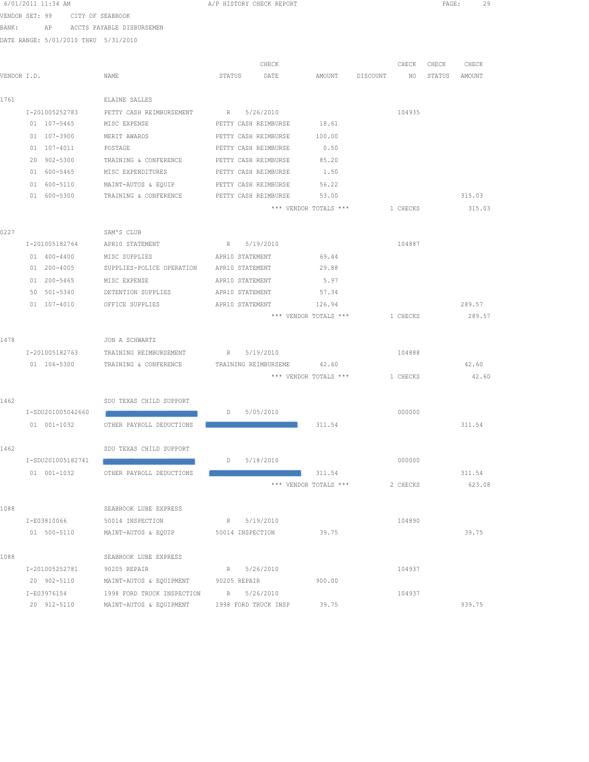| 6/01/2011 11:34 AM |                   |                |                                                              |                 | A/P HISTORY CHECK REPORT |                                  |          | PAGE: | 29               |
|--------------------|-------------------|----------------|--------------------------------------------------------------|-----------------|--------------------------|----------------------------------|----------|-------|------------------|
| VENDOR SET: 99     |                   |                | CITY OF SEABROOK                                             |                 |                          |                                  |          |       |                  |
| BANK:              |                   |                | AP ACCTS PAYABLE DISBURSEMEN                                 |                 |                          |                                  |          |       |                  |
|                    |                   |                | DATE RANGE: 5/01/2010 THRU 5/31/2010                         |                 |                          |                                  |          |       |                  |
|                    |                   |                |                                                              |                 | CHECK                    |                                  | CHECK    | CHECK | CHECK            |
| VENDOR I.D.        |                   |                | NAME                                                         | STATUS          | DATE                     | AMOUNT DISCOUNT NO STATUS AMOUNT |          |       |                  |
|                    |                   |                |                                                              |                 |                          |                                  |          |       |                  |
| 1761               |                   |                | ELAINE SALLES                                                |                 |                          |                                  |          |       |                  |
|                    |                   |                | I-201005252783 PETTY CASH REIMBURSEMENT R 5/26/2010          |                 |                          |                                  | 104935   |       |                  |
|                    | 01 107-5465       |                | MISC EXPENSE                                                 |                 | PETTY CASH REIMBURSE     | 18.61                            |          |       |                  |
|                    | 01 107-3900       |                | MERIT AWARDS                                                 |                 | PETTY CASH REIMBURSE     | 100.00                           |          |       |                  |
|                    | 01 107-4011       |                | POSTAGE                                                      |                 | PETTY CASH REIMBURSE     | 0.50                             |          |       |                  |
|                    | 20 902-5300       |                | TRAINING & CONFERENCE                                        |                 | PETTY CASH REIMBURSE     | 85.20                            |          |       |                  |
|                    | 01 600-5465       |                | MISC EXPENDITURES                                            |                 | PETTY CASH REIMBURSE     | 1.50                             |          |       |                  |
|                    | 01 600-5110       |                | MAINT-AUTOS & EQUIP                                          |                 | PETTY CASH REIMBURSE     | 56.22                            |          |       |                  |
|                    | 01 600-5300       |                | TRAINING & CONFERENCE                                        |                 | PETTY CASH REIMBURSE     | 53.00                            |          |       | 315.03           |
|                    |                   |                |                                                              |                 |                          | *** VENDOR TOTALS ***            | 1 CHECKS |       | 315.03           |
| 0227               |                   |                | SAM'S CLUB                                                   |                 |                          |                                  |          |       |                  |
|                    | I-201005182764    |                | APR10 STATEMENT                                              | R 5/19/2010     |                          |                                  | 104887   |       |                  |
|                    | 01 400-4400       |                | MISC SUPPLIES                                                | APR10 STATEMENT |                          | 69.44                            |          |       |                  |
|                    | 01 200-4005       |                | SUPPLIES-POLICE OPERATION APR10 STATEMENT                    |                 |                          | 29.88                            |          |       |                  |
|                    | 01 200-5465       |                | MISC EXPENSE                                                 | APR10 STATEMENT |                          | 5.97                             |          |       |                  |
|                    | 50 501-5340       |                | DETENTION SUPPLIES                                           | APR10 STATEMENT |                          | 57.34                            |          |       |                  |
|                    | 01 107-4010       |                | OFFICE SUPPLIES                                              | APR10 STATEMENT |                          | 126.94                           |          |       | 289.57           |
|                    |                   |                |                                                              |                 |                          | *** VENDOR TOTALS ***            | 1 CHECKS |       | 289.57           |
| 1478               |                   |                | JON A SCHWARTZ                                               |                 |                          |                                  |          |       |                  |
|                    |                   | I-201005182763 | TRAINING REIMBURSEMENT R 5/19/2010                           |                 |                          |                                  | 104888   |       |                  |
|                    |                   |                | 01 106-5300 TRAINING & CONFERENCE TRAINING REIMBURSEME 42.60 |                 |                          |                                  |          |       | 42.60            |
|                    |                   |                |                                                              |                 |                          | *** VENDOR TOTALS *** 1 CHECKS   |          |       | 42.60            |
| 1462               |                   |                | SDU TEXAS CHILD SUPPORT                                      |                 |                          |                                  |          |       |                  |
|                    | I-SDU201005042660 |                |                                                              | D               | 5/05/2010                |                                  | 000000   |       |                  |
|                    |                   | 01 001-1032    | OTHER PAYROLL DEDUCTIONS                                     |                 |                          | 311.54                           |          |       | 311.54           |
|                    |                   |                |                                                              |                 |                          |                                  |          |       |                  |
| 1462               |                   |                | SDU TEXAS CHILD SUPPORT                                      |                 |                          |                                  |          |       |                  |
|                    | I-SDU201005182741 |                |                                                              |                 | D 5/18/2010              |                                  | 000000   |       |                  |
|                    | 01 001-1032       |                | OTHER PAYROLL DEDUCTIONS                                     |                 |                          | 311.54<br>*** VENDOR TOTALS ***  | 2 CHECKS |       | 311.54<br>623.08 |
|                    |                   |                |                                                              |                 |                          |                                  |          |       |                  |
| 1088               |                   |                | SEABROOK LUBE EXPRESS                                        |                 |                          |                                  |          |       |                  |
|                    |                   | I-E03810066    | 50014 INSPECTION                                             |                 | R 5/19/2010              |                                  | 104890   |       |                  |
|                    |                   | 01 500-5110    | MAINT-AUTOS & EQUIP 50014 INSPECTION                         |                 |                          | 39.75                            |          |       | 39.75            |
| 1088               |                   |                | SEABROOK LUBE EXPRESS                                        |                 |                          |                                  |          |       |                  |
|                    | I-201005252781    |                | 90205 REPAIR                                                 |                 | R 5/26/2010              |                                  | 104937   |       |                  |
|                    | 20 902-5110       |                | MAINT-AUTOS & EQUIPMENT                                      | 90205 REPAIR    |                          | 900.00                           |          |       |                  |
|                    | I-E03976154       |                | 1998 FORD TRUCK INSPECTION R 5/26/2010                       |                 |                          |                                  | 104937   |       |                  |
|                    | 20 912-5110       |                | MAINT-AUTOS & EQUIPMENT                                      |                 | 1998 FORD TRUCK INSP     | 39.75                            |          |       | 939.75           |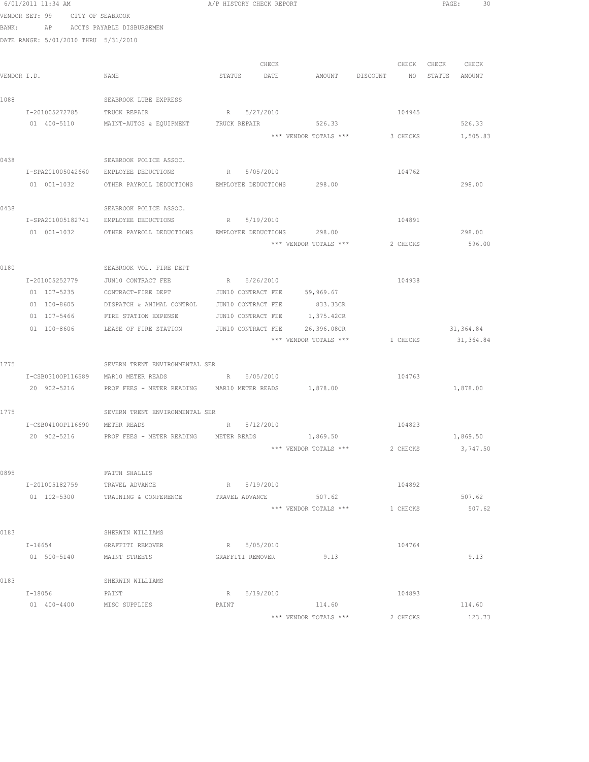|      | 6/01/2011 11:34 AM                   |                                                                  | A/P HISTORY CHECK REPORT                    |                       |                                | PAGE:<br>30      |
|------|--------------------------------------|------------------------------------------------------------------|---------------------------------------------|-----------------------|--------------------------------|------------------|
|      | VENDOR SET: 99 CITY OF SEABROOK      |                                                                  |                                             |                       |                                |                  |
|      | BANK:                                | AP ACCTS PAYABLE DISBURSEMEN                                     |                                             |                       |                                |                  |
|      | DATE RANGE: 5/01/2010 THRU 5/31/2010 |                                                                  |                                             |                       |                                |                  |
|      |                                      |                                                                  |                                             |                       |                                |                  |
|      |                                      |                                                                  | CHECK                                       |                       | CHECK                          | CHECK<br>CHECK   |
|      | VENDOR I.D.                          | NAME                                                             | STATUS<br>DATE                              | AMOUNT DISCOUNT       | NO <sub>1</sub>                | STATUS<br>AMOUNT |
|      |                                      |                                                                  |                                             |                       |                                |                  |
| 1088 |                                      | SEABROOK LUBE EXPRESS                                            |                                             |                       |                                |                  |
|      | I-201005272785                       | TRUCK REPAIR                                                     | R 5/27/2010                                 |                       | 104945                         |                  |
|      | 01 400-5110                          | MAINT-AUTOS & EQUIPMENT TRUCK REPAIR                             |                                             | 526.33                |                                | 526.33           |
|      |                                      |                                                                  |                                             | *** VENDOR TOTALS *** | 3 CHECKS                       | 1,505.83         |
|      |                                      |                                                                  |                                             |                       |                                |                  |
| 0438 |                                      | SEABROOK POLICE ASSOC.                                           |                                             |                       |                                |                  |
|      | I-SPA201005042660                    | EMPLOYEE DEDUCTIONS                                              | R 5/05/2010                                 |                       | 104762                         |                  |
|      |                                      | 01 001-1032 OTHER PAYROLL DEDUCTIONS EMPLOYEE DEDUCTIONS 298.00  |                                             |                       |                                | 298.00           |
|      |                                      |                                                                  |                                             |                       |                                |                  |
| 0438 |                                      | SEABROOK POLICE ASSOC.                                           |                                             |                       |                                |                  |
|      |                                      | I-SPA201005182741 EMPLOYEE DEDUCTIONS                            | R 5/19/2010                                 |                       | 104891                         |                  |
|      |                                      | 01 001-1032 OTHER PAYROLL DEDUCTIONS EMPLOYEE DEDUCTIONS 298.00  |                                             |                       |                                | 298.00           |
|      |                                      |                                                                  |                                             | *** VENDOR TOTALS *** | 2 CHECKS                       | 596.00           |
|      |                                      |                                                                  |                                             |                       |                                |                  |
| 0180 |                                      | SEABROOK VOL. FIRE DEPT                                          |                                             |                       |                                |                  |
|      | I-201005252779<br>01 107-5235        | JUN10 CONTRACT FEE<br>CONTRACT-FIRE DEPT                         | R 5/26/2010<br>JUN10 CONTRACT FEE 59,969.67 |                       | 104938                         |                  |
|      | 01 100-8605                          |                                                                  | JUN10 CONTRACT FEE                          | 833.33CR              |                                |                  |
|      | 01 107-5466                          | DISPATCH & ANIMAL CONTROL<br>FIRE STATION EXPENSE                | JUN10 CONTRACT FEE                          | 1,375.42CR            |                                |                  |
|      | 01 100-8606                          | LEASE OF FIRE STATION                                            | JUN10 CONTRACT FEE                          | 26,396.08CR           |                                | 31,364.84        |
|      |                                      |                                                                  |                                             |                       | *** VENDOR TOTALS *** 1 CHECKS | 31,364.84        |
|      |                                      |                                                                  |                                             |                       |                                |                  |
| 1775 |                                      | SEVERN TRENT ENVIRONMENTAL SER                                   |                                             |                       |                                |                  |
|      |                                      | I-CSB03100P116589 MAR10 METER READS                              | R 5/05/2010                                 |                       | 104763                         |                  |
|      |                                      | 20 902-5216 PROF FEES - METER READING MAR10 METER READS 1,878.00 |                                             |                       |                                | 1,878.00         |
|      |                                      |                                                                  |                                             |                       |                                |                  |
| 1775 |                                      | SEVERN TRENT ENVIRONMENTAL SER                                   |                                             |                       |                                |                  |
|      | I-CSB04100P116690 METER READS        |                                                                  | R 5/12/2010                                 |                       | 104823                         |                  |
|      | 20 902-5216                          | PROF FEES - METER READING                                        | METER READS                                 | 1,869.50              |                                | 1,869.50         |
|      |                                      |                                                                  |                                             | *** VENDOR TOTALS *** | 2 CHECKS                       | 3,747.50         |
|      |                                      |                                                                  |                                             |                       |                                |                  |
| 0895 |                                      | FAITH SHALLIS                                                    |                                             |                       |                                |                  |
|      | I-201005182759                       | TRAVEL ADVANCE                                                   | R 5/19/2010                                 |                       | 104892                         |                  |
|      | 01 102-5300                          | TRAINING & CONFERENCE                                            | TRAVEL ADVANCE                              | 507.62                |                                | 507.62           |
|      |                                      |                                                                  |                                             | *** VENDOR TOTALS *** | 1 CHECKS                       | 507.62           |
|      |                                      |                                                                  |                                             |                       |                                |                  |
| 0183 |                                      | SHERWIN WILLIAMS                                                 |                                             |                       |                                |                  |
|      | $I - 16654$                          | GRAFFITI REMOVER                                                 | R 5/05/2010                                 |                       | 104764                         |                  |
|      | 01 500-5140                          | MAINT STREETS                                                    | GRAFFITI REMOVER                            | 9.13                  |                                | 9.13             |
|      |                                      |                                                                  |                                             |                       |                                |                  |
| 0183 |                                      | SHERWIN WILLIAMS                                                 |                                             |                       |                                |                  |
|      | I-18056                              | PAINT                                                            | R 5/19/2010                                 |                       | 104893                         |                  |
|      | 01 400-4400                          | MISC SUPPLIES                                                    | PAINT                                       | 114.60                |                                | 114.60           |
|      |                                      |                                                                  |                                             | *** VENDOR TOTALS *** | 2 CHECKS                       | 123.73           |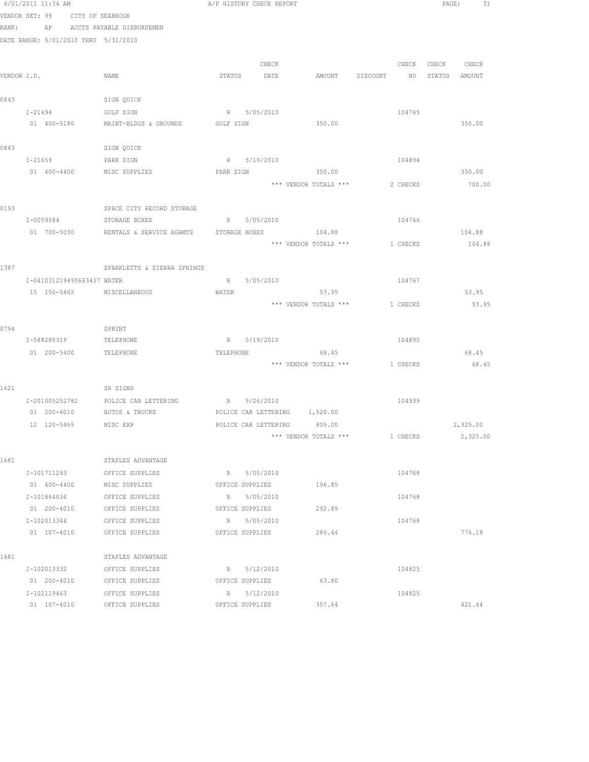|             | 6/01/2011 11:34 AM                   |                                                           |           | A/P HISTORY CHECK REPORT      |                                |                 |               | PAGE: 31 |
|-------------|--------------------------------------|-----------------------------------------------------------|-----------|-------------------------------|--------------------------------|-----------------|---------------|----------|
|             | VENDOR SET: 99 CITY OF SEABROOK      |                                                           |           |                               |                                |                 |               |          |
| BANK:       |                                      | AP ACCTS PAYABLE DISBURSEMEN                              |           |                               |                                |                 |               |          |
|             | DATE RANGE: 5/01/2010 THRU 5/31/2010 |                                                           |           |                               |                                |                 |               |          |
|             |                                      |                                                           |           |                               |                                |                 |               |          |
|             |                                      |                                                           |           | CHECK                         |                                | CHECK           | CHECK CHECK   |          |
| VENDOR I.D. |                                      | NAME                                                      |           | STATUS DATE                   | AMOUNT DISCOUNT                | NO <sub>1</sub> | STATUS AMOUNT |          |
|             |                                      |                                                           |           |                               |                                |                 |               |          |
| 0843        |                                      | SIGN QUICK                                                |           |                               |                                |                 |               |          |
|             | I-21494<br>01 400-5180               | GOLF SIGN                                                 |           | R 5/05/2010                   |                                | 104765          |               |          |
|             |                                      | MAINT-BLDGS & GROUNDS                                     | GOLF SIGN |                               | 350.00                         |                 |               | 350.00   |
| 0843        |                                      | SIGN QUICK                                                |           |                               |                                |                 |               |          |
|             | $I - 21659$                          | PARK SIGN                                                 |           | R 5/19/2010                   |                                | 104894          |               |          |
|             | 01 400-4400                          | MISC SUPPLIES                                             | PARK SIGN |                               | 350.00                         |                 |               | 350.00   |
|             |                                      |                                                           |           |                               | *** VENDOR TOTALS ***          | 2 CHECKS        |               | 700.00   |
|             |                                      |                                                           |           |                               |                                |                 |               |          |
| 0193        |                                      | SPACE CITY RECORD STORAGE                                 |           |                               |                                |                 |               |          |
|             | I-0059584 STORAGE BOXES              | R 5/05/2010                                               |           |                               |                                | 104766          |               |          |
|             |                                      | 01 700-5030 RENTALS & SERVICE AGRMTS STORAGE BOXES 104.88 |           |                               |                                |                 |               | 104.88   |
|             |                                      |                                                           |           |                               | *** VENDOR TOTALS *** 1 CHECKS |                 |               | 104.88   |
|             |                                      |                                                           |           |                               |                                |                 |               |          |
| 1387        |                                      | SPARKLETTS & SIERRA SPRINGS                               |           |                               |                                |                 |               |          |
|             | I-041031219495663437 WATER           |                                                           |           | R 5/05/2010                   |                                | 104767          |               |          |
|             | 15 150-5465 MISCELLANEOUS            |                                                           | WATER     |                               | 53.95                          |                 |               | 53.95    |
|             |                                      |                                                           |           |                               | *** VENDOR TOTALS ***          | 1 CHECKS        |               | 53.95    |
|             |                                      |                                                           |           |                               |                                |                 |               |          |
| 0794        |                                      | SPRINT                                                    |           |                               |                                |                 |               |          |
|             | I-588280319 TELEPHONE                |                                                           |           | R 5/19/2010                   |                                | 104895          |               |          |
|             | 01  200-5400  TELEPHONE              |                                                           | TELEPHONE |                               | 68.45                          |                 |               | 68.45    |
|             |                                      |                                                           |           |                               | *** VENDOR TOTALS *** 1 CHECKS |                 |               | 68.45    |
| 1621        |                                      | SR SIGNS                                                  |           |                               |                                |                 |               |          |
|             |                                      | I-201005252782 POLICE CAR LETTERING                       |           | R 5/26/2010                   |                                | 104939          |               |          |
|             | 01 200-6010                          | AUTOS & TRUCKS                                            |           | POLICE CAR LETTERING 1,520.00 |                                |                 |               |          |
|             | 12 120-5465                          | MISC EXP                                                  |           | POLICE CAR LETTERING 805.00   |                                |                 |               | 2,325.00 |
|             |                                      |                                                           |           |                               | *** VENDOR TOTALS ***          | 1 CHECKS        |               | 2,325.00 |
|             |                                      |                                                           |           |                               |                                |                 |               |          |
| 1681        |                                      | STAPLES ADVANTAGE                                         |           |                               |                                |                 |               |          |
|             | I-101711293                          | OFFICE SUPPLIES                                           |           | R 5/05/2010                   |                                | 104768          |               |          |
|             | 01 400-4400                          | MISC SUPPLIES                                             |           | OFFICE SUPPLIES               | 196.85                         |                 |               |          |
|             | I-101864034                          | OFFICE SUPPLIES                                           |           | R 5/05/2010                   |                                | 104768          |               |          |
|             | 01 200-4010                          | OFFICE SUPPLIES                                           |           | OFFICE SUPPLIES               | 292.89                         |                 |               |          |
|             | I-102013344                          | OFFICE SUPPLIES                                           |           | R 5/05/2010                   |                                | 104768          |               |          |
|             | 01 107-4010                          | OFFICE SUPPLIES                                           |           | OFFICE SUPPLIES               | 286.44                         |                 |               | 776.18   |
|             |                                      |                                                           |           |                               |                                |                 |               |          |
| 1681        |                                      | STAPLES ADVANTAGE                                         |           |                               |                                |                 |               |          |
|             | I-102013332                          | OFFICE SUPPLIES                                           |           | R 5/12/2010                   |                                | 104825          |               |          |
|             | 01 200-4010                          | OFFICE SUPPLIES                                           |           | OFFICE SUPPLIES               | 63.80                          |                 |               |          |
|             | I-102119463                          | OFFICE SUPPLIES                                           |           | R 5/12/2010                   |                                | 104825          |               |          |
|             | 01 107-4010                          | OFFICE SUPPLIES                                           |           | OFFICE SUPPLIES               | 357.64                         |                 |               | 421.44   |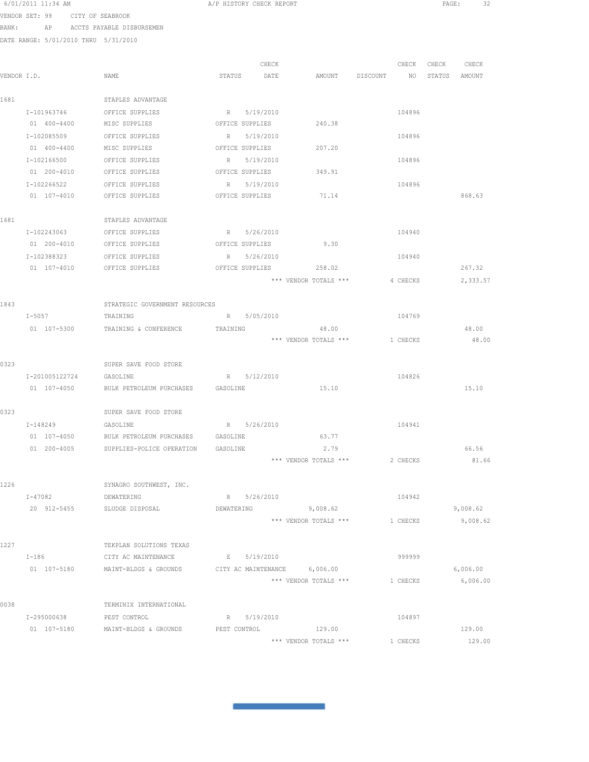| 6/01/2011 11:34 AM |  |                  |  |
|--------------------|--|------------------|--|
| VENDOR SET: 99     |  | CITY OF SEABROOK |  |

BANK: AP ACCTS PAYABLE DISBURSEMEN

DATE RANGE: 5/01/2010 THRU 5/31/2010

|             |                |                                    |                 | CHECK       |                              | CHECK    | CHECK | CHECK    |
|-------------|----------------|------------------------------------|-----------------|-------------|------------------------------|----------|-------|----------|
| VENDOR I.D. |                | NAME                               | STATUS          | DATE        | AMOUNT DISCOUNT NO STATUS    |          |       | AMOUNT   |
| 1681        |                | STAPLES ADVANTAGE                  |                 |             |                              |          |       |          |
|             | I-101963746    | OFFICE SUPPLIES                    |                 | R 5/19/2010 |                              | 104896   |       |          |
|             | 01 400-4400    | MISC SUPPLIES                      | OFFICE SUPPLIES |             | 240.38                       |          |       |          |
|             | I-102085509    | OFFICE SUPPLIES                    |                 | R 5/19/2010 |                              | 104896   |       |          |
|             | 01 400-4400    | MISC SUPPLIES                      | OFFICE SUPPLIES |             | 207.20                       |          |       |          |
|             | I-102166500    | OFFICE SUPPLIES                    |                 | R 5/19/2010 |                              | 104896   |       |          |
|             | 01 200-4010    | OFFICE SUPPLIES                    | OFFICE SUPPLIES |             | 349.91                       |          |       |          |
|             | I-102266522    | OFFICE SUPPLIES                    |                 | R 5/19/2010 |                              | 104896   |       |          |
|             | 01 107-4010    | OFFICE SUPPLIES                    | OFFICE SUPPLIES |             | 71.14                        |          |       | 868.63   |
| 1681        |                | STAPLES ADVANTAGE                  |                 |             |                              |          |       |          |
|             | I-102243063    | OFFICE SUPPLIES                    |                 | R 5/26/2010 |                              | 104940   |       |          |
|             | 01 200-4010    | OFFICE SUPPLIES                    | OFFICE SUPPLIES |             | 9.30                         |          |       |          |
|             | I-102388323    | OFFICE SUPPLIES                    |                 | R 5/26/2010 |                              | 104940   |       |          |
|             | 01 107-4010    | OFFICE SUPPLIES                    | OFFICE SUPPLIES |             | 258.02                       |          |       | 267.32   |
|             |                |                                    |                 |             | *** VENDOR TOTALS ***        | 4 CHECKS |       | 2,333.57 |
|             |                |                                    |                 |             |                              |          |       |          |
| 1843        |                | STRATEGIC GOVERNMENT RESOURCES     |                 |             |                              |          |       |          |
|             | $I-5057$       | TRAINING                           |                 | R 5/05/2010 |                              | 104769   |       |          |
|             | 01 107-5300    | TRAINING & CONFERENCE              | TRAINING        |             | 48.00                        |          |       | 48.00    |
|             |                |                                    |                 |             | *** VENDOR TOTALS ***        | 1 CHECKS |       | 48.00    |
| 0323        |                | SUPER SAVE FOOD STORE              |                 |             |                              |          |       |          |
|             | I-201005122724 | GASOLINE                           |                 | R 5/12/2010 |                              | 104826   |       |          |
|             | 01 107-4050    | BULK PETROLEUM PURCHASES GASOLINE  |                 |             | 15.10                        |          |       | 15.10    |
|             |                |                                    |                 |             |                              |          |       |          |
| 0323        |                | SUPER SAVE FOOD STORE              |                 |             |                              |          |       |          |
|             | I-148249       | GASOLINE                           |                 | R 5/26/2010 |                              | 104941   |       |          |
|             | 01 107-4050    | BULK PETROLEUM PURCHASES GASOLINE  |                 |             | 63.77                        |          |       |          |
|             | 01 200-4005    | SUPPLIES-POLICE OPERATION GASOLINE |                 |             | 2.79                         |          |       | 66.56    |
|             |                |                                    |                 |             | *** VENDOR TOTALS ***        | 2 CHECKS |       | 81.66    |
| 1226        |                | SYNAGRO SOUTHWEST, INC.            |                 |             |                              |          |       |          |
|             | $I - 47082$    | DEWATERING                         |                 | R 5/26/2010 |                              | 104942   |       |          |
|             |                | 20 912-5455 SLUDGE DISPOSAL        | DEWATERING      |             | 9,008.62                     |          |       | 9,008.62 |
|             |                |                                    |                 |             | *** VENDOR TOTALS ***        | 1 CHECKS |       | 9,008.62 |
|             |                |                                    |                 |             |                              |          |       |          |
| 1227        |                | TEKPLAN SOLUTIONS TEXAS            |                 |             |                              |          |       |          |
|             | $I-186$        | CITY AC MAINTENANCE                |                 | E 5/19/2010 |                              | 999999   |       |          |
|             | 01 107-5180    | MAINT-BLDGS & GROUNDS              |                 |             | CITY AC MAINTENANCE 6,006.00 |          |       | 6,006.00 |
|             |                |                                    |                 |             | *** VENDOR TOTALS ***        | 1 CHECKS |       | 6,006.00 |
| 0038        |                | TERMINIX INTERNATIONAL             |                 |             |                              |          |       |          |
|             | I-295000638    | PEST CONTROL                       |                 | R 5/19/2010 |                              | 104897   |       |          |
|             | 01 107-5180    | MAINT-BLDGS & GROUNDS              | PEST CONTROL    |             | 129.00                       |          |       | 129.00   |
|             |                |                                    |                 |             |                              |          |       |          |

 $\mathcal{L}(\mathcal{L}^{\mathcal{L}}_{\mathcal{L}})$  and the set of the set of  $\mathcal{L}^{\mathcal{L}}_{\mathcal{L}}$ 

A/P HISTORY CHECK REPORT PAGE: 32

\*\*\* VENDOR TOTALS \*\*\* 1 CHECKS 129.00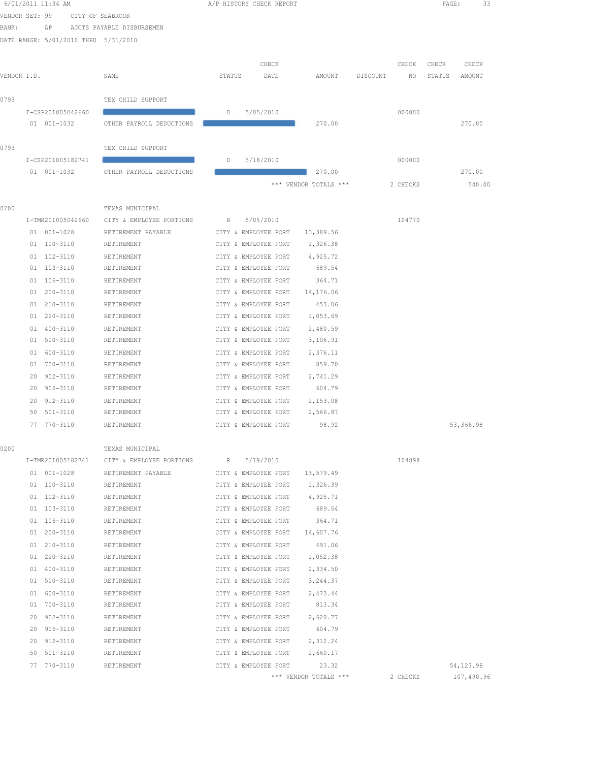|                |    | 6/01/2011 11:34 AM                   |                                  |        | A/P HISTORY CHECK REPORT                     |                       |          |          | PAGE:  | 33         |  |
|----------------|----|--------------------------------------|----------------------------------|--------|----------------------------------------------|-----------------------|----------|----------|--------|------------|--|
| VENDOR SET: 99 |    |                                      | CITY OF SEABROOK                 |        |                                              |                       |          |          |        |            |  |
| BANK:          |    | AP                                   | ACCTS PAYABLE DISBURSEMEN        |        |                                              |                       |          |          |        |            |  |
|                |    | DATE RANGE: 5/01/2010 THRU 5/31/2010 |                                  |        |                                              |                       |          |          |        |            |  |
|                |    |                                      |                                  |        |                                              |                       |          |          |        |            |  |
|                |    |                                      |                                  |        | CHECK                                        |                       |          | CHECK    | CHECK  | CHECK      |  |
| VENDOR I.D.    |    |                                      | NAME                             | STATUS | DATE                                         | AMOUNT                | DISCOUNT | NO       | STATUS | AMOUNT     |  |
|                |    |                                      |                                  |        |                                              |                       |          |          |        |            |  |
| 0793           |    |                                      | TEX CHILD SUPPORT                |        |                                              |                       |          |          |        |            |  |
|                |    | I-CSP201005042660                    |                                  | D      | 5/05/2010                                    |                       |          | 000000   |        |            |  |
|                |    | 01 001-1032                          | OTHER PAYROLL DEDUCTIONS         |        |                                              | 270.00                |          |          |        | 270.00     |  |
|                |    |                                      |                                  |        |                                              |                       |          |          |        |            |  |
| 0793           |    |                                      | TEX CHILD SUPPORT                |        |                                              |                       |          |          |        |            |  |
|                |    | I-CSP201005182741<br>01 001-1032     | OTHER PAYROLL DEDUCTIONS         | D      | 5/18/2010                                    | 270.00                |          | 000000   |        | 270.00     |  |
|                |    |                                      |                                  |        |                                              | *** VENDOR TOTALS *** |          | 2 CHECKS |        | 540.00     |  |
|                |    |                                      |                                  |        |                                              |                       |          |          |        |            |  |
| 0200           |    |                                      | TEXAS MUNICIPAL                  |        |                                              |                       |          |          |        |            |  |
|                |    | I-TMR201005042660                    | CITY & EMPLOYEE PORTIONS         | R      | 5/05/2010                                    |                       |          | 104770   |        |            |  |
|                |    | 01 001-1028                          | RETIREMENT PAYABLE               |        | CITY & EMPLOYEE PORT                         | 13,389.56             |          |          |        |            |  |
|                |    | 01 100-3110                          | RETIREMENT                       |        | CITY & EMPLOYEE PORT                         | 1,326.38              |          |          |        |            |  |
|                |    | 01 102-3110                          | RETIREMENT                       |        | CITY & EMPLOYEE PORT                         | 4,925.72              |          |          |        |            |  |
|                |    | 01 103-3110                          | RETIREMENT                       |        | CITY & EMPLOYEE PORT                         | 689.54                |          |          |        |            |  |
|                |    | 01 106-3110                          | RETIREMENT                       |        | CITY & EMPLOYEE PORT                         | 364.71                |          |          |        |            |  |
|                |    | 01 200-3110                          | RETIREMENT                       |        | CITY & EMPLOYEE PORT                         | 14,176.06             |          |          |        |            |  |
|                |    | 01 210-3110                          | RETIREMENT                       |        | CITY & EMPLOYEE PORT                         | 453.06                |          |          |        |            |  |
|                |    | 01 220-3110                          | RETIREMENT                       |        | CITY & EMPLOYEE PORT                         | 1,053.69              |          |          |        |            |  |
|                |    | 01 400-3110                          | RETIREMENT                       |        | CITY & EMPLOYEE PORT                         | 2,480.59              |          |          |        |            |  |
|                |    | 01 500-3110                          | RETIREMENT                       |        | CITY & EMPLOYEE PORT                         | 3,106.91              |          |          |        |            |  |
|                |    | 01 600-3110                          | RETIREMENT                       |        | CITY & EMPLOYEE PORT                         | 2,376.11              |          |          |        |            |  |
|                |    | 01 700-3110                          | RETIREMENT                       |        | CITY & EMPLOYEE PORT                         | 859.70                |          |          |        |            |  |
|                |    | 20 902-3110                          | RETIREMENT                       |        | CITY & EMPLOYEE PORT                         | 2,741.29              |          |          |        |            |  |
|                |    | 20 905-3110                          | RETIREMENT                       |        | CITY & EMPLOYEE PORT                         | 604.79                |          |          |        |            |  |
|                | 20 | 912-3110                             | RETIREMENT                       |        | CITY & EMPLOYEE PORT                         | 2,153.08              |          |          |        |            |  |
|                | 50 | 501-3110                             | RETIREMENT                       |        | CITY & EMPLOYEE PORT                         | 2,566.87              |          |          |        |            |  |
|                |    | 77 770-3110                          | RETIREMENT                       |        | CITY & EMPLOYEE PORT                         | 98.92                 |          |          |        | 53,366.98  |  |
|                |    |                                      |                                  |        |                                              |                       |          |          |        |            |  |
| 0200           |    | I-TMR201005182741                    | TEXAS MUNICIPAL                  |        |                                              |                       |          |          |        |            |  |
|                |    |                                      | CITY & EMPLOYEE PORTIONS         | R      | 5/19/2010                                    |                       |          | 104898   |        |            |  |
|                |    | 01 001-1028<br>01 100-3110           | RETIREMENT PAYABLE<br>RETIREMENT |        | CITY & EMPLOYEE PORT<br>CITY & EMPLOYEE PORT | 13,579.49<br>1,326.39 |          |          |        |            |  |
|                |    | 01 102-3110                          | RETIREMENT                       |        | CITY & EMPLOYEE PORT                         | 4,925.71              |          |          |        |            |  |
|                |    | 01 103-3110                          | RETIREMENT                       |        | CITY & EMPLOYEE PORT                         | 689.54                |          |          |        |            |  |
|                |    | 01 106-3110                          | RETIREMENT                       |        | CITY & EMPLOYEE PORT                         | 364.71                |          |          |        |            |  |
|                |    | 01 200-3110                          | RETIREMENT                       |        | CITY & EMPLOYEE PORT                         | 14,607.76             |          |          |        |            |  |
|                |    | 01 210-3110                          | RETIREMENT                       |        | CITY & EMPLOYEE PORT                         | 491.06                |          |          |        |            |  |
|                |    | 01 220-3110                          | RETIREMENT                       |        | CITY & EMPLOYEE PORT                         | 1,052.38              |          |          |        |            |  |
|                |    | 01 400-3110                          | RETIREMENT                       |        | CITY & EMPLOYEE PORT                         | 2,334.50              |          |          |        |            |  |
|                |    | 01 500-3110                          | RETIREMENT                       |        | CITY & EMPLOYEE PORT                         | 3,244.37              |          |          |        |            |  |
|                |    | 01 600-3110                          | RETIREMENT                       |        | CITY & EMPLOYEE PORT                         | 2,473.44              |          |          |        |            |  |
|                |    | 01 700-3110                          | RETIREMENT                       |        | CITY & EMPLOYEE PORT                         | 813.34                |          |          |        |            |  |
|                | 20 | $902 - 3110$                         | RETIREMENT                       |        | CITY & EMPLOYEE PORT                         | 2,620.77              |          |          |        |            |  |
|                |    | 20 905-3110                          | RETIREMENT                       |        | CITY & EMPLOYEE PORT                         | 604.79                |          |          |        |            |  |
|                |    | 20 912-3110                          | RETIREMENT                       |        | CITY & EMPLOYEE PORT                         | 2,312.24              |          |          |        |            |  |
|                |    | 50 501-3110                          | RETIREMENT                       |        | CITY & EMPLOYEE PORT                         | 2,660.17              |          |          |        |            |  |
|                |    | 77 770-3110                          | RETIREMENT                       |        | CITY & EMPLOYEE PORT                         | 23.32                 |          |          |        | 54,123.98  |  |
|                |    |                                      |                                  |        |                                              | *** VENDOR TOTALS *** |          | 2 CHECKS |        | 107,490.96 |  |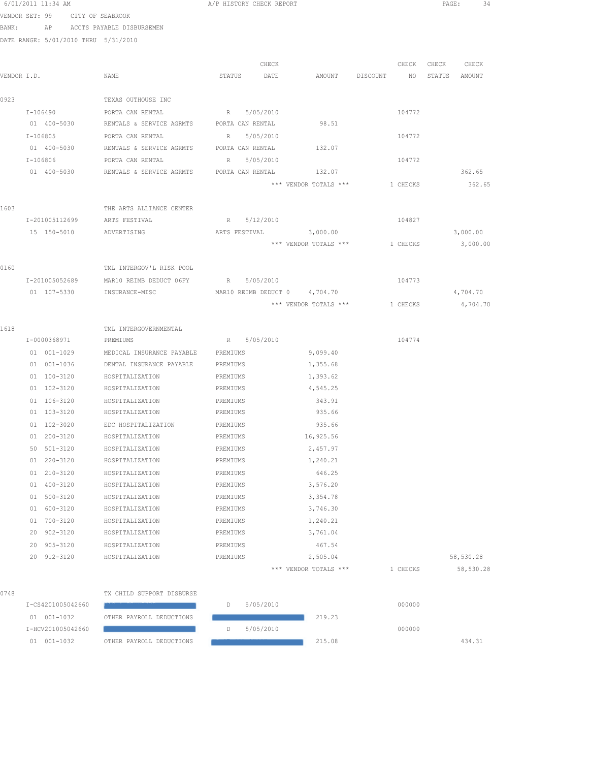|             | 6/01/2011 11:34 AM                   |                                                               | A/P HISTORY CHECK REPORT      |                       |                                | 34<br>PAGE:      |
|-------------|--------------------------------------|---------------------------------------------------------------|-------------------------------|-----------------------|--------------------------------|------------------|
|             | VENDOR SET: 99 CITY OF SEABROOK      |                                                               |                               |                       |                                |                  |
| BANK:       |                                      | AP ACCTS PAYABLE DISBURSEMEN                                  |                               |                       |                                |                  |
|             | DATE RANGE: 5/01/2010 THRU 5/31/2010 |                                                               |                               |                       |                                |                  |
|             |                                      |                                                               |                               |                       |                                |                  |
|             |                                      |                                                               | CHECK                         |                       | CHECK                          | CHECK<br>CHECK   |
| VENDOR I.D. |                                      | NAME                                                          | STATUS DATE                   | AMOUNT DISCOUNT       | NO <sub>1</sub>                | STATUS<br>AMOUNT |
|             |                                      |                                                               |                               |                       |                                |                  |
| 0923        |                                      | TEXAS OUTHOUSE INC                                            |                               |                       |                                |                  |
|             | $I - 106490$                         | PORTA CAN RENTAL                                              | R 5/05/2010                   |                       | 104772                         |                  |
|             |                                      | 01 400-5030 RENTALS & SERVICE AGRMTS PORTA CAN RENTAL         |                               | 98.51                 |                                |                  |
|             | $I-106805$                           | PORTA CAN RENTAL                                              | 5/05/2010<br>R                |                       | 104772                         |                  |
|             | 01 400-5030                          | RENTALS & SERVICE AGRMTS PORTA CAN RENTAL                     |                               | 132.07                |                                |                  |
|             | I-106806<br>01 400-5030              | PORTA CAN RENTAL<br>RENTALS & SERVICE AGRMTS PORTA CAN RENTAL | 5/05/2010<br>$R_{\perp}$      | 132.07                | 104772                         | 362.65           |
|             |                                      |                                                               |                               | *** VENDOR TOTALS *** | 1 CHECKS                       | 362.65           |
|             |                                      |                                                               |                               |                       |                                |                  |
| 1603        |                                      | THE ARTS ALLIANCE CENTER                                      |                               |                       |                                |                  |
|             | I-201005112699                       | ARTS FESTIVAL                                                 | R 5/12/2010                   |                       | 104827                         |                  |
|             |                                      | 15 150-5010 ADVERTISING                                       | ARTS FESTIVAL 3,000.00        |                       |                                | 3,000.00         |
|             |                                      |                                                               |                               |                       | *** VENDOR TOTALS *** 1 CHECKS | 3,000.00         |
|             |                                      |                                                               |                               |                       |                                |                  |
| 0160        |                                      | TML INTERGOV'L RISK POOL                                      |                               |                       |                                |                  |
|             | I-201005052689                       | MAR10 REIMB DEDUCT 06FY R 5/05/2010                           |                               |                       | 104773                         |                  |
|             | 01 107-5330                          | INSURANCE-MISC                                                | MAR10 REIMB DEDUCT 0 4,704.70 |                       |                                | 4,704.70         |
|             |                                      |                                                               |                               | *** VENDOR TOTALS *** | 1 CHECKS                       | 4,704.70         |
|             |                                      |                                                               |                               |                       |                                |                  |
| 1618        |                                      | TML INTERGOVERNMENTAL                                         |                               |                       |                                |                  |
|             | I-0000368971                         | PREMIUMS                                                      | R 5/05/2010                   |                       | 104774                         |                  |
|             | 01 001-1029                          | MEDICAL INSURANCE PAYABLE                                     | PREMIUMS                      | 9,099.40              |                                |                  |
|             | 01 001-1036                          | DENTAL INSURANCE PAYABLE                                      | PREMIUMS                      | 1,355.68              |                                |                  |
|             | 01 100-3120                          | HOSPITALIZATION                                               | PREMIUMS                      | 1,393.62              |                                |                  |
|             | $01 102 - 3120$                      | HOSPITALIZATION                                               | PREMIUMS                      | 4,545.25              |                                |                  |
|             | 01 106-3120                          | HOSPITALIZATION                                               | PREMIUMS                      | 343.91                |                                |                  |
|             | 01 103-3120                          | HOSPITALIZATION                                               | PREMIUMS                      | 935.66                |                                |                  |
|             | 01 102-3020                          | EDC HOSPITALIZATION                                           | PREMIUMS                      | 935.66                |                                |                  |
|             | 01 200-3120                          | HOSPITALIZATION                                               | PREMIUMS                      | 16,925.56             |                                |                  |
|             | 501-3120<br>50                       | HOSPITALIZATION                                               | PREMIUMS                      | 2,457.97              |                                |                  |
|             | 220-3120<br>01                       | HOSPITALIZATION                                               | PREMIUMS                      | 1,240.21              |                                |                  |
|             | 01 210-3120                          | HOSPITALIZATION                                               | PREMIUMS                      | 646.25                |                                |                  |
|             | 01 400-3120                          | HOSPITALIZATION                                               | PREMIUMS                      | 3,576.20              |                                |                  |
|             | 01 500-3120                          | HOSPITALIZATION                                               | PREMIUMS                      | 3,354.78              |                                |                  |
|             | 600-3120<br>01<br>700-3120<br>01     | HOSPITALIZATION<br>HOSPITALIZATION                            | PREMIUMS<br>PREMIUMS          | 3,746.30              |                                |                  |
|             | 902-3120<br>20                       | HOSPITALIZATION                                               | PREMIUMS                      | 1,240.21<br>3,761.04  |                                |                  |
|             | 905-3120<br>20                       | HOSPITALIZATION                                               | PREMIUMS                      | 467.54                |                                |                  |
|             | 20 912-3120                          | HOSPITALIZATION                                               | PREMIUMS                      | 2,505.04              |                                | 58,530.28        |
|             |                                      |                                                               |                               | *** VENDOR TOTALS *** | 1 CHECKS                       | 58,530.28        |
|             |                                      |                                                               |                               |                       |                                |                  |
| 0748        |                                      | TX CHILD SUPPORT DISBURSE                                     |                               |                       |                                |                  |
|             | I-CS4201005042660                    |                                                               | 5/05/2010<br>D                |                       | 000000                         |                  |
|             | 01 001-1032                          | OTHER PAYROLL DEDUCTIONS                                      |                               | 219.23                |                                |                  |
|             | I-HCV201005042660                    |                                                               | D<br>5/05/2010                |                       | 000000                         |                  |
|             | 01 001-1032                          | OTHER PAYROLL DEDUCTIONS                                      |                               | 215.08                |                                | 434.31           |
|             |                                      |                                                               |                               |                       |                                |                  |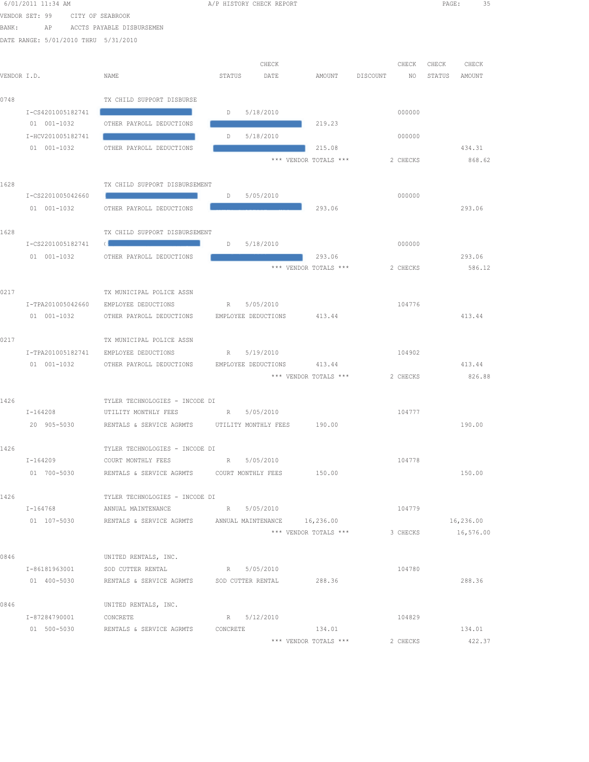|       | 6/01/2011 11:34 AM                   |                                                                                                                       | A/P HISTORY CHECK REPORT |                                 |                | PAGE:            | 35     |
|-------|--------------------------------------|-----------------------------------------------------------------------------------------------------------------------|--------------------------|---------------------------------|----------------|------------------|--------|
|       | VENDOR SET: 99                       | CITY OF SEABROOK                                                                                                      |                          |                                 |                |                  |        |
| BANK: | AP                                   | ACCTS PAYABLE DISBURSEMEN                                                                                             |                          |                                 |                |                  |        |
|       | DATE RANGE: 5/01/2010 THRU 5/31/2010 |                                                                                                                       |                          |                                 |                |                  |        |
|       |                                      |                                                                                                                       |                          |                                 |                |                  |        |
|       |                                      |                                                                                                                       | CHECK                    |                                 | CHECK          | CHECK            | CHECK  |
|       | VENDOR I.D.                          | NAME                                                                                                                  | STATUS<br>DATE           | AMOUNT                          | DISCOUNT<br>NO | STATUS<br>AMOUNT |        |
| 0748  |                                      | TX CHILD SUPPORT DISBURSE                                                                                             |                          |                                 |                |                  |        |
|       | I-CS4201005182741                    |                                                                                                                       | 5/18/2010<br>D           |                                 | 000000         |                  |        |
|       | 01 001-1032                          | OTHER PAYROLL DEDUCTIONS                                                                                              |                          | 219.23                          |                |                  |        |
|       | I-HCV201005182741                    |                                                                                                                       | 5/18/2010<br>D           |                                 | 000000         |                  |        |
|       | 01 001-1032                          | OTHER PAYROLL DEDUCTIONS                                                                                              |                          | 215.08                          |                | 434.31           |        |
|       |                                      |                                                                                                                       |                          | *** VENDOR TOTALS ***           | 2 CHECKS       |                  | 868.62 |
|       |                                      |                                                                                                                       |                          |                                 |                |                  |        |
| 1628  |                                      | TX CHILD SUPPORT DISBURSEMENT                                                                                         |                          |                                 |                |                  |        |
|       | I-CS2201005042660                    |                                                                                                                       | 5/05/2010<br>D           |                                 | 000000         |                  |        |
|       | 01 001-1032                          | OTHER PAYROLL DEDUCTIONS                                                                                              |                          | 293.06                          |                | 293.06           |        |
|       |                                      |                                                                                                                       |                          |                                 |                |                  |        |
| 1628  |                                      | TX CHILD SUPPORT DISBURSEMENT                                                                                         |                          |                                 |                |                  |        |
|       | I-CS2201005182741                    | <b>Contract Contract Contract Contract Contract Contract Contract Contract Contract Contract Contract Contract Co</b> | 5/18/2010<br>D           |                                 | 000000         |                  |        |
|       | 01 001-1032                          | OTHER PAYROLL DEDUCTIONS                                                                                              |                          | 293.06<br>*** VENDOR TOTALS *** | 2 CHECKS       | 293.06           | 586.12 |
|       |                                      |                                                                                                                       |                          |                                 |                |                  |        |
| 0217  |                                      | TX MUNICIPAL POLICE ASSN                                                                                              |                          |                                 |                |                  |        |
|       | I-TPA201005042660                    | EMPLOYEE DEDUCTIONS                                                                                                   | 5/05/2010<br>R           |                                 | 104776         |                  |        |
|       | 01 001-1032                          | OTHER PAYROLL DEDUCTIONS                                                                                              | EMPLOYEE DEDUCTIONS      | 413.44                          |                | 413.44           |        |
|       |                                      |                                                                                                                       |                          |                                 |                |                  |        |
| 0217  |                                      | TX MUNICIPAL POLICE ASSN                                                                                              |                          |                                 |                |                  |        |
|       | I-TPA201005182741                    | EMPLOYEE DEDUCTIONS                                                                                                   | R 5/19/2010              |                                 | 104902         |                  |        |
|       | 01 001-1032                          | OTHER PAYROLL DEDUCTIONS                                                                                              | EMPLOYEE DEDUCTIONS      | 413.44                          |                | 413.44           |        |
|       |                                      |                                                                                                                       |                          | *** VENDOR TOTALS ***           | 2 CHECKS       |                  | 826.88 |
|       |                                      |                                                                                                                       |                          |                                 |                |                  |        |
| 1426  |                                      | TYLER TECHNOLOGIES - INCODE DI                                                                                        |                          |                                 |                |                  |        |
|       | I-164208                             | UTILITY MONTHLY FEES                                                                                                  | R 5/05/2010              |                                 | 104777         | 190.00           |        |
|       | 20 905-5030                          | RENTALS & SERVICE AGRMTS UTILITY MONTHLY FEES 190.00                                                                  |                          |                                 |                |                  |        |
| 1426  |                                      | TYLER TECHNOLOGIES - INCODE DI                                                                                        |                          |                                 |                |                  |        |
|       | I-164209                             | COURT MONTHLY FEES                                                                                                    | R 5/05/2010              |                                 | 104778         |                  |        |
|       | 01 700-5030                          |                                                                                                                       |                          | 150.00                          |                | 150.00           |        |
|       |                                      |                                                                                                                       |                          |                                 |                |                  |        |
| 1426  |                                      | TYLER TECHNOLOGIES - INCODE DI                                                                                        |                          |                                 |                |                  |        |
|       | I-164768                             | ANNUAL MAINTENANCE                                                                                                    | R 5/05/2010              |                                 | 104779         |                  |        |
|       |                                      | 01 107-5030 RENTALS & SERVICE AGRMTS ANNUAL MAINTENANCE 16,236.00                                                     |                          |                                 |                | 16,236.00        |        |
|       |                                      |                                                                                                                       |                          | *** VENDOR TOTALS ***           | 3 CHECKS       | 16,576.00        |        |
|       |                                      |                                                                                                                       |                          |                                 |                |                  |        |
| 0846  |                                      | UNITED RENTALS, INC.                                                                                                  |                          |                                 |                |                  |        |
|       | I-86181963001                        | SOD CUTTER RENTAL                                                                                                     | R 5/05/2010              |                                 | 104780         | 288.36           |        |
|       | 01 400-5030                          | RENTALS & SERVICE AGRMTS SOD CUTTER RENTAL                                                                            |                          | 288.36                          |                |                  |        |
| 0846  |                                      | UNITED RENTALS, INC.                                                                                                  |                          |                                 |                |                  |        |
|       | I-87284790001                        | CONCRETE                                                                                                              | R 5/12/2010              |                                 | 104829         |                  |        |
|       | 01 500-5030                          | RENTALS & SERVICE AGRMTS CONCRETE                                                                                     |                          | 134.01                          |                |                  | 134.01 |
|       |                                      |                                                                                                                       |                          | *** VENDOR TOTALS ***           | 2 CHECKS       |                  | 422.37 |
|       |                                      |                                                                                                                       |                          |                                 |                |                  |        |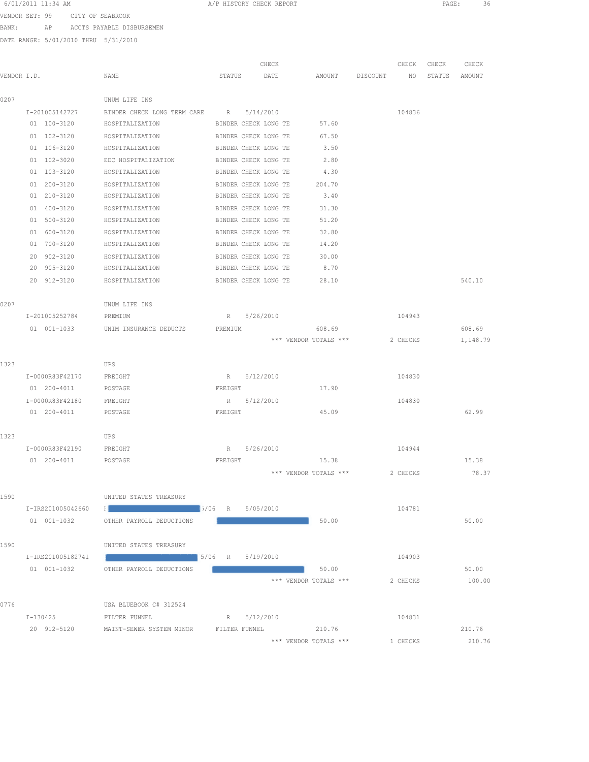| 6/01/2011 11:34 AM |  |  |
|--------------------|--|--|
|--------------------|--|--|

A/P HISTORY CHECK REPORT PAGE: 36

VENDOR SET: 99 CITY OF SEABROOK

BANK: AP ACCTS PAYABLE DISBURSEMEN

DATE RANGE: 5/01/2010 THRU 5/31/2010

|             |                        |                                                                                                                                                                                                                                      |                      | CHECK     |                       |          | CHECK    | CHECK  | CHECK    |
|-------------|------------------------|--------------------------------------------------------------------------------------------------------------------------------------------------------------------------------------------------------------------------------------|----------------------|-----------|-----------------------|----------|----------|--------|----------|
| VENDOR I.D. |                        | NAME                                                                                                                                                                                                                                 | STATUS               | DATE      | AMOUNT                | DISCOUNT | NO       | STATUS | AMOUNT   |
| 0207        |                        | UNUM LIFE INS                                                                                                                                                                                                                        |                      |           |                       |          |          |        |          |
|             | I-201005142727         | BINDER CHECK LONG TERM CARE                                                                                                                                                                                                          | R                    | 5/14/2010 |                       |          | 104836   |        |          |
|             | 01 100-3120            | HOSPITALIZATION                                                                                                                                                                                                                      | BINDER CHECK LONG TE |           | 57.60                 |          |          |        |          |
|             | 01 102-3120            | HOSPITALIZATION                                                                                                                                                                                                                      | BINDER CHECK LONG TE |           | 67.50                 |          |          |        |          |
|             | 01 106-3120            | HOSPITALIZATION                                                                                                                                                                                                                      | BINDER CHECK LONG TE |           | 3.50                  |          |          |        |          |
|             | 01 102-3020            | EDC HOSPITALIZATION                                                                                                                                                                                                                  | BINDER CHECK LONG TE |           | 2.80                  |          |          |        |          |
|             | 01 103-3120            | HOSPITALIZATION                                                                                                                                                                                                                      | BINDER CHECK LONG TE |           | 4.30                  |          |          |        |          |
|             | 01 200-3120            | HOSPITALIZATION                                                                                                                                                                                                                      | BINDER CHECK LONG TE |           | 204.70                |          |          |        |          |
|             | 01 210-3120            | HOSPITALIZATION                                                                                                                                                                                                                      | BINDER CHECK LONG TE |           | 3.40                  |          |          |        |          |
|             | 01 400-3120            | HOSPITALIZATION                                                                                                                                                                                                                      | BINDER CHECK LONG TE |           | 31.30                 |          |          |        |          |
|             | 01 500-3120            | HOSPITALIZATION                                                                                                                                                                                                                      | BINDER CHECK LONG TE |           | 51.20                 |          |          |        |          |
|             | 01 600-3120            | HOSPITALIZATION                                                                                                                                                                                                                      | BINDER CHECK LONG TE |           | 32.80                 |          |          |        |          |
|             | 01 700-3120            | HOSPITALIZATION                                                                                                                                                                                                                      | BINDER CHECK LONG TE |           | 14.20                 |          |          |        |          |
|             | 20 902-3120            | HOSPITALIZATION                                                                                                                                                                                                                      | BINDER CHECK LONG TE |           | 30.00                 |          |          |        |          |
|             | 20 905-3120            | HOSPITALIZATION                                                                                                                                                                                                                      | BINDER CHECK LONG TE |           | 8.70                  |          |          |        |          |
|             | 20 912-3120            | HOSPITALIZATION                                                                                                                                                                                                                      | BINDER CHECK LONG TE |           | 28.10                 |          |          |        | 540.10   |
| 0207        |                        | UNUM LIFE INS                                                                                                                                                                                                                        |                      |           |                       |          |          |        |          |
|             | I-201005252784         | PREMIUM                                                                                                                                                                                                                              | R 5/26/2010          |           |                       |          | 104943   |        |          |
|             | 01 001-1033            | UNIM INSURANCE DEDUCTS                                                                                                                                                                                                               | PREMIUM              |           | 608.69                |          |          |        | 608.69   |
|             |                        |                                                                                                                                                                                                                                      |                      |           | *** VENDOR TOTALS *** |          | 2 CHECKS |        | 1,148.79 |
|             |                        |                                                                                                                                                                                                                                      |                      |           |                       |          |          |        |          |
| 1323        |                        | UPS                                                                                                                                                                                                                                  |                      |           |                       |          |          |        |          |
|             | I-0000R83F42170        | FREIGHT                                                                                                                                                                                                                              | R 5/12/2010          |           |                       |          | 104830   |        |          |
|             | 01 200-4011            | POSTAGE                                                                                                                                                                                                                              | FREIGHT              |           | 17.90                 |          |          |        |          |
|             | I-0000R83F42180        | FREIGHT                                                                                                                                                                                                                              | R                    | 5/12/2010 |                       |          | 104830   |        |          |
|             | 01 200-4011            | POSTAGE                                                                                                                                                                                                                              | FREIGHT              |           | 45.09                 |          |          |        | 62.99    |
|             |                        |                                                                                                                                                                                                                                      |                      |           |                       |          |          |        |          |
| 1323        |                        | UPS                                                                                                                                                                                                                                  |                      |           |                       |          |          |        |          |
|             | I-0000R83F42190        | FREIGHT                                                                                                                                                                                                                              | R                    | 5/26/2010 |                       |          | 104944   |        |          |
|             | 01 200-4011            | POSTAGE                                                                                                                                                                                                                              | FREIGHT              |           | 15.38                 |          |          |        | 15.38    |
|             |                        |                                                                                                                                                                                                                                      |                      |           | *** VENDOR TOTALS *** |          | 2 CHECKS |        | 78.37    |
|             |                        |                                                                                                                                                                                                                                      |                      |           |                       |          |          |        |          |
| 1590        |                        | UNITED STATES TREASURY                                                                                                                                                                                                               |                      |           |                       |          |          |        |          |
|             |                        |                                                                                                                                                                                                                                      |                      |           |                       |          | 104781   |        |          |
|             |                        | 01 001-1032 OTHER PAYROLL DEDUCTIONS                                                                                                                                                                                                 |                      |           | 50.00                 |          |          |        | 50.00    |
| 1590        |                        | UNITED STATES TREASURY                                                                                                                                                                                                               |                      |           |                       |          |          |        |          |
|             | I-IRS201005182741      | <u>and the second second state of the second second second second second second second second second second second second second second second second second second second second second second second second second second seco</u> |                      |           |                       |          | 104903   |        |          |
|             |                        | 01 001-1032 OTHER PAYROLL DEDUCTIONS                                                                                                                                                                                                 |                      |           | 50.00                 |          |          |        | 50.00    |
|             |                        |                                                                                                                                                                                                                                      |                      |           | *** VENDOR TOTALS *** |          | 2 CHECKS |        | 100.00   |
|             |                        |                                                                                                                                                                                                                                      |                      |           |                       |          |          |        |          |
| 0776        |                        | USA BLUEBOOK C# 312524                                                                                                                                                                                                               |                      |           |                       |          |          |        |          |
|             | I-130425 FILTER FUNNEL |                                                                                                                                                                                                                                      | R 5/12/2010          |           |                       |          | 104831   |        |          |
|             |                        | 20 912-5120 MAINT-SEWER SYSTEM MINOR FILTER FUNNEL 210.76                                                                                                                                                                            |                      |           |                       |          |          |        | 210.76   |
|             |                        |                                                                                                                                                                                                                                      |                      |           | *** VENDOR TOTALS *** |          | 1 CHECKS |        | 210.76   |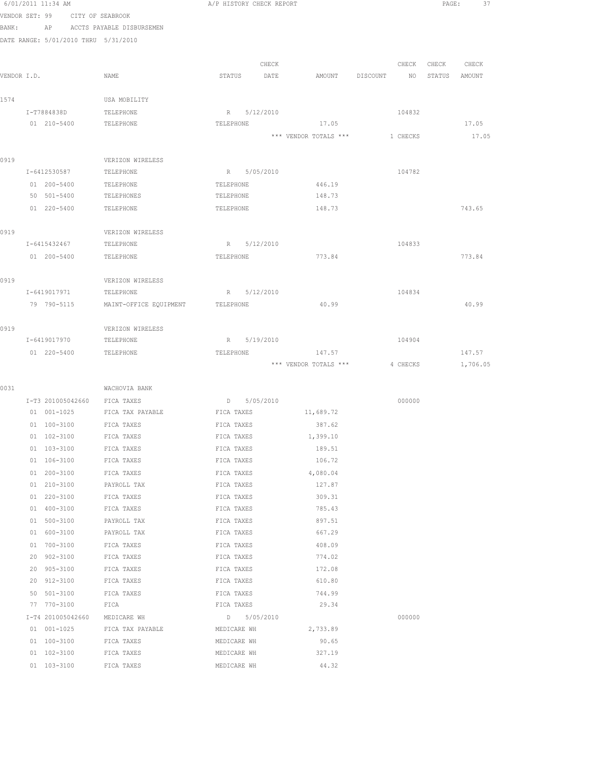|                | 0/UI/ZUII 11:34 AM         |                                      | A/F HISTORY CHECK REFORT |             |                       |          |          | PAGE:  | - 31     |  |
|----------------|----------------------------|--------------------------------------|--------------------------|-------------|-----------------------|----------|----------|--------|----------|--|
| VENDOR SET: 99 |                            | CITY OF SEABROOK                     |                          |             |                       |          |          |        |          |  |
| BANK:          |                            | AP ACCTS PAYABLE DISBURSEMEN         |                          |             |                       |          |          |        |          |  |
|                |                            | DATE RANGE: 5/01/2010 THRU 5/31/2010 |                          |             |                       |          |          |        |          |  |
|                |                            |                                      |                          |             |                       |          |          |        |          |  |
|                |                            |                                      |                          | CHECK       |                       |          | CHECK    | CHECK  | CHECK    |  |
| VENDOR I.D.    |                            | NAME                                 | STATUS                   | DATE        | AMOUNT                | DISCOUNT | NO       | STATUS | AMOUNT   |  |
| 1574           |                            | USA MOBILITY                         |                          |             |                       |          |          |        |          |  |
|                | I-T7884838D                | TELEPHONE                            |                          | R 5/12/2010 |                       |          | 104832   |        |          |  |
|                | 01 210-5400                | TELEPHONE                            | TELEPHONE                |             | 17.05                 |          |          |        | 17.05    |  |
|                |                            |                                      |                          |             | *** VENDOR TOTALS *** |          | 1 CHECKS |        | 17.05    |  |
|                |                            |                                      |                          |             |                       |          |          |        |          |  |
| 0919           |                            | VERIZON WIRELESS                     |                          |             |                       |          |          |        |          |  |
|                | I-6412530587               | TELEPHONE                            |                          | R 5/05/2010 |                       |          | 104782   |        |          |  |
|                | 01 200-5400                | TELEPHONE                            | TELEPHONE                |             | 446.19                |          |          |        |          |  |
|                | 50 501-5400                | TELEPHONES                           | TELEPHONE                |             | 148.73                |          |          |        |          |  |
|                | 01 220-5400                | TELEPHONE                            | TELEPHONE                |             | 148.73                |          |          |        | 743.65   |  |
|                |                            |                                      |                          |             |                       |          |          |        |          |  |
| 0919           |                            | VERIZON WIRELESS                     |                          |             |                       |          |          |        |          |  |
|                | I-6415432467               | TELEPHONE                            |                          | R 5/12/2010 |                       |          | 104833   |        |          |  |
|                | 01 200-5400                | TELEPHONE                            | TELEPHONE                |             | 773.84                |          |          |        | 773.84   |  |
| 0919           |                            | VERIZON WIRELESS                     |                          |             |                       |          |          |        |          |  |
|                | I-6419017971               | TELEPHONE                            |                          | R 5/12/2010 |                       |          | 104834   |        |          |  |
|                | 79 790-5115                | MAINT-OFFICE EQUIPMENT TELEPHONE     |                          |             | 40.99                 |          |          |        | 40.99    |  |
|                |                            |                                      |                          |             |                       |          |          |        |          |  |
| 0919           |                            | VERIZON WIRELESS                     |                          |             |                       |          |          |        |          |  |
|                | I-6419017970               | TELEPHONE                            |                          | R 5/19/2010 |                       |          | 104904   |        |          |  |
|                | 01 220-5400                | TELEPHONE                            | TELEPHONE                |             | 147.57                |          |          |        | 147.57   |  |
|                |                            |                                      |                          |             | *** VENDOR TOTALS *** |          | 4 CHECKS |        | 1,706.05 |  |
|                |                            |                                      |                          |             |                       |          |          |        |          |  |
| 0031           |                            | WACHOVIA BANK                        |                          |             |                       |          |          |        |          |  |
|                | I-T3 201005042660          | FICA TAXES                           |                          | D 5/05/2010 |                       |          | 000000   |        |          |  |
|                | 01 001-1025                | FICA TAX PAYABLE                     | FICA TAXES               |             | 11,689.72             |          |          |        |          |  |
|                | 01 100-3100                | FICA TAXES                           | FICA TAXES               |             | 387.62                |          |          |        |          |  |
|                | $01 102 - 3100$            | FICA TAXES                           | FICA TAXES               |             | 1,399.10              |          |          |        |          |  |
|                | 01 103-3100<br>01 106-3100 | FICA TAXES<br>FICA TAXES             | FICA TAXES<br>FICA TAXES |             | 189.51<br>106.72      |          |          |        |          |  |
|                | 01 200-3100                | FICA TAXES                           | FICA TAXES               |             | 4,080.04              |          |          |        |          |  |
|                | 01 210-3100                | PAYROLL TAX                          | FICA TAXES               |             | 127.87                |          |          |        |          |  |
|                | 01 220-3100                | FICA TAXES                           | FICA TAXES               |             | 309.31                |          |          |        |          |  |
|                | 01 400-3100                | FICA TAXES                           | FICA TAXES               |             | 785.43                |          |          |        |          |  |
|                | 01 500-3100                | PAYROLL TAX                          | FICA TAXES               |             | 897.51                |          |          |        |          |  |
|                | 01 600-3100                | PAYROLL TAX                          | FICA TAXES               |             | 667.29                |          |          |        |          |  |
|                | 01 700-3100                | FICA TAXES                           | FICA TAXES               |             | 408.09                |          |          |        |          |  |
|                | 20 902-3100                | FICA TAXES                           | FICA TAXES               |             | 774.02                |          |          |        |          |  |
|                | 20 905-3100                | FICA TAXES                           | FICA TAXES               |             | 172.08                |          |          |        |          |  |
|                | 20 912-3100                | FICA TAXES                           | FICA TAXES               |             | 610.80                |          |          |        |          |  |
|                | 50 501-3100                | FICA TAXES                           | FICA TAXES               |             | 744.99                |          |          |        |          |  |
|                | 77 770-3100                | ${\tt FICA}$                         | FICA TAXES               |             | 29.34                 |          |          |        |          |  |
|                | I-T4 201005042660          | MEDICARE WH                          | D 5/05/2010              |             |                       |          | 000000   |        |          |  |
|                | 01 001-1025                | FICA TAX PAYABLE                     | MEDICARE WH              |             | 2,733.89              |          |          |        |          |  |
|                | 01 100-3100                | FICA TAXES                           | MEDICARE WH              |             | 90.65                 |          |          |        |          |  |
|                | 01 102-3100                | FICA TAXES                           | MEDICARE WH              |             | 327.19                |          |          |        |          |  |
|                | 01 103-3100                | FICA TAXES                           | MEDICARE WH              |             | 44.32                 |          |          |        |          |  |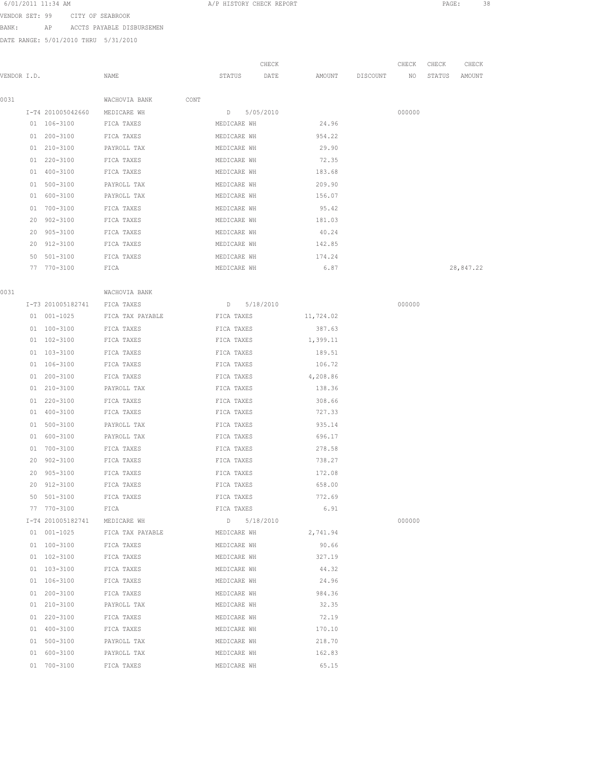6/01/2011 11:34 AM **A**/P HISTORY CHECK REPORT **PAGE:** 38 VENDOR SET: 99 CITY OF SEABROOK

BANK: AP ACCTS PAYABLE DISBURSEMEN

DATE RANGE: 5/01/2010 THRU 5/31/2010

| VENDOR I.D. |    |                                  | NAME                          | STATUS           | CHECK<br>DATE | AMOUNT    | DISCOUNT | CHECK<br>NO | CHECK<br>STATUS | CHECK<br>AMOUNT |
|-------------|----|----------------------------------|-------------------------------|------------------|---------------|-----------|----------|-------------|-----------------|-----------------|
|             |    |                                  |                               |                  |               |           |          |             |                 |                 |
| 0031        |    |                                  | WACHOVIA BANK<br>CONT         |                  |               |           |          |             |                 |                 |
|             |    | I-T4 201005042660<br>01 106-3100 | MEDICARE WH<br>FICA TAXES     | D<br>MEDICARE WH | 5/05/2010     | 24.96     |          | 000000      |                 |                 |
|             |    |                                  |                               |                  |               |           |          |             |                 |                 |
|             |    | 01 200-3100                      | FICA TAXES<br>PAYROLL TAX     | MEDICARE WH      |               | 954.22    |          |             |                 |                 |
|             |    | 01 210-3100                      |                               | MEDICARE WH      |               | 29.90     |          |             |                 |                 |
|             |    | 01 220-3100                      | FICA TAXES                    | MEDICARE WH      |               | 72.35     |          |             |                 |                 |
|             |    | 01 400-3100                      | FICA TAXES                    | MEDICARE WH      |               | 183.68    |          |             |                 |                 |
|             |    | 01 500-3100                      | PAYROLL TAX                   | MEDICARE WH      |               | 209.90    |          |             |                 |                 |
|             |    | 01 600-3100                      | PAYROLL TAX                   | MEDICARE WH      |               | 156.07    |          |             |                 |                 |
|             |    | 01 700-3100                      | FICA TAXES                    | MEDICARE WH      |               | 95.42     |          |             |                 |                 |
|             |    | 20 902-3100                      | FICA TAXES                    | MEDICARE WH      |               | 181.03    |          |             |                 |                 |
|             |    | 20 905-3100                      | FICA TAXES                    | MEDICARE WH      |               | 40.24     |          |             |                 |                 |
|             |    | 20 912-3100                      | FICA TAXES                    | MEDICARE WH      |               | 142.85    |          |             |                 |                 |
|             | 50 | $501 - 3100$                     | FICA TAXES                    | MEDICARE WH      |               | 174.24    |          |             |                 |                 |
|             |    | 77 770-3100                      | FICA                          | MEDICARE WH      |               | 6.87      |          |             |                 | 28,847.22       |
| 0031        |    |                                  | WACHOVIA BANK                 |                  |               |           |          |             |                 |                 |
|             |    | I-T3 201005182741                | FICA TAXES                    | D 5/18/2010      |               |           |          | 000000      |                 |                 |
|             |    | 01 001-1025                      | FICA TAX PAYABLE              | FICA TAXES       |               | 11,724.02 |          |             |                 |                 |
|             |    | 01 100-3100                      | FICA TAXES                    | FICA TAXES       |               | 387.63    |          |             |                 |                 |
|             |    | 01 102-3100                      | FICA TAXES                    | FICA TAXES       |               | 1,399.11  |          |             |                 |                 |
|             |    | 01 103-3100                      | FICA TAXES                    | FICA TAXES       |               | 189.51    |          |             |                 |                 |
|             |    | 01 106-3100                      | FICA TAXES                    | FICA TAXES       |               | 106.72    |          |             |                 |                 |
|             |    | 01 200-3100                      | FICA TAXES                    | FICA TAXES       |               | 4,208.86  |          |             |                 |                 |
|             |    | 01 210-3100                      | PAYROLL TAX                   | FICA TAXES       |               | 138.36    |          |             |                 |                 |
|             |    | 01 220-3100                      | FICA TAXES                    | FICA TAXES       |               | 308.66    |          |             |                 |                 |
|             |    | 01 400-3100                      | FICA TAXES                    | FICA TAXES       |               | 727.33    |          |             |                 |                 |
|             |    | 01 500-3100                      | PAYROLL TAX                   | FICA TAXES       |               | 935.14    |          |             |                 |                 |
|             |    | 01 600-3100                      | PAYROLL TAX                   | FICA TAXES       |               | 696.17    |          |             |                 |                 |
|             |    | 01 700-3100                      | FICA TAXES                    | FICA TAXES       |               | 278.58    |          |             |                 |                 |
|             |    | 20 902-3100                      | FICA TAXES                    | FICA TAXES       |               | 738.27    |          |             |                 |                 |
|             | 20 | 905-3100                         | FICA TAXES                    | FICA TAXES       |               | 172.08    |          |             |                 |                 |
|             |    | 20 912-3100                      | FICA TAXES                    | FICA TAXES       |               | 658.00    |          |             |                 |                 |
|             |    | 50 501-3100                      | FICA TAXES                    | FICA TAXES       |               | 772.69    |          |             |                 |                 |
|             |    | 77 770-3100 FICA                 |                               | FICA TAXES       |               | 6.91      |          |             |                 |                 |
|             |    |                                  | I-T4 201005182741 MEDICARE WH | D 5/18/2010      |               |           |          | 000000      |                 |                 |
|             |    | 01 001-1025                      | FICA TAX PAYABLE MEDICARE WH  |                  |               | 2,741.94  |          |             |                 |                 |
|             |    | 01 100-3100                      | FICA TAXES                    | MEDICARE WH      |               | 90.66     |          |             |                 |                 |
|             |    | 01 102-3100                      | FICA TAXES                    | MEDICARE WH      |               | 327.19    |          |             |                 |                 |
|             |    | 01 103-3100                      | FICA TAXES                    | MEDICARE WH      |               | 44.32     |          |             |                 |                 |
|             |    | 01 106-3100                      | FICA TAXES                    | MEDICARE WH      |               | 24.96     |          |             |                 |                 |
|             |    | $01 200 - 3100$                  | FICA TAXES                    | MEDICARE WH      |               | 984.36    |          |             |                 |                 |
|             |    | 01 210-3100                      | PAYROLL TAX                   | MEDICARE WH      |               | 32.35     |          |             |                 |                 |
|             |    | 01 220-3100                      | FICA TAXES                    | MEDICARE WH      |               | 72.19     |          |             |                 |                 |
|             |    | 01 400-3100                      | FICA TAXES                    | MEDICARE WH      |               | 170.10    |          |             |                 |                 |
|             |    | 01 500-3100                      | PAYROLL TAX                   | MEDICARE WH      |               | 218.70    |          |             |                 |                 |
|             |    | 01 600-3100                      | PAYROLL TAX                   | MEDICARE WH      |               | 162.83    |          |             |                 |                 |
|             |    | 01 700-3100                      | FICA TAXES                    | MEDICARE WH      |               | 65.15     |          |             |                 |                 |
|             |    |                                  |                               |                  |               |           |          |             |                 |                 |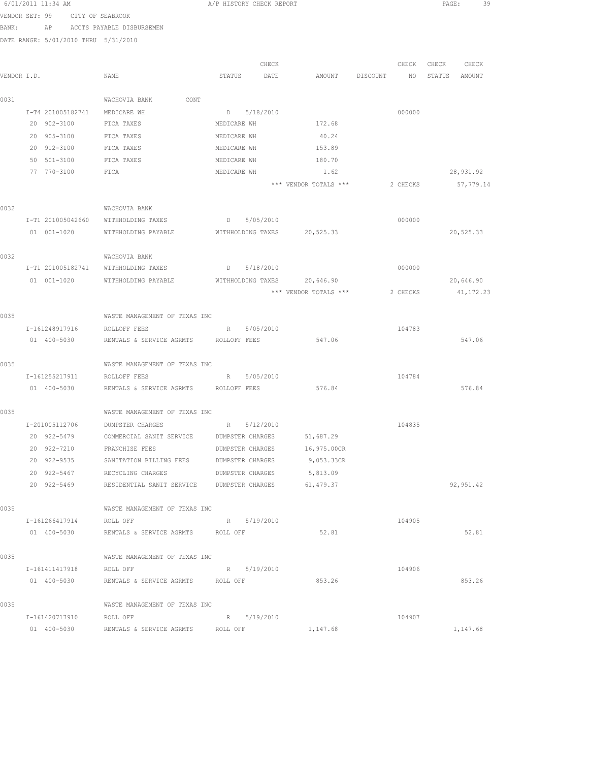|             | 6/01/2011 11:34 AM |                                                              |             | A/P HISTORY CHECK REPORT |                                |          |             | PAGE:<br>39   |
|-------------|--------------------|--------------------------------------------------------------|-------------|--------------------------|--------------------------------|----------|-------------|---------------|
|             |                    | VENDOR SET: 99 CITY OF SEABROOK                              |             |                          |                                |          |             |               |
|             |                    | BANK: AP ACCTS PAYABLE DISBURSEMEN                           |             |                          |                                |          |             |               |
|             |                    | DATE RANGE: 5/01/2010 THRU 5/31/2010                         |             |                          |                                |          |             |               |
|             |                    |                                                              |             |                          |                                |          |             |               |
|             |                    |                                                              |             | CHECK                    |                                |          | CHECK CHECK | CHECK         |
| VENDOR I.D. |                    | NAME                                                         |             |                          | STATUS DATE AMOUNT DISCOUNT NO |          |             | STATUS AMOUNT |
| 0031        |                    | WACHOVIA BANK CONT                                           |             |                          |                                |          |             |               |
|             |                    | I-T4 201005182741 MEDICARE WH                                |             | D 5/18/2010              |                                | 000000   |             |               |
|             | 20 902-3100        | FICA TAXES                                                   | MEDICARE WH |                          | 172.68                         |          |             |               |
|             | 20 905-3100        | FICA TAXES                                                   | MEDICARE WH |                          | 40.24                          |          |             |               |
|             | 20 912-3100        | FICA TAXES                                                   | MEDICARE WH |                          | 153.89                         |          |             |               |
|             | 50 501-3100        | FICA TAXES                                                   | MEDICARE WH |                          | 180.70                         |          |             |               |
|             | 77 770-3100        | FICA                                                         | MEDICARE WH |                          | 1.62                           |          |             | 28,931.92     |
|             |                    |                                                              |             |                          | *** VENDOR TOTALS ***          | 2 CHECKS |             | 57,779.14     |
|             |                    |                                                              |             |                          |                                |          |             |               |
| 0032        |                    | WACHOVIA BANK                                                |             |                          |                                |          |             |               |
|             |                    | I-T1 201005042660 WITHHOLDING TAXES                          |             | D 5/05/2010              |                                | 000000   |             |               |
|             |                    | 01 001-1020 WITHHOLDING PAYABLE WITHHOLDING TAXES 20,525.33  |             |                          |                                |          |             | 20,525.33     |
| 0032        |                    | WACHOVIA BANK                                                |             |                          |                                |          |             |               |
|             |                    | I-T1 201005182741 WITHHOLDING TAXES D 5/18/2010              |             |                          |                                | 000000   |             |               |
|             |                    | 01 001-1020 WITHHOLDING PAYABLE WITHHOLDING TAXES 20,646.90  |             |                          |                                |          |             | 20,646.90     |
|             |                    |                                                              |             |                          | *** VENDOR TOTALS ***          | 2 CHECKS |             | 41,172.23     |
|             |                    |                                                              |             |                          |                                |          |             |               |
| 0035        |                    | WASTE MANAGEMENT OF TEXAS INC                                |             |                          |                                |          |             |               |
|             | I-161248917916     | ROLLOFF FEES                                                 |             | R 5/05/2010              |                                | 104783   |             |               |
|             | 01 400-5030        | RENTALS & SERVICE AGRMTS ROLLOFF FEES                        |             |                          | 547.06                         |          |             | 547.06        |
|             |                    |                                                              |             |                          |                                |          |             |               |
| 0035        |                    | WASTE MANAGEMENT OF TEXAS INC<br>I-161255217911 ROLLOFF FEES |             | R 5/05/2010              |                                | 104784   |             |               |
|             |                    | 01  400-5030  RENTALS & SERVICE AGRMTS  ROLLOFF FEES         |             |                          | 576.84                         |          |             | 576.84        |
|             |                    |                                                              |             |                          |                                |          |             |               |
| 0035        |                    | WASTE MANAGEMENT OF TEXAS INC                                |             |                          |                                |          |             |               |
|             |                    | I-201005112706 DUMPSTER CHARGES                              |             | R 5/12/2010              |                                | 104835   |             |               |
|             | 20 922-5479        | COMMERCIAL SANIT SERVICE                                     |             | DUMPSTER CHARGES         | 51,687.29                      |          |             |               |
|             | 20 922-7210        | FRANCHISE FEES                                               |             | DUMPSTER CHARGES         | 16,975.00CR                    |          |             |               |
|             | 20 922-9535        | SANITATION BILLING FEES                                      |             | DUMPSTER CHARGES         | 9,053.33CR                     |          |             |               |
|             | 20 922-5467        | RECYCLING CHARGES                                            |             | DUMPSTER CHARGES         | 5,813.09                       |          |             |               |
|             | 20 922-5469        | RESIDENTIAL SANIT SERVICE DUMPSTER CHARGES                   |             |                          | 61,479.37                      |          |             | 92, 951.42    |
| 0035        |                    | WASTE MANAGEMENT OF TEXAS INC                                |             |                          |                                |          |             |               |
|             | I-161266417914     | ROLL OFF                                                     |             | R 5/19/2010              |                                | 104905   |             |               |
|             |                    | 01 400-5030 RENTALS & SERVICE AGRMTS ROLL OFF                |             |                          | 52.81                          |          |             | 52.81         |
|             |                    |                                                              |             |                          |                                |          |             |               |
| 0035        |                    | WASTE MANAGEMENT OF TEXAS INC                                |             |                          |                                |          |             |               |
|             |                    | I-161411417918 ROLL OFF                                      |             | R 5/19/2010              |                                | 104906   |             |               |
|             |                    | 01 400-5030 RENTALS & SERVICE AGRMTS ROLL OFF                |             |                          | 853.26                         |          |             | 853.26        |
| 0035        |                    | WASTE MANAGEMENT OF TEXAS INC                                |             |                          |                                |          |             |               |
|             | I-161420717910     | ROLL OFF                                                     |             | R 5/19/2010              |                                | 104907   |             |               |
|             | 01 400-5030        | RENTALS & SERVICE AGRMTS ROLL OFF                            |             |                          | 1,147.68                       |          |             | 1,147.68      |
|             |                    |                                                              |             |                          |                                |          |             |               |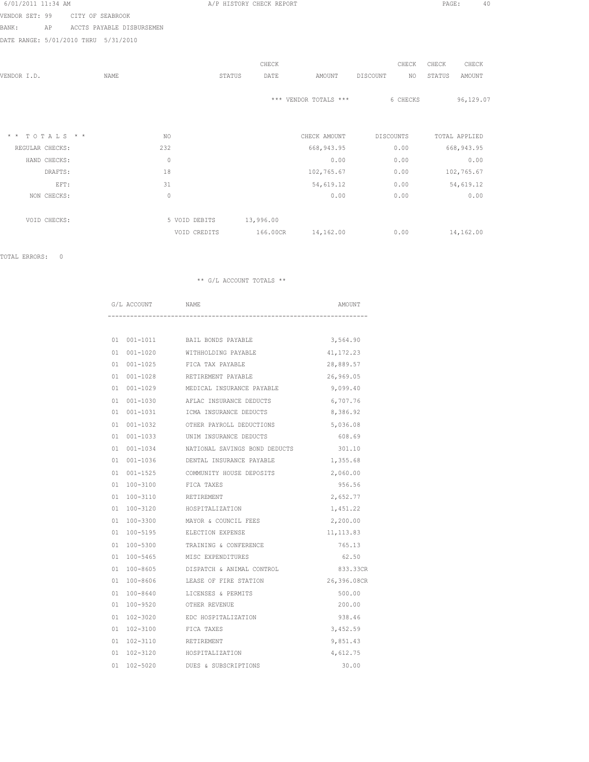| 6/01/2011 11:34 AM |  |  |
|--------------------|--|--|
|                    |  |  |

A/P HISTORY CHECK REPORT PAGE: 40

VENDOR SET: 99 CITY OF SEABROOK BANK: AP ACCTS PAYABLE DISBURSEMEN

DATE RANGE: 5/01/2010 THRU 5/31/2010

|                               |      |               |        | CHECK     |                       | CHECK            | CHECK  | CHECK         |
|-------------------------------|------|---------------|--------|-----------|-----------------------|------------------|--------|---------------|
| VENDOR I.D.                   | NAME |               | STATUS | DATE      | AMOUNT                | DISCOUNT<br>NO.  | STATUS | AMOUNT        |
|                               |      |               |        |           | *** VENDOR TOTALS *** | 6 CHECKS         |        | 96,129.07     |
| TOTALS * *<br>$\star$ $\star$ |      | NO.           |        |           | CHECK AMOUNT          | <b>DISCOUNTS</b> |        | TOTAL APPLIED |
| REGULAR CHECKS:               |      | 232           |        |           | 668, 943.95           | 0.00             |        | 668, 943.95   |
| HAND CHECKS:                  |      | $\mathbb O$   |        |           | 0.00                  | 0.00             |        | 0.00          |
| DRAFTS:                       |      | 18            |        |           | 102,765.67            | 0.00             |        | 102,765.67    |
| EFT:                          |      | 31            |        |           | 54,619.12             | 0.00             |        | 54,619.12     |
| NON CHECKS:                   |      | $\mathbb O$   |        |           | 0.00                  | 0.00             |        | 0.00          |
| VOID CHECKS:                  |      | 5 VOID DEBITS |        | 13,996.00 |                       |                  |        |               |
|                               |      | VOID CREDITS  |        | 166.00CR  | 14,162.00             | 0.00             |        | 14,162.00     |

TOTAL ERRORS: 0

| G/L ACCOUNT        | <b>NAME</b>                       | AMOUNT      |
|--------------------|-----------------------------------|-------------|
|                    |                                   |             |
|                    | 01 001-1011 BAIL BONDS PAYABLE    | 3,564.90    |
| $001 - 1020$<br>01 | WITHHOLDING PAYABLE               | 41, 172. 23 |
| 01 001-1025        | FICA TAX PAYABLE                  | 28,889.57   |
| 01 001-1028        | RETIREMENT PAYABLE                | 26,969.05   |
| 01 001-1029        | MEDICAL INSURANCE PAYABLE         | 9,099.40    |
| $001 - 1030$<br>01 | AFLAC INSURANCE DEDUCTS           | 6,707.76    |
| 01<br>001-1031     | ICMA INSURANCE DEDUCTS            | 8,386.92    |
| 01                 | 001-1032 OTHER PAYROLL DEDUCTIONS | 5,036.08    |
| 01<br>001-1033     | UNIM INSURANCE DEDUCTS            | 608.69      |
| 001-1034<br>01     | NATIONAL SAVINGS BOND DEDUCTS     | 301.10      |
| 01                 | 001-1036 DENTAL INSURANCE PAYABLE | 1,355.68    |
| $001 - 1525$<br>01 | COMMUNITY HOUSE DEPOSITS          | 2,060.00    |
| 01                 | 100-3100 FICA TAXES               | 956.56      |
| 01<br>100-3110     | RETIREMENT                        | 2,652.77    |
| 01<br>100-3120     | HOSPITALIZATION                   | 1,451.22    |
| 01<br>$100 - 3300$ | MAYOR & COUNCIL FEES              | 2,200.00    |
| 01<br>100-5195     | ELECTION EXPENSE                  | 11, 113.83  |
| 01<br>100-5300     | TRAINING & CONFERENCE             | 765.13      |
| 01                 | 100-5465 MISC EXPENDITURES        | 62.50       |
| 01<br>100-8605     | DISPATCH & ANIMAL CONTROL         | 833.33CR    |
| 01                 | 100-8606 LEASE OF FIRE STATION    | 26,396.08CR |
| $100 - 8640$<br>01 | LICENSES & PERMITS                | 500.00      |
| 01<br>100-9520     | OTHER REVENUE                     | 200.00      |
| 01<br>102-3020     | EDC HOSPITALIZATION               | 938.46      |
| 01<br>102-3100     | FICA TAXES                        | 3,452.59    |
| 102-3110<br>01     | RETIREMENT                        | 9,851.43    |
| 102-3120<br>01     | HOSPITALIZATION                   | 4,612.75    |
| 01<br>102-5020     | DUES & SUBSCRIPTIONS              | 30.00       |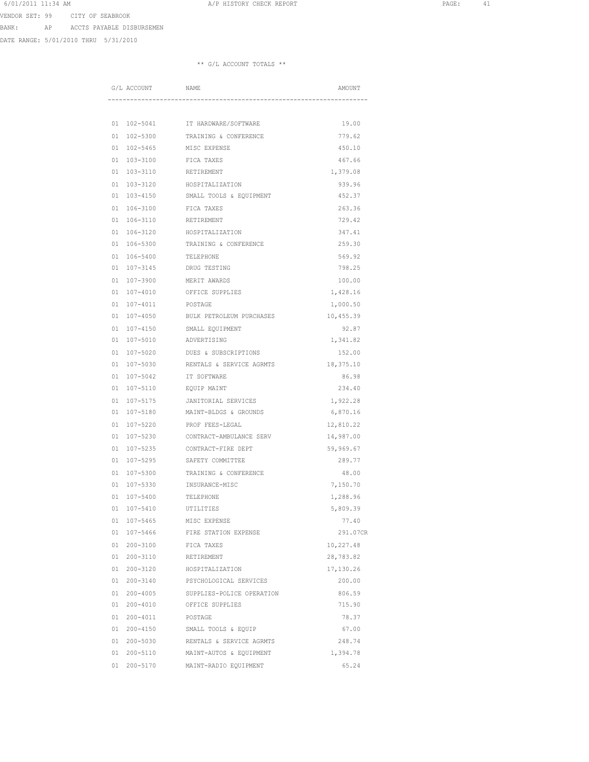6/01/2011 11:34 AM **A**/P HISTORY CHECK REPORT **PAGE:** 41 VENDOR SET: 99 CITY OF SEABROOK

BANK: AP ACCTS PAYABLE DISBURSEMEN

DATE RANGE: 5/01/2010 THRU 5/31/2010

|    | G/L ACCOUNT  | NAME                                 | AMOUNT    |
|----|--------------|--------------------------------------|-----------|
|    |              |                                      |           |
| 01 | 102-5041     | IT HARDWARE/SOFTWARE                 | 19.00     |
| 01 | $102 - 5300$ | TRAINING & CONFERENCE                | 779.62    |
| 01 | $102 - 5465$ | MISC EXPENSE                         | 450.10    |
| 01 | 103-3100     | FICA TAXES                           | 467.66    |
| 01 | 103-3110     | RETIREMENT                           | 1,379.08  |
| 01 | 103-3120     | HOSPITALIZATION                      | 939.96    |
| 01 | 103-4150     | SMALL TOOLS & EQUIPMENT              | 452.37    |
| 01 | 106-3100     | FICA TAXES                           | 263.36    |
| 01 | 106-3110     | <b>RETIREMENT</b>                    | 729.42    |
| 01 | 106-3120     | HOSPITALIZATION                      | 347.41    |
| 01 | 106-5300     | TRAINING & CONFERENCE                | 259.30    |
| 01 | 106-5400     | TELEPHONE                            | 569.92    |
| 01 | 107-3145     | DRUG TESTING                         | 798.25    |
| 01 | 107-3900     | MERIT AWARDS                         | 100.00    |
| 01 | $107 - 4010$ | OFFICE SUPPLIES                      | 1,428.16  |
| 01 | 107-4011     | POSTAGE                              | 1,000.50  |
| 01 | $107 - 4050$ | BULK PETROLEUM PURCHASES             | 10,455.39 |
| 01 | $107 - 4150$ | SMALL EQUIPMENT                      | 92.87     |
| 01 | 107-5010     | ADVERTISING                          | 1,341.82  |
| 01 | 107-5020     | DUES & SUBSCRIPTIONS                 | 152.00    |
| 01 | 107-5030     | RENTALS & SERVICE AGRMTS             | 18,375.10 |
| 01 | 107-5042     | IT SOFTWARE                          | 86.98     |
| 01 | 107-5110     | EQUIP MAINT                          | 234.40    |
| 01 | 107-5175     | JANITORIAL SERVICES                  | 1,922.28  |
| 01 | 107-5180     | MAINT-BLDGS & GROUNDS                | 6,870.16  |
| 01 | $107 - 5220$ | PROF FEES-LEGAL                      | 12,810.22 |
| 01 | 107-5230     | CONTRACT-AMBULANCE SERV              | 14,987.00 |
| 01 | 107-5235     | CONTRACT-FIRE DEPT                   | 59,969.67 |
| 01 | 107-5295     | SAFETY COMMITTEE                     | 289.77    |
| 01 | 107-5300     | TRAINING & CONFERENCE                | 48.00     |
| 01 | 107-5330     | INSURANCE-MISC                       | 7,150.70  |
| 01 | $107 - 5400$ | TELEPHONE                            | 1,288.96  |
| 01 | $107 - 5410$ | UTILITIES                            | 5,809.39  |
| 01 | 107-5465     | MISC EXPENSE                         | 77.40     |
| 01 | 107-5466     | FIRE STATION EXPENSE                 | 291.07CR  |
| 01 | $200 - 3100$ | FICA TAXES                           | 10,227.48 |
| 01 | 200-3110     | RETIREMENT                           | 28,783.82 |
| 01 | 200-3120     | HOSPITALIZATION                      | 17,130.26 |
| 01 | $200 - 3140$ | PSYCHOLOGICAL SERVICES               | 200.00    |
| 01 | $200 - 4005$ | SUPPLIES-POLICE OPERATION            | 806.59    |
| 01 | 200-4010     | OFFICE SUPPLIES                      | 715.90    |
| 01 | 200-4011     | POSTAGE                              | 78.37     |
| 01 | 200-4150     | SMALL TOOLS & EQUIP                  | 67.00     |
|    |              | 01 200-5030 RENTALS & SERVICE AGRMTS | 248.74    |
|    | 01 200-5110  | MAINT-AUTOS & EQUIPMENT              | 1,394.78  |
|    | 01 200-5170  | MAINT-RADIO EQUIPMENT                | 65.24     |
|    |              |                                      |           |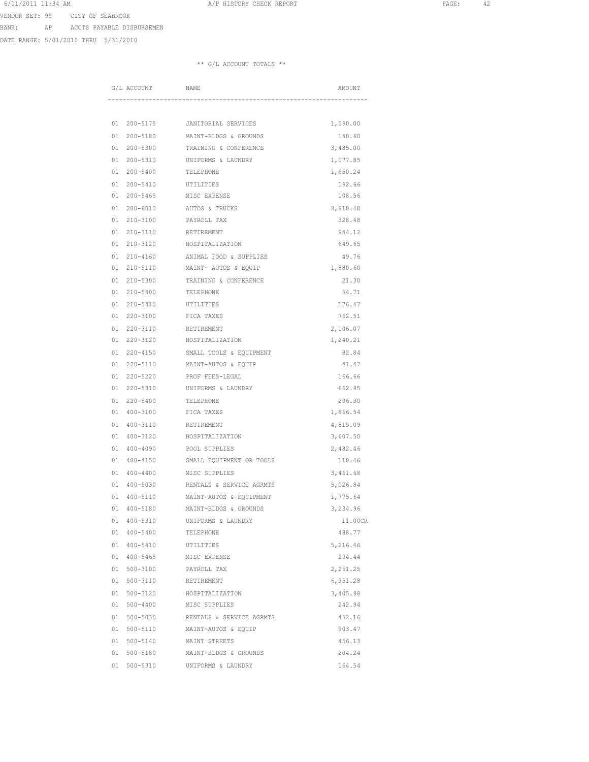VENDOR SET: 99 CITY OF SEABROOK

BANK: AP ACCTS PAYABLE DISBURSEMEN

DATE RANGE: 5/01/2010 THRU 5/31/2010

|          | G/L ACCOUNT              | NAME                     | AMOUNT            |
|----------|--------------------------|--------------------------|-------------------|
|          |                          |                          |                   |
| 01       | 200-5175                 | JANITORIAL SERVICES      | 1,590.00          |
| 01       | $200 - 5180$             | MAINT-BLDGS & GROUNDS    | 140.60            |
| 01       | $200 - 5300$             | TRAINING & CONFERENCE    | 3,485.00          |
| 01       | $200 - 5310$             | UNIFORMS & LAUNDRY       | 1,077.85          |
| 01       | $200 - 5400$             | TELEPHONE                | 1,650.24          |
| 01       | $200 - 5410$             | UTILITIES                | 192.66            |
| 01       | $200 - 5465$             | MISC EXPENSE             | 108.56            |
| 01       | $200 - 6010$             | AUTOS & TRUCKS           | 8,910.40          |
| 01       | $210 - 3100$             | PAYROLL TAX              | 328.48            |
| 01       | 210-3110                 | RETIREMENT               | 944.12            |
| 01       | 210-3120                 | HOSPITALIZATION          | 649.65            |
| 01       | 210-4160                 | ANIMAL FOOD & SUPPLIES   | 49.76             |
| 01       | 210-5110                 | MAINT- AUTOS & EQUIP     | 1,880.60          |
| 01       | $210 - 5300$             | TRAINING & CONFERENCE    | 21.30             |
| 01       | $210 - 5400$             | TELEPHONE                | 54.71             |
| 01       | 210-5410                 | UTILITIES                | 176.47            |
| 01       | $220 - 3100$             | FICA TAXES               | 762.51            |
| 01       | $220 - 3110$             | RETIREMENT               | 2,106.07          |
| 01       | 220-3120                 | HOSPITALIZATION          | 1,240.21          |
| 01       | 220-4150                 | SMALL TOOLS & EQUIPMENT  | 82.84             |
| 01       | 220-5110                 | MAINT-AUTOS & EQUIP      | 41.47             |
| 01       | $220 - 5220$             | PROF FEES-LEGAL          | 166.66            |
| 01       | $220 - 5310$             | UNIFORMS & LAUNDRY       | 662.95            |
| 01       | $220 - 5400$             | TELEPHONE                | 296.30            |
| 01       | 400-3100                 | FICA TAXES               | 1,866.54          |
| 01       | 400-3110                 | RETIREMENT               | 4,815.09          |
| 01       | 400-3120                 | HOSPITALIZATION          | 3,607.50          |
| 01       | 400-4090                 | POOL SUPPLIES            | 2,482.46          |
| 01       | $400 - 4150$             | SMALL EQUIPMENT OR TOOLS | 110.46            |
| 01       | $400 - 4400$             | MISC SUPPLIES            | 3,461.68          |
| 01       | $400 - 5030$             | RENTALS & SERVICE AGRMTS | 5,026.84          |
| 01       | 400-5110                 | MAINT-AUTOS & EOUIPMENT  | 1,775.64          |
| 01       | $400 - 5180$             | MAINT-BLDGS & GROUNDS    | 3,234.96          |
| 01<br>01 | 400-5310<br>$400 - 5400$ | UNIFORMS & LAUNDRY       | 11.00CR<br>488.77 |
| 01       | $400 - 5410$             | TELEPHONE<br>UTILITIES   | 5,216.46          |
| 01       | $400 - 5465$             | MISC EXPENSE             | 294.44            |
| 01       | $500 - 3100$             | PAYROLL TAX              | 2,261.25          |
| 01       | $500 - 3110$             | RETIREMENT               | 6,351.28          |
| 01       | $500 - 3120$             | HOSPITALIZATION          | 3,405.98          |
| 01       | $500 - 4400$             | MISC SUPPLIES            | 242.94            |
| 01       | $500 - 5030$             | RENTALS & SERVICE AGRMTS | 452.16            |
|          | 01 500-5110              | MAINT-AUTOS & EQUIP      | 903.47            |
| 01       | 500-5140                 | MAINT STREETS            | 456.13            |
|          | 01 500-5180              | MAINT-BLDGS & GROUNDS    | 204.24            |
| 01       | $500 - 5310$             | UNIFORMS & LAUNDRY       | 164.54            |
|          |                          |                          |                   |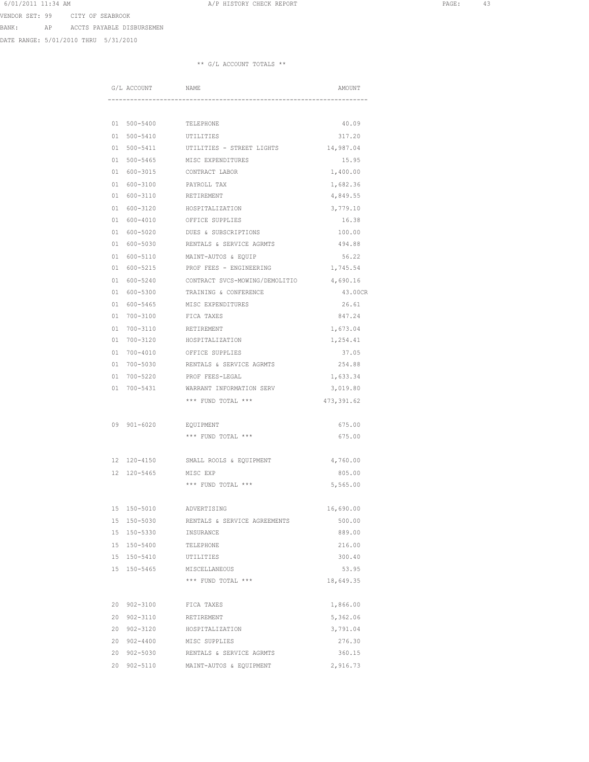VENDOR SET: 99 CITY OF SEABROOK

BANK: AP ACCTS PAYABLE DISBURSEMEN

DATE RANGE: 5/01/2010 THRU 5/31/2010

|                             | NAME                           | AMOUNT      |
|-----------------------------|--------------------------------|-------------|
|                             |                                |             |
| 01 500-5400                 | TELEPHONE                      | 40.09       |
| 01<br>$500 - 5410$          | UTILITIES                      | 317.20      |
| 500-5411<br>01              | UTILITIES - STREET LIGHTS      | 14,987.04   |
| 01<br>$500 - 5465$          | MISC EXPENDITURES              | 15.95       |
| 600-3015<br>01              | CONTRACT LABOR                 | 1,400.00    |
| 600-3100<br>01              | PAYROLL TAX                    | 1,682.36    |
| 600-3110<br>01              | RETIREMENT                     | 4,849.55    |
| 01 600-3120                 | HOSPITALIZATION                | 3,779.10    |
| 01 600-4010                 | OFFICE SUPPLIES                | 16.38       |
| 600-5020<br>01              | DUES & SUBSCRIPTIONS           | 100.00      |
| 01<br>600-5030              | RENTALS & SERVICE AGRMTS       | 494.88      |
| 01<br>600-5110              | MAINT-AUTOS & EQUIP            | 56.22       |
| 01<br>600-5215              | PROF FEES - ENGINEERING        | 1,745.54    |
| $600 - 5240$<br>01          | CONTRACT SVCS-MOWING/DEMOLITIO | 4,690.16    |
| 600-5300<br>01              | TRAINING & CONFERENCE          | 43.00CR     |
| 01<br>600-5465              | MISC EXPENDITURES              | 26.61       |
| 01<br>700-3100              | FICA TAXES                     | 847.24      |
| 700-3110<br>01              | RETIREMENT                     | 1,673.04    |
| 01                          | 700-3120 HOSPITALIZATION       | 1,254.41    |
| 01                          | 700-4010 OFFICE SUPPLIES       | 37.05       |
| 700-5030<br>01              | RENTALS & SERVICE AGRMTS       | 254.88      |
| 700-5220<br>01              | PROF FEES-LEGAL                | 1,633.34    |
| 01<br>700-5431              | WARRANT INFORMATION SERV       | 3,019.80    |
|                             | *** FUND TOTAL ***             | 473, 391.62 |
| 09 901-6020                 | EQUIPMENT                      | 675.00      |
|                             | *** FUND TOTAL ***             | 675.00      |
| 12 120-4150                 | SMALL ROOLS & EQUIPMENT        | 4,760.00    |
| 12 <sup>2</sup><br>120-5465 | MISC EXP                       | 805.00      |
|                             | *** FUND TOTAL ***             | 5,565.00    |
|                             |                                |             |
| 15 150-5010                 | ADVERTISING                    | 16,690.00   |
| 15<br>150-5030              | RENTALS & SERVICE AGREEMENTS   | 500.00      |
| 15 <sub>1</sub><br>150-5330 | INSURANCE                      | 889.00      |
| 15 <sub>1</sub><br>150-5400 | TELEPHONE                      | 216.00      |
| 15 <sub>1</sub><br>150-5410 | UTILITIES                      | 300.40      |
| 15 150-5465                 | MISCELLANEOUS                  | 53.95       |
|                             | *** FUND TOTAL ***             | 18,649.35   |
| 20<br>$902 - 3100$          | FICA TAXES                     | 1,866.00    |
| 20<br>$902 - 3110$          | RETIREMENT                     | 5,362.06    |
| 20<br>902-3120              | HOSPITALIZATION                | 3,791.04    |
| 20 902-4400                 | MISC SUPPLIES                  | 276.30      |
| 20 902-5030                 | RENTALS & SERVICE AGRMTS       | 360.15      |
| 20<br>902-5110              | MAINT-AUTOS & EQUIPMENT        | 2,916.73    |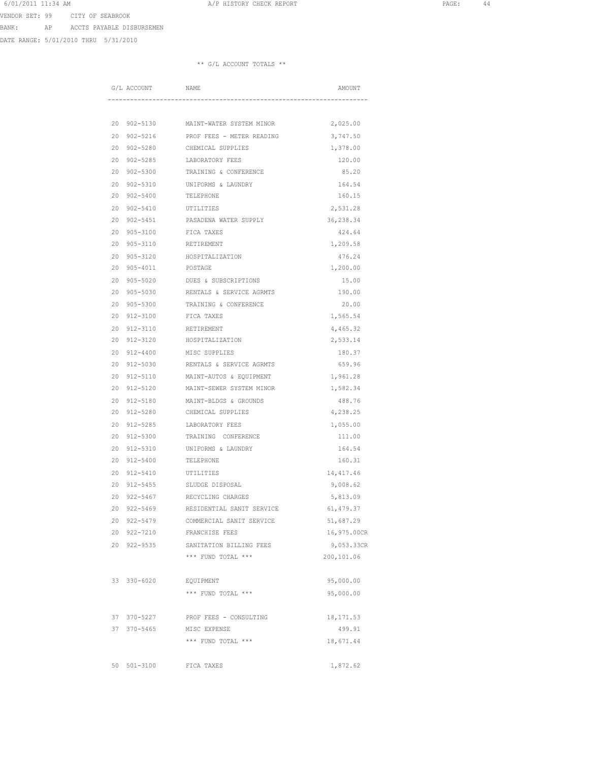6/01/2011 11:34 AM **A**/P HISTORY CHECK REPORT **PAGE:** 44 VENDOR SET: 99 CITY OF SEABROOK

BANK: AP ACCTS PAYABLE DISBURSEMEN

DATE RANGE: 5/01/2010 THRU 5/31/2010

| G/L ACCOUNT                              | NAME                                           | AMOUNT                   |
|------------------------------------------|------------------------------------------------|--------------------------|
|                                          |                                                |                          |
|                                          | 20 902-5130 MAINT-WATER SYSTEM MINOR           | 2,025.00                 |
| 20<br>902-5216                           | PROF FEES - METER READING                      | 3,747.50                 |
| $902 - 5280$<br>20                       | CHEMICAL SUPPLIES                              | 1,378.00                 |
| 20<br>$902 - 5285$                       | LABORATORY FEES                                | 120.00                   |
| 20<br>$902 - 5300$                       | TRAINING & CONFERENCE                          | 85.20                    |
| 20<br>$902 - 5310$                       | UNIFORMS & LAUNDRY                             | 164.54                   |
| 20<br>$902 - 5400$                       | TELEPHONE                                      | 160.15                   |
| 20<br>$902 - 5410$                       | UTILITIES                                      | 2,531.28                 |
| 20<br>$902 - 5451$                       | PASADENA WATER SUPPLY                          | 36,238.34                |
| 20<br>$905 - 3100$                       | FICA TAXES                                     | 424.64                   |
| 20<br>905-3110                           | RETIREMENT                                     | 1,209.58                 |
| 20<br>$905 - 3120$                       | HOSPITALIZATION                                | 476.24                   |
| 20<br>905-4011                           | POSTAGE                                        | 1,200.00                 |
| 20<br>905-5020                           | DUES & SUBSCRIPTIONS                           | 15.00                    |
| 20                                       | 905-5030 RENTALS & SERVICE AGRMTS              | 190.00                   |
| 20<br>$905 - 5300$                       | TRAINING & CONFERENCE                          | 20.00                    |
| 20<br>912-3100                           | FICA TAXES                                     | 1,565.54                 |
| 20                                       | 912-3110 RETIREMENT                            | 4,465.32                 |
| 20<br>912-3120                           | HOSPITALIZATION                                | 2,533.14                 |
| 20<br>912-4400                           | MISC SUPPLIES                                  | 180.37                   |
| 20<br>912-5030                           | RENTALS & SERVICE AGRMTS                       | 659.96                   |
| 20<br>912-5110                           | MAINT-AUTOS & EQUIPMENT                        | 1,961.28                 |
| 20<br>912-5120                           | MAINT-SEWER SYSTEM MINOR                       | 1,582.34                 |
| 20<br>$912 - 5180$                       | MAINT-BLDGS & GROUNDS                          | 488.76                   |
| 20<br>$912 - 5280$                       | CHEMICAL SUPPLIES                              | 4,238.25                 |
| 912-5285<br>20                           | LABORATORY FEES                                | 1,055.00                 |
| $912 - 5300$<br>20                       | TRAINING CONFERENCE                            | 111.00                   |
| 20<br>912-5310                           | UNIFORMS & LAUNDRY                             | 164.54                   |
| 20<br>912-5400                           | TELEPHONE                                      | 160.31                   |
| 20<br>912-5410                           | UTILITIES                                      | 14, 417.46               |
| 20<br>$912 - 5455$                       | SLUDGE DISPOSAL                                | 9,008.62                 |
| 20<br>$922 - 5467$<br>20<br>$922 - 5469$ | RECYCLING CHARGES<br>RESIDENTIAL SANIT SERVICE | 5,813.09<br>61,479.37    |
| 20 922-5479                              | COMMERCIAL SANIT SERVICE                       |                          |
| 20<br>922-7210                           | FRANCHISE FEES                                 | 51,687.29<br>16,975.00CR |
| 20 922-9535                              | SANITATION BILLING FEES                        | 9,053.33CR               |
|                                          | *** FUND TOTAL ***                             | 200,101.06               |
|                                          |                                                |                          |
| 33 330-6020                              | EQUIPMENT                                      | 95,000.00                |
|                                          | *** FUND TOTAL ***                             | 95,000.00                |
|                                          |                                                |                          |
| 37 370-5227                              | PROF FEES - CONSULTING                         | 18, 171.53               |
| 37 370-5465                              | MISC EXPENSE                                   | 499.91                   |
|                                          | *** FUND TOTAL ***                             | 18,671.44                |
|                                          |                                                |                          |
| 50<br>$501 - 3100$                       | FICA TAXES                                     | 1,872.62                 |
|                                          |                                                |                          |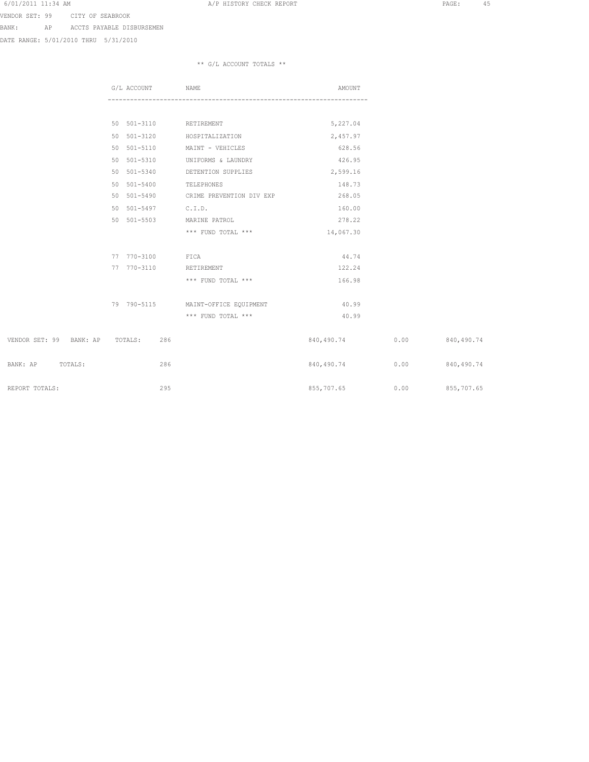VENDOR SET: 99 CITY OF SEABROOK

BANK: AP ACCTS PAYABLE DISBURSEMEN

DATE RANGE: 5/01/2010 THRU 5/31/2010

|                                 | G/L ACCOUNT | NAME                                 | AMOUNT          |      |                   |
|---------------------------------|-------------|--------------------------------------|-----------------|------|-------------------|
|                                 |             |                                      |                 |      |                   |
|                                 |             | 50 501-3110 RETIREMENT               | 5,227.04        |      |                   |
|                                 | 50 501-3120 | HOSPITALIZATION                      | 2,457.97        |      |                   |
|                                 | 50 501-5110 | MAINT - VEHICLES                     | 628.56          |      |                   |
|                                 | 50 501-5310 | UNIFORMS & LAUNDRY                   | 426.95          |      |                   |
|                                 | 50 501-5340 | DETENTION SUPPLIES                   | 2,599.16        |      |                   |
|                                 | 50 501-5400 | TELEPHONES                           | 148.73          |      |                   |
|                                 |             | 50 501-5490 CRIME PREVENTION DIV EXP | 268.05          |      |                   |
|                                 | 50 501-5497 | C.I.D.                               | 160.00          |      |                   |
|                                 | 50 501-5503 | MARINE PATROL                        | 278.22          |      |                   |
|                                 |             | *** FUND TOTAL ***                   | 14,067.30       |      |                   |
|                                 | 77 770-3100 | FICA                                 | 44.74           |      |                   |
|                                 | 77 770-3110 | RETIREMENT                           | 122.24          |      |                   |
|                                 |             | *** FUND TOTAL ***                   | 166.98          |      |                   |
|                                 |             | 79 790-5115 MAINT-OFFICE EQUIPMENT   | 40.99           |      |                   |
|                                 |             | *** FUND TOTAL ***                   | 40.99           |      |                   |
| VENDOR SET: 99 BANK: AP TOTALS: | 286         |                                      | 840,490.74 0.00 |      | 840,490.74        |
| BANK: AP TOTALS:                | 286         |                                      | 840,490.74      | 0.00 | 840,490.74        |
| REPORT TOTALS:                  | 295         |                                      | 855,707.65      |      | $0.00$ 855,707.65 |